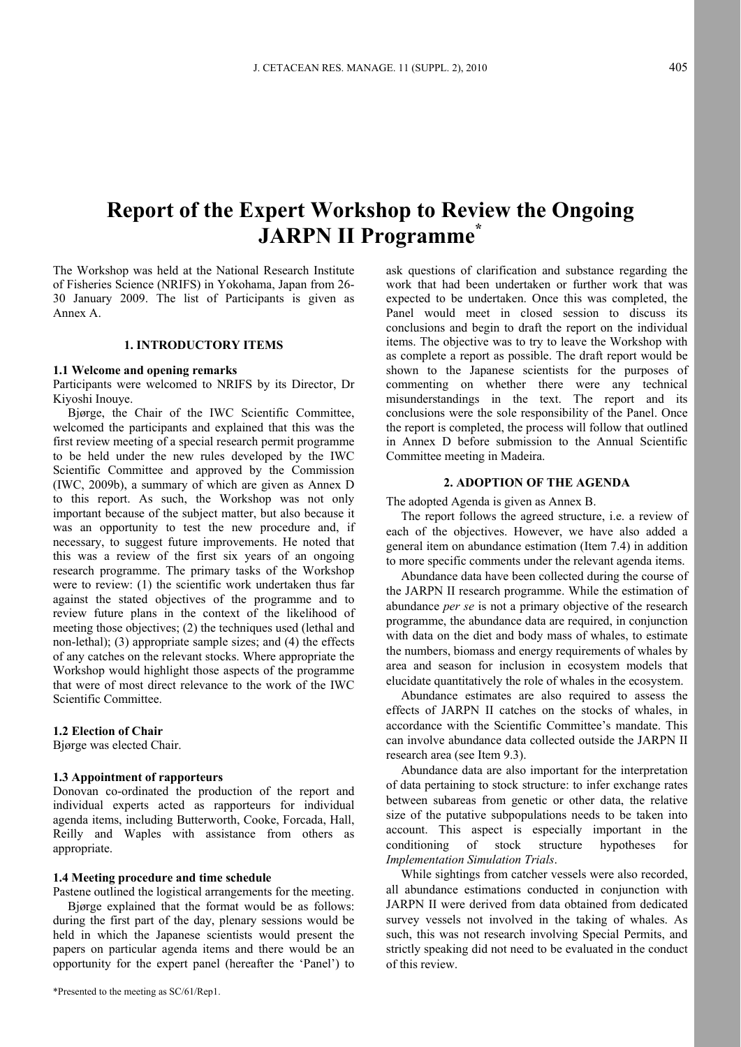# **Report of the Expert Workshop to Review the Ongoing JARPN II Programme\***

The Workshop was held at the National Research Institute of Fisheries Science (NRIFS) in Yokohama, Japan from 26- 30 January 2009. The list of Participants is given as Annex A.

#### **1. INTRODUCTORY ITEMS**

#### **1.1 Welcome and opening remarks**

Participants were welcomed to NRIFS by its Director, Dr Kiyoshi Inouye.

Bjørge, the Chair of the IWC Scientific Committee, welcomed the participants and explained that this was the first review meeting of a special research permit programme to be held under the new rules developed by the IWC Scientific Committee and approved by the Commission (IWC, 2009b), a summary of which are given as Annex D to this report. As such, the Workshop was not only important because of the subject matter, but also because it was an opportunity to test the new procedure and, if necessary, to suggest future improvements. He noted that this was a review of the first six years of an ongoing research programme. The primary tasks of the Workshop were to review: (1) the scientific work undertaken thus far against the stated objectives of the programme and to review future plans in the context of the likelihood of meeting those objectives; (2) the techniques used (lethal and non-lethal); (3) appropriate sample sizes; and (4) the effects of any catches on the relevant stocks. Where appropriate the Workshop would highlight those aspects of the programme that were of most direct relevance to the work of the IWC Scientific Committee.

#### **1.2 Election of Chair**

Bjørge was elected Chair.

#### **1.3 Appointment of rapporteurs**

Donovan co-ordinated the production of the report and individual experts acted as rapporteurs for individual agenda items, including Butterworth, Cooke, Forcada, Hall, Reilly and Waples with assistance from others as appropriate.

#### **1.4 Meeting procedure and time schedule**

Pastene outlined the logistical arrangements for the meeting. Bjørge explained that the format would be as follows: during the first part of the day, plenary sessions would be held in which the Japanese scientists would present the papers on particular agenda items and there would be an opportunity for the expert panel (hereafter the 'Panel') to

ask questions of clarification and substance regarding the work that had been undertaken or further work that was expected to be undertaken. Once this was completed, the Panel would meet in closed session to discuss its conclusions and begin to draft the report on the individual items. The objective was to try to leave the Workshop with as complete a report as possible. The draft report would be shown to the Japanese scientists for the purposes of commenting on whether there were any technical misunderstandings in the text. The report and its conclusions were the sole responsibility of the Panel. Once the report is completed, the process will follow that outlined in Annex D before submission to the Annual Scientific Committee meeting in Madeira.

### **2. ADOPTION OF THE AGENDA**

The adopted Agenda is given as Annex B.

The report follows the agreed structure, i.e. a review of each of the objectives. However, we have also added a general item on abundance estimation (Item 7.4) in addition to more specific comments under the relevant agenda items.

Abundance data have been collected during the course of the JARPN II research programme. While the estimation of abundance *per se* is not a primary objective of the research programme, the abundance data are required, in conjunction with data on the diet and body mass of whales, to estimate the numbers, biomass and energy requirements of whales by area and season for inclusion in ecosystem models that elucidate quantitatively the role of whales in the ecosystem.

Abundance estimates are also required to assess the effects of JARPN II catches on the stocks of whales, in accordance with the Scientific Committee's mandate. This can involve abundance data collected outside the JARPN II research area (see Item 9.3).

Abundance data are also important for the interpretation of data pertaining to stock structure: to infer exchange rates between subareas from genetic or other data, the relative size of the putative subpopulations needs to be taken into account. This aspect is especially important in the conditioning of stock structure hypotheses for *Implementation Simulation Trials*.

While sightings from catcher vessels were also recorded, all abundance estimations conducted in conjunction with JARPN II were derived from data obtained from dedicated survey vessels not involved in the taking of whales. As such, this was not research involving Special Permits, and strictly speaking did not need to be evaluated in the conduct of this review.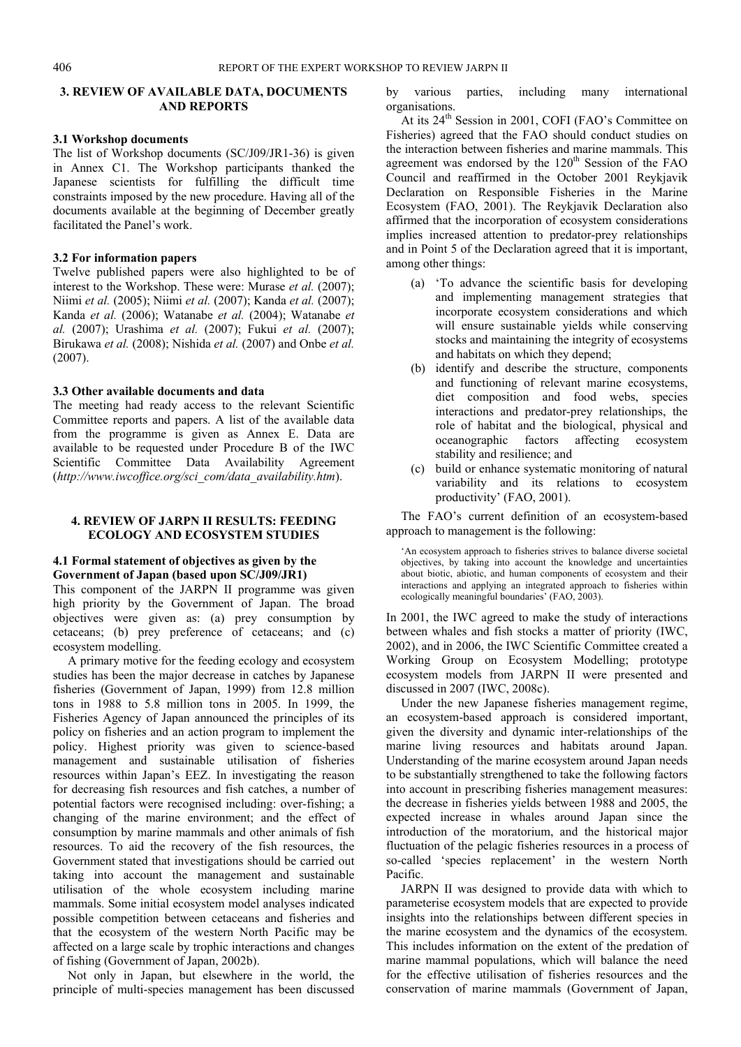#### **3. REVIEW OF AVAILABLE DATA, DOCUMENTS AND REPORTS**

#### **3.1 Workshop documents**

The list of Workshop documents (SC/J09/JR1-36) is given in Annex C1. The Workshop participants thanked the Japanese scientists for fulfilling the difficult time constraints imposed by the new procedure. Having all of the documents available at the beginning of December greatly facilitated the Panel's work.

#### **3.2 For information papers**

Twelve published papers were also highlighted to be of interest to the Workshop. These were: Murase *et al.* (2007); Niimi *et al.* (2005); Niimi *et al.* (2007); Kanda *et al.* (2007); Kanda *et al.* (2006); Watanabe *et al.* (2004); Watanabe *et al.* (2007); Urashima *et al.* (2007); Fukui *et al.* (2007); Birukawa *et al.* (2008); Nishida *et al.* (2007) and Onbe *et al.* (2007).

#### **3.3 Other available documents and data**

The meeting had ready access to the relevant Scientific Committee reports and papers. A list of the available data from the programme is given as Annex E. Data are available to be requested under Procedure B of the IWC Scientific Committee Data Availability Agreement (*http://www.iwcoffice.org/sci\_com/data\_availability.htm*).

#### **4. REVIEW OF JARPN II RESULTS: FEEDING ECOLOGY AND ECOSYSTEM STUDIES**

#### **4.1 Formal statement of objectives as given by the Government of Japan (based upon SC/J09/JR1)**

This component of the JARPN II programme was given high priority by the Government of Japan. The broad objectives were given as: (a) prey consumption by cetaceans; (b) prey preference of cetaceans; and (c) ecosystem modelling.

A primary motive for the feeding ecology and ecosystem studies has been the major decrease in catches by Japanese fisheries (Government of Japan, 1999) from 12.8 million tons in 1988 to 5.8 million tons in 2005. In 1999, the Fisheries Agency of Japan announced the principles of its policy on fisheries and an action program to implement the policy. Highest priority was given to science-based management and sustainable utilisation of fisheries resources within Japan's EEZ. In investigating the reason for decreasing fish resources and fish catches, a number of potential factors were recognised including: over-fishing; a changing of the marine environment; and the effect of consumption by marine mammals and other animals of fish resources. To aid the recovery of the fish resources, the Government stated that investigations should be carried out taking into account the management and sustainable utilisation of the whole ecosystem including marine mammals. Some initial ecosystem model analyses indicated possible competition between cetaceans and fisheries and that the ecosystem of the western North Pacific may be affected on a large scale by trophic interactions and changes of fishing (Government of Japan, 2002b).

Not only in Japan, but elsewhere in the world, the principle of multi-species management has been discussed by various parties, including many international organisations.

At its  $24<sup>th</sup>$  Session in 2001, COFI (FAO's Committee on Fisheries) agreed that the FAO should conduct studies on the interaction between fisheries and marine mammals. This agreement was endorsed by the  $120<sup>th</sup>$  Session of the FAO Council and reaffirmed in the October 2001 Reykjavik Declaration on Responsible Fisheries in the Marine Ecosystem (FAO, 2001). The Reykjavik Declaration also affirmed that the incorporation of ecosystem considerations implies increased attention to predator-prey relationships and in Point 5 of the Declaration agreed that it is important, among other things:

- (a) 'To advance the scientific basis for developing and implementing management strategies that incorporate ecosystem considerations and which will ensure sustainable yields while conserving stocks and maintaining the integrity of ecosystems and habitats on which they depend;
- (b) identify and describe the structure, components and functioning of relevant marine ecosystems, diet composition and food webs, species interactions and predator-prey relationships, the role of habitat and the biological, physical and oceanographic factors affecting ecosystem stability and resilience; and
- (c) build or enhance systematic monitoring of natural variability and its relations to ecosystem productivity' (FAO, 2001).

The FAO's current definition of an ecosystem-based approach to management is the following:

'An ecosystem approach to fisheries strives to balance diverse societal objectives, by taking into account the knowledge and uncertainties about biotic, abiotic, and human components of ecosystem and their interactions and applying an integrated approach to fisheries within ecologically meaningful boundaries' (FAO, 2003).

In 2001, the IWC agreed to make the study of interactions between whales and fish stocks a matter of priority (IWC, 2002), and in 2006, the IWC Scientific Committee created a Working Group on Ecosystem Modelling; prototype ecosystem models from JARPN II were presented and discussed in 2007 (IWC, 2008c).

Under the new Japanese fisheries management regime, an ecosystem-based approach is considered important, given the diversity and dynamic inter-relationships of the marine living resources and habitats around Japan. Understanding of the marine ecosystem around Japan needs to be substantially strengthened to take the following factors into account in prescribing fisheries management measures: the decrease in fisheries yields between 1988 and 2005, the expected increase in whales around Japan since the introduction of the moratorium, and the historical major fluctuation of the pelagic fisheries resources in a process of so-called 'species replacement' in the western North Pacific.

JARPN II was designed to provide data with which to parameterise ecosystem models that are expected to provide insights into the relationships between different species in the marine ecosystem and the dynamics of the ecosystem. This includes information on the extent of the predation of marine mammal populations, which will balance the need for the effective utilisation of fisheries resources and the conservation of marine mammals (Government of Japan,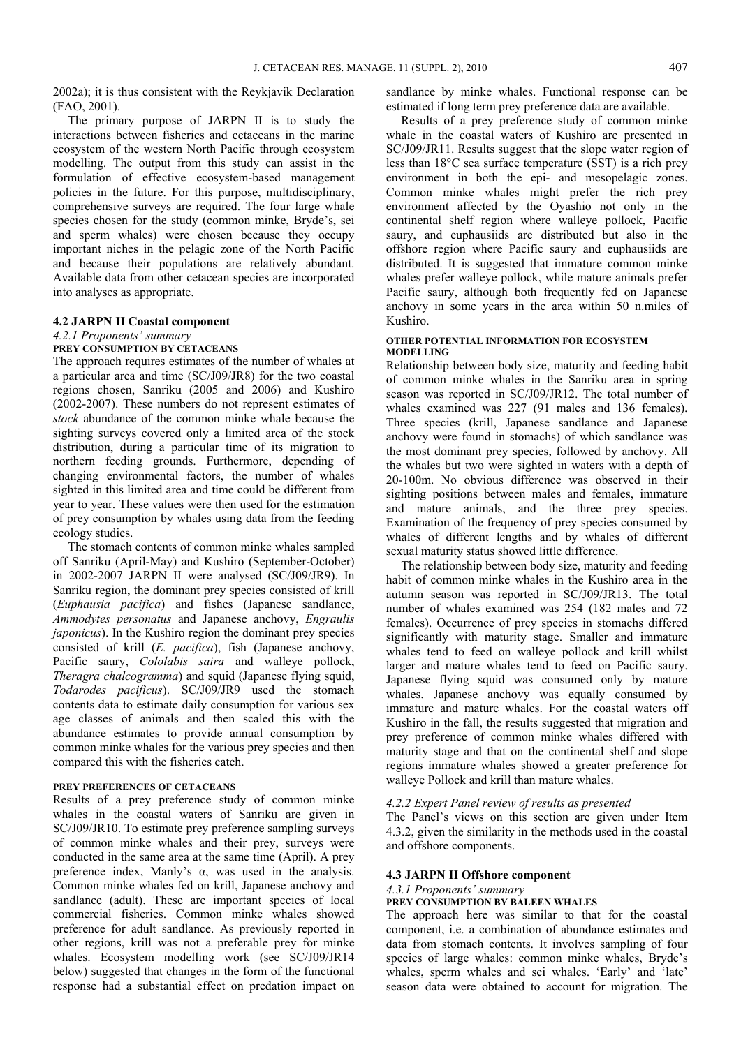2002a); it is thus consistent with the Reykjavik Declaration (FAO, 2001).

The primary purpose of JARPN II is to study the interactions between fisheries and cetaceans in the marine ecosystem of the western North Pacific through ecosystem modelling. The output from this study can assist in the formulation of effective ecosystem-based management policies in the future. For this purpose, multidisciplinary, comprehensive surveys are required. The four large whale species chosen for the study (common minke, Bryde's, sei and sperm whales) were chosen because they occupy important niches in the pelagic zone of the North Pacific and because their populations are relatively abundant. Available data from other cetacean species are incorporated into analyses as appropriate.

### **4.2 JARPN II Coastal component**

#### *4.2.1 Proponents' summary*

#### **PREY CONSUMPTION BY CETACEANS**

The approach requires estimates of the number of whales at a particular area and time (SC/J09/JR8) for the two coastal regions chosen, Sanriku (2005 and 2006) and Kushiro (2002-2007). These numbers do not represent estimates of *stock* abundance of the common minke whale because the sighting surveys covered only a limited area of the stock distribution, during a particular time of its migration to northern feeding grounds. Furthermore, depending of changing environmental factors, the number of whales sighted in this limited area and time could be different from year to year. These values were then used for the estimation of prey consumption by whales using data from the feeding ecology studies.

The stomach contents of common minke whales sampled off Sanriku (April-May) and Kushiro (September-October) in 2002-2007 JARPN II were analysed (SC/J09/JR9). In Sanriku region, the dominant prey species consisted of krill (*Euphausia pacifica*) and fishes (Japanese sandlance, *Ammodytes personatus* and Japanese anchovy, *Engraulis japonicus*). In the Kushiro region the dominant prey species consisted of krill (*E. pacifica*), fish (Japanese anchovy, Pacific saury, *Cololabis saira* and walleye pollock, *Theragra chalcogramma*) and squid (Japanese flying squid, *Todarodes pacificus*). SC/J09/JR9 used the stomach contents data to estimate daily consumption for various sex age classes of animals and then scaled this with the abundance estimates to provide annual consumption by common minke whales for the various prey species and then compared this with the fisheries catch.

#### **PREY PREFERENCES OF CETACEANS**

Results of a prey preference study of common minke whales in the coastal waters of Sanriku are given in SC/J09/JR10. To estimate prey preference sampling surveys of common minke whales and their prey, surveys were conducted in the same area at the same time (April). A prey preference index, Manly's α, was used in the analysis. Common minke whales fed on krill, Japanese anchovy and sandlance (adult). These are important species of local commercial fisheries. Common minke whales showed preference for adult sandlance. As previously reported in other regions, krill was not a preferable prey for minke whales. Ecosystem modelling work (see SC/J09/JR14 below) suggested that changes in the form of the functional response had a substantial effect on predation impact on

sandlance by minke whales. Functional response can be estimated if long term prey preference data are available.

Results of a prey preference study of common minke whale in the coastal waters of Kushiro are presented in SC/J09/JR11. Results suggest that the slope water region of less than 18°C sea surface temperature (SST) is a rich prey environment in both the epi- and mesopelagic zones. Common minke whales might prefer the rich prey environment affected by the Oyashio not only in the continental shelf region where walleye pollock, Pacific saury, and euphausiids are distributed but also in the offshore region where Pacific saury and euphausiids are distributed. It is suggested that immature common minke whales prefer walleye pollock, while mature animals prefer Pacific saury, although both frequently fed on Japanese anchovy in some years in the area within 50 n.miles of Kushiro.

### **OTHER POTENTIAL INFORMATION FOR ECOSYSTEM MODELLING**

Relationship between body size, maturity and feeding habit of common minke whales in the Sanriku area in spring season was reported in SC/J09/JR12. The total number of whales examined was 227 (91 males and 136 females). Three species (krill, Japanese sandlance and Japanese anchovy were found in stomachs) of which sandlance was the most dominant prey species, followed by anchovy. All the whales but two were sighted in waters with a depth of 20-100m. No obvious difference was observed in their sighting positions between males and females, immature and mature animals, and the three prey species. Examination of the frequency of prey species consumed by whales of different lengths and by whales of different sexual maturity status showed little difference.

The relationship between body size, maturity and feeding habit of common minke whales in the Kushiro area in the autumn season was reported in SC/J09/JR13. The total number of whales examined was 254 (182 males and 72 females). Occurrence of prey species in stomachs differed significantly with maturity stage. Smaller and immature whales tend to feed on walleye pollock and krill whilst larger and mature whales tend to feed on Pacific saury. Japanese flying squid was consumed only by mature whales. Japanese anchovy was equally consumed by immature and mature whales. For the coastal waters off Kushiro in the fall, the results suggested that migration and prey preference of common minke whales differed with maturity stage and that on the continental shelf and slope regions immature whales showed a greater preference for walleye Pollock and krill than mature whales.

#### *4.2.2 Expert Panel review of results as presented*

The Panel's views on this section are given under Item 4.3.2, given the similarity in the methods used in the coastal and offshore components.

#### **4.3 JARPN II Offshore component**

#### *4.3.1 Proponents' summary*

#### **PREY CONSUMPTION BY BALEEN WHALES**

The approach here was similar to that for the coastal component, i.e. a combination of abundance estimates and data from stomach contents. It involves sampling of four species of large whales: common minke whales, Bryde's whales, sperm whales and sei whales. 'Early' and 'late' season data were obtained to account for migration. The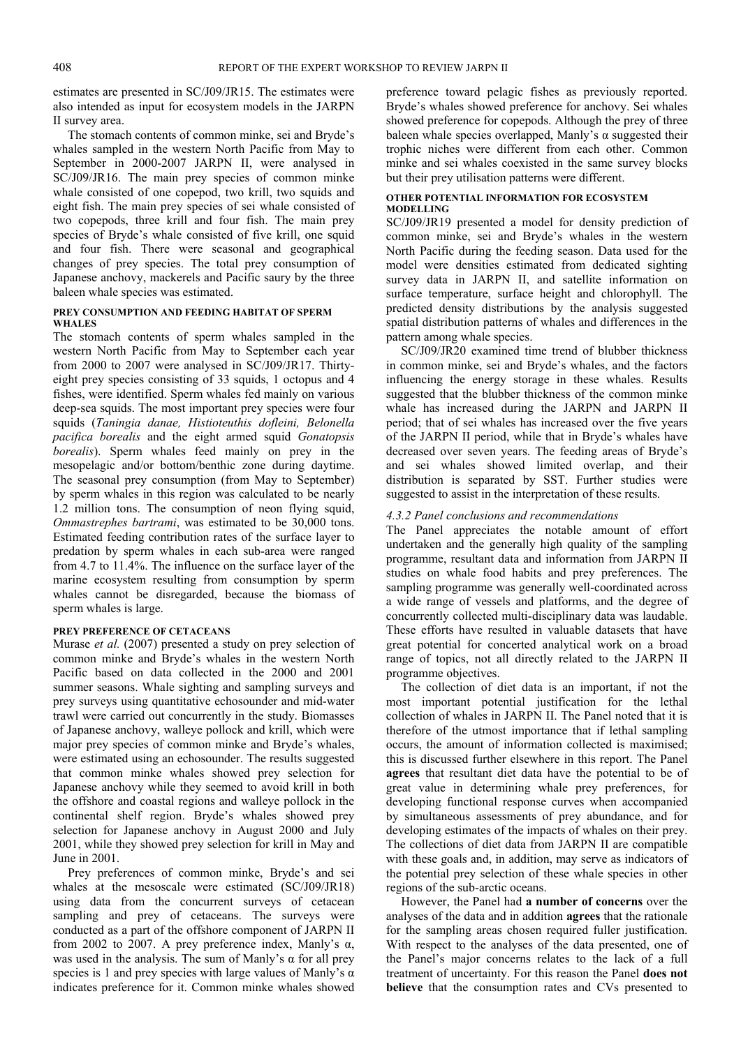estimates are presented in SC/J09/JR15. The estimates were also intended as input for ecosystem models in the JARPN II survey area.

The stomach contents of common minke, sei and Bryde's whales sampled in the western North Pacific from May to September in 2000-2007 JARPN II, were analysed in SC/J09/JR16. The main prey species of common minke whale consisted of one copepod, two krill, two squids and eight fish. The main prey species of sei whale consisted of two copepods, three krill and four fish. The main prey species of Bryde's whale consisted of five krill, one squid and four fish. There were seasonal and geographical changes of prey species. The total prey consumption of Japanese anchovy, mackerels and Pacific saury by the three baleen whale species was estimated.

#### **PREY CONSUMPTION AND FEEDING HABITAT OF SPERM WHALES**

The stomach contents of sperm whales sampled in the western North Pacific from May to September each year from 2000 to 2007 were analysed in SC/J09/JR17. Thirtyeight prey species consisting of 33 squids, 1 octopus and 4 fishes, were identified. Sperm whales fed mainly on various deep-sea squids. The most important prey species were four squids (*Taningia danae, Histioteuthis dofleini, Belonella pacifica borealis* and the eight armed squid *Gonatopsis borealis*). Sperm whales feed mainly on prey in the mesopelagic and/or bottom/benthic zone during daytime. The seasonal prey consumption (from May to September) by sperm whales in this region was calculated to be nearly 1.2 million tons. The consumption of neon flying squid, *Ommastrephes bartrami*, was estimated to be 30,000 tons. Estimated feeding contribution rates of the surface layer to predation by sperm whales in each sub-area were ranged from 4.7 to 11.4%. The influence on the surface layer of the marine ecosystem resulting from consumption by sperm whales cannot be disregarded, because the biomass of sperm whales is large.

### **PREY PREFERENCE OF CETACEANS**

Murase *et al.* (2007) presented a study on prey selection of common minke and Bryde's whales in the western North Pacific based on data collected in the 2000 and 2001 summer seasons. Whale sighting and sampling surveys and prey surveys using quantitative echosounder and mid-water trawl were carried out concurrently in the study. Biomasses of Japanese anchovy, walleye pollock and krill, which were major prey species of common minke and Bryde's whales, were estimated using an echosounder. The results suggested that common minke whales showed prey selection for Japanese anchovy while they seemed to avoid krill in both the offshore and coastal regions and walleye pollock in the continental shelf region. Bryde's whales showed prey selection for Japanese anchovy in August 2000 and July 2001, while they showed prey selection for krill in May and June in 2001.

Prey preferences of common minke, Bryde's and sei whales at the mesoscale were estimated (SC/J09/JR18) using data from the concurrent surveys of cetacean sampling and prey of cetaceans. The surveys were conducted as a part of the offshore component of JARPN II from 2002 to 2007. A prey preference index, Manly's  $\alpha$ , was used in the analysis. The sum of Manly's  $\alpha$  for all prey species is 1 and prey species with large values of Manly's  $\alpha$ indicates preference for it. Common minke whales showed preference toward pelagic fishes as previously reported. Bryde's whales showed preference for anchovy. Sei whales showed preference for copepods. Although the prey of three baleen whale species overlapped, Manly's  $\alpha$  suggested their trophic niches were different from each other. Common minke and sei whales coexisted in the same survey blocks but their prey utilisation patterns were different.

#### **OTHER POTENTIAL INFORMATION FOR ECOSYSTEM MODELLING**

SC/J09/JR19 presented a model for density prediction of common minke, sei and Bryde's whales in the western North Pacific during the feeding season. Data used for the model were densities estimated from dedicated sighting survey data in JARPN II, and satellite information on surface temperature, surface height and chlorophyll. The predicted density distributions by the analysis suggested spatial distribution patterns of whales and differences in the pattern among whale species.

SC/J09/JR20 examined time trend of blubber thickness in common minke, sei and Bryde's whales, and the factors influencing the energy storage in these whales. Results suggested that the blubber thickness of the common minke whale has increased during the JARPN and JARPN II period; that of sei whales has increased over the five years of the JARPN II period, while that in Bryde's whales have decreased over seven years. The feeding areas of Bryde's and sei whales showed limited overlap, and their distribution is separated by SST. Further studies were suggested to assist in the interpretation of these results.

#### *4.3.2 Panel conclusions and recommendations*

The Panel appreciates the notable amount of effort undertaken and the generally high quality of the sampling programme, resultant data and information from JARPN II studies on whale food habits and prey preferences. The sampling programme was generally well-coordinated across a wide range of vessels and platforms, and the degree of concurrently collected multi-disciplinary data was laudable. These efforts have resulted in valuable datasets that have great potential for concerted analytical work on a broad range of topics, not all directly related to the JARPN II programme objectives.

The collection of diet data is an important, if not the most important potential justification for the lethal collection of whales in JARPN II. The Panel noted that it is therefore of the utmost importance that if lethal sampling occurs, the amount of information collected is maximised; this is discussed further elsewhere in this report. The Panel **agrees** that resultant diet data have the potential to be of great value in determining whale prey preferences, for developing functional response curves when accompanied by simultaneous assessments of prey abundance, and for developing estimates of the impacts of whales on their prey. The collections of diet data from JARPN II are compatible with these goals and, in addition, may serve as indicators of the potential prey selection of these whale species in other regions of the sub-arctic oceans.

However, the Panel had **a number of concerns** over the analyses of the data and in addition **agrees** that the rationale for the sampling areas chosen required fuller justification. With respect to the analyses of the data presented, one of the Panel's major concerns relates to the lack of a full treatment of uncertainty. For this reason the Panel **does not believe** that the consumption rates and CVs presented to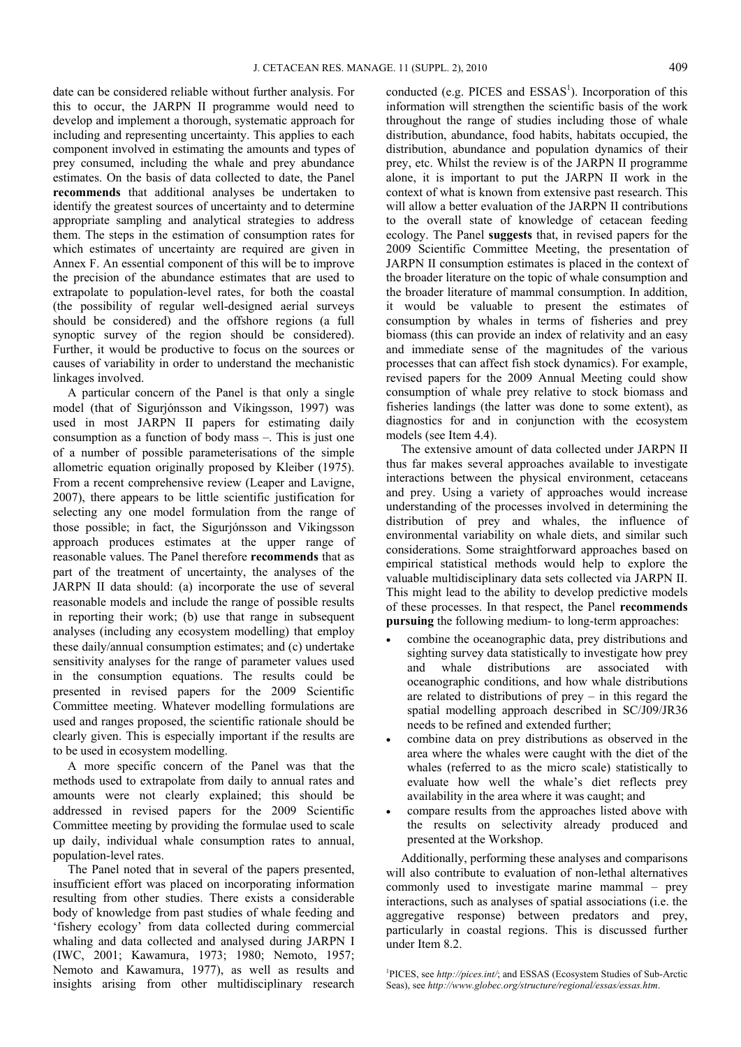date can be considered reliable without further analysis. For this to occur, the JARPN II programme would need to develop and implement a thorough, systematic approach for including and representing uncertainty. This applies to each component involved in estimating the amounts and types of prey consumed, including the whale and prey abundance estimates. On the basis of data collected to date, the Panel **recommends** that additional analyses be undertaken to identify the greatest sources of uncertainty and to determine appropriate sampling and analytical strategies to address them. The steps in the estimation of consumption rates for which estimates of uncertainty are required are given in Annex F. An essential component of this will be to improve the precision of the abundance estimates that are used to extrapolate to population-level rates, for both the coastal (the possibility of regular well-designed aerial surveys should be considered) and the offshore regions (a full synoptic survey of the region should be considered). Further, it would be productive to focus on the sources or causes of variability in order to understand the mechanistic linkages involved.

A particular concern of the Panel is that only a single model (that of Sigurjónsson and Víkingsson, 1997) was used in most JARPN II papers for estimating daily consumption as a function of body mass –. This is just one of a number of possible parameterisations of the simple allometric equation originally proposed by Kleiber (1975). From a recent comprehensive review (Leaper and Lavigne, 2007), there appears to be little scientific justification for selecting any one model formulation from the range of those possible; in fact, the Sigurjónsson and Vikingsson approach produces estimates at the upper range of reasonable values. The Panel therefore **recommends** that as part of the treatment of uncertainty, the analyses of the JARPN II data should: (a) incorporate the use of several reasonable models and include the range of possible results in reporting their work; (b) use that range in subsequent analyses (including any ecosystem modelling) that employ these daily/annual consumption estimates; and (c) undertake sensitivity analyses for the range of parameter values used in the consumption equations. The results could be presented in revised papers for the 2009 Scientific Committee meeting. Whatever modelling formulations are used and ranges proposed, the scientific rationale should be clearly given. This is especially important if the results are to be used in ecosystem modelling.

A more specific concern of the Panel was that the methods used to extrapolate from daily to annual rates and amounts were not clearly explained; this should be addressed in revised papers for the 2009 Scientific Committee meeting by providing the formulae used to scale up daily, individual whale consumption rates to annual, population-level rates.

The Panel noted that in several of the papers presented, insufficient effort was placed on incorporating information resulting from other studies. There exists a considerable body of knowledge from past studies of whale feeding and 'fishery ecology' from data collected during commercial whaling and data collected and analysed during JARPN I (IWC, 2001; Kawamura, 1973; 1980; Nemoto, 1957; Nemoto and Kawamura, 1977), as well as results and insights arising from other multidisciplinary research

conducted (e.g. PICES and  $ESSAS<sup>1</sup>$ ). Incorporation of this information will strengthen the scientific basis of the work throughout the range of studies including those of whale distribution, abundance, food habits, habitats occupied, the distribution, abundance and population dynamics of their prey, etc. Whilst the review is of the JARPN II programme alone, it is important to put the JARPN II work in the context of what is known from extensive past research. This will allow a better evaluation of the JARPN II contributions to the overall state of knowledge of cetacean feeding ecology. The Panel **suggests** that, in revised papers for the 2009 Scientific Committee Meeting, the presentation of JARPN II consumption estimates is placed in the context of the broader literature on the topic of whale consumption and the broader literature of mammal consumption. In addition, it would be valuable to present the estimates of consumption by whales in terms of fisheries and prey biomass (this can provide an index of relativity and an easy and immediate sense of the magnitudes of the various processes that can affect fish stock dynamics). For example, revised papers for the 2009 Annual Meeting could show consumption of whale prey relative to stock biomass and fisheries landings (the latter was done to some extent), as diagnostics for and in conjunction with the ecosystem models (see Item 4.4).

The extensive amount of data collected under JARPN II thus far makes several approaches available to investigate interactions between the physical environment, cetaceans and prey. Using a variety of approaches would increase understanding of the processes involved in determining the distribution of prey and whales, the influence of environmental variability on whale diets, and similar such considerations. Some straightforward approaches based on empirical statistical methods would help to explore the valuable multidisciplinary data sets collected via JARPN II. This might lead to the ability to develop predictive models of these processes. In that respect, the Panel **recommends pursuing** the following medium- to long-term approaches:

- combine the oceanographic data, prey distributions and sighting survey data statistically to investigate how prey and whale distributions are associated with oceanographic conditions, and how whale distributions are related to distributions of prey – in this regard the spatial modelling approach described in SC/J09/JR36 needs to be refined and extended further;
- combine data on prey distributions as observed in the area where the whales were caught with the diet of the whales (referred to as the micro scale) statistically to evaluate how well the whale's diet reflects prey availability in the area where it was caught; and
- compare results from the approaches listed above with the results on selectivity already produced and presented at the Workshop.

Additionally, performing these analyses and comparisons will also contribute to evaluation of non-lethal alternatives commonly used to investigate marine mammal – prey interactions, such as analyses of spatial associations (i.e. the aggregative response) between predators and prey, particularly in coastal regions. This is discussed further under Item 8.2.

<sup>&</sup>lt;sup>1</sup>PICES, see *http://pices.int/*; and ESSAS (Ecosystem Studies of Sub-Arctic Seas), see *http://www.globec.org/structure/regional/essas/essas.htm*.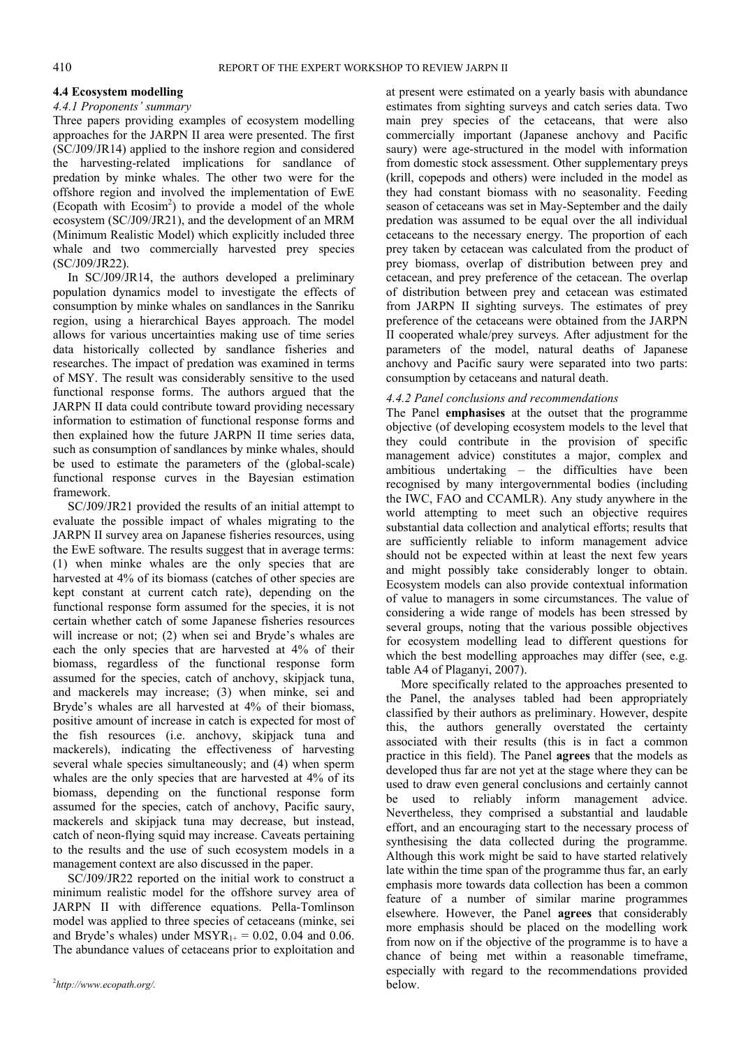#### **4.4 Ecosystem modelling**

### *4.4.1 Proponents' summary*

Three papers providing examples of ecosystem modelling approaches for the JARPN II area were presented. The first (SC/J09/JR14) applied to the inshore region and considered the harvesting-related implications for sandlance of predation by minke whales. The other two were for the offshore region and involved the implementation of EwE (Ecopath with Ecosim<sup>2</sup>) to provide a model of the whole ecosystem (SC/J09/JR21), and the development of an MRM (Minimum Realistic Model) which explicitly included three whale and two commercially harvested prey species (SC/J09/JR22).

In SC/J09/JR14, the authors developed a preliminary population dynamics model to investigate the effects of consumption by minke whales on sandlances in the Sanriku region, using a hierarchical Bayes approach. The model allows for various uncertainties making use of time series data historically collected by sandlance fisheries and researches. The impact of predation was examined in terms of MSY. The result was considerably sensitive to the used functional response forms. The authors argued that the JARPN II data could contribute toward providing necessary information to estimation of functional response forms and then explained how the future JARPN II time series data, such as consumption of sandlances by minke whales, should be used to estimate the parameters of the (global-scale) functional response curves in the Bayesian estimation framework.

SC/J09/JR21 provided the results of an initial attempt to evaluate the possible impact of whales migrating to the JARPN II survey area on Japanese fisheries resources, using the EwE software. The results suggest that in average terms: (1) when minke whales are the only species that are harvested at 4% of its biomass (catches of other species are kept constant at current catch rate), depending on the functional response form assumed for the species, it is not certain whether catch of some Japanese fisheries resources will increase or not; (2) when sei and Bryde's whales are each the only species that are harvested at 4% of their biomass, regardless of the functional response form assumed for the species, catch of anchovy, skipjack tuna, and mackerels may increase; (3) when minke, sei and Bryde's whales are all harvested at 4% of their biomass, positive amount of increase in catch is expected for most of the fish resources (i.e. anchovy, skipjack tuna and mackerels), indicating the effectiveness of harvesting several whale species simultaneously; and (4) when sperm whales are the only species that are harvested at 4% of its biomass, depending on the functional response form assumed for the species, catch of anchovy, Pacific saury, mackerels and skipjack tuna may decrease, but instead, catch of neon-flying squid may increase. Caveats pertaining to the results and the use of such ecosystem models in a management context are also discussed in the paper.

SC/J09/JR22 reported on the initial work to construct a minimum realistic model for the offshore survey area of JARPN II with difference equations. Pella-Tomlinson model was applied to three species of cetaceans (minke, sei and Bryde's whales) under  $MSYR_{1+} = 0.02$ , 0.04 and 0.06. The abundance values of cetaceans prior to exploitation and

at present were estimated on a yearly basis with abundance estimates from sighting surveys and catch series data. Two main prey species of the cetaceans, that were also commercially important (Japanese anchovy and Pacific saury) were age-structured in the model with information from domestic stock assessment. Other supplementary preys (krill, copepods and others) were included in the model as they had constant biomass with no seasonality. Feeding season of cetaceans was set in May-September and the daily predation was assumed to be equal over the all individual cetaceans to the necessary energy. The proportion of each prey taken by cetacean was calculated from the product of prey biomass, overlap of distribution between prey and cetacean, and prey preference of the cetacean. The overlap of distribution between prey and cetacean was estimated from JARPN II sighting surveys. The estimates of prey preference of the cetaceans were obtained from the JARPN II cooperated whale/prey surveys. After adjustment for the parameters of the model, natural deaths of Japanese anchovy and Pacific saury were separated into two parts: consumption by cetaceans and natural death.

#### *4.4.2 Panel conclusions and recommendations*

The Panel **emphasises** at the outset that the programme objective (of developing ecosystem models to the level that they could contribute in the provision of specific management advice) constitutes a major, complex and ambitious undertaking – the difficulties have been recognised by many intergovernmental bodies (including the IWC, FAO and CCAMLR). Any study anywhere in the world attempting to meet such an objective requires substantial data collection and analytical efforts; results that are sufficiently reliable to inform management advice should not be expected within at least the next few years and might possibly take considerably longer to obtain. Ecosystem models can also provide contextual information of value to managers in some circumstances. The value of considering a wide range of models has been stressed by several groups, noting that the various possible objectives for ecosystem modelling lead to different questions for which the best modelling approaches may differ (see, e.g. table A4 of Plaganyi, 2007).

More specifically related to the approaches presented to the Panel, the analyses tabled had been appropriately classified by their authors as preliminary. However, despite this, the authors generally overstated the certainty associated with their results (this is in fact a common practice in this field). The Panel **agrees** that the models as developed thus far are not yet at the stage where they can be used to draw even general conclusions and certainly cannot be used to reliably inform management advice. Nevertheless, they comprised a substantial and laudable effort, and an encouraging start to the necessary process of synthesising the data collected during the programme. Although this work might be said to have started relatively late within the time span of the programme thus far, an early emphasis more towards data collection has been a common feature of a number of similar marine programmes elsewhere. However, the Panel **agrees** that considerably more emphasis should be placed on the modelling work from now on if the objective of the programme is to have a chance of being met within a reasonable timeframe, especially with regard to the recommendations provided below.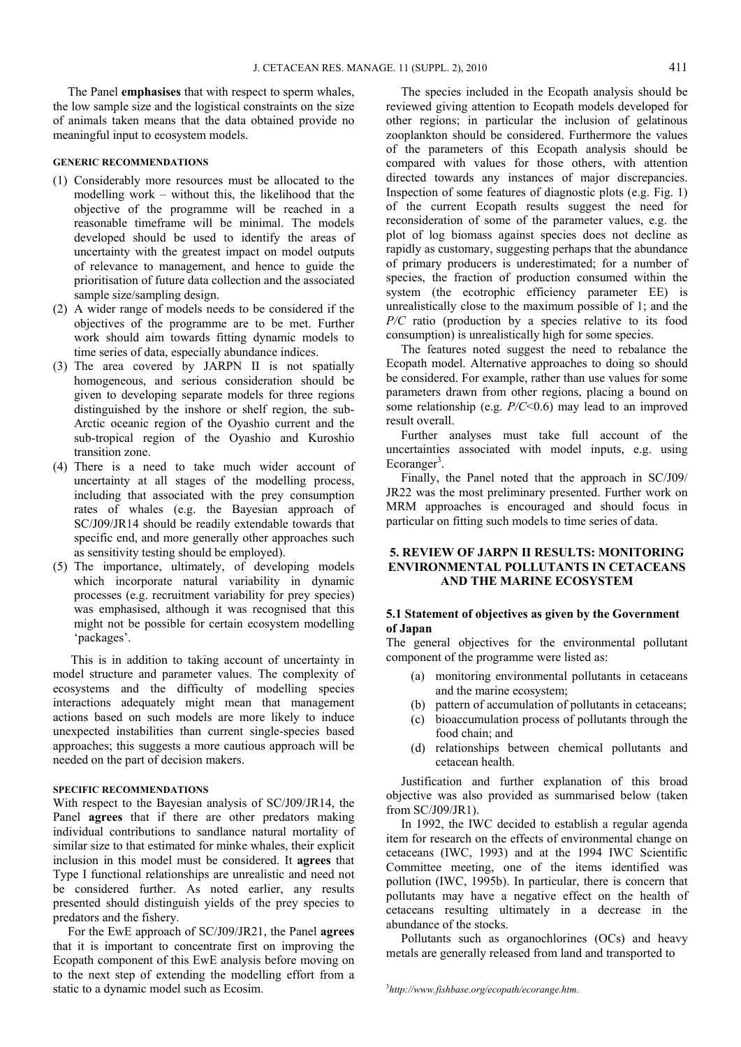The Panel **emphasises** that with respect to sperm whales, the low sample size and the logistical constraints on the size of animals taken means that the data obtained provide no meaningful input to ecosystem models.

### **GENERIC RECOMMENDATIONS**

- (1) Considerably more resources must be allocated to the modelling work – without this, the likelihood that the objective of the programme will be reached in a reasonable timeframe will be minimal. The models developed should be used to identify the areas of uncertainty with the greatest impact on model outputs of relevance to management, and hence to guide the prioritisation of future data collection and the associated sample size/sampling design.
- (2) A wider range of models needs to be considered if the objectives of the programme are to be met. Further work should aim towards fitting dynamic models to time series of data, especially abundance indices.
- (3) The area covered by JARPN II is not spatially homogeneous, and serious consideration should be given to developing separate models for three regions distinguished by the inshore or shelf region, the sub-Arctic oceanic region of the Oyashio current and the sub-tropical region of the Oyashio and Kuroshio transition zone.
- (4) There is a need to take much wider account of uncertainty at all stages of the modelling process, including that associated with the prey consumption rates of whales (e.g. the Bayesian approach of SC/J09/JR14 should be readily extendable towards that specific end, and more generally other approaches such as sensitivity testing should be employed).
- (5) The importance, ultimately, of developing models which incorporate natural variability in dynamic processes (e.g. recruitment variability for prey species) was emphasised, although it was recognised that this might not be possible for certain ecosystem modelling 'packages'.

 This is in addition to taking account of uncertainty in model structure and parameter values. The complexity of ecosystems and the difficulty of modelling species interactions adequately might mean that management actions based on such models are more likely to induce unexpected instabilities than current single-species based approaches; this suggests a more cautious approach will be needed on the part of decision makers.

#### **SPECIFIC RECOMMENDATIONS**

With respect to the Bayesian analysis of SC/J09/JR14, the Panel **agrees** that if there are other predators making individual contributions to sandlance natural mortality of similar size to that estimated for minke whales, their explicit inclusion in this model must be considered. It **agrees** that Type I functional relationships are unrealistic and need not be considered further. As noted earlier, any results presented should distinguish yields of the prey species to predators and the fishery.

For the EwE approach of SC/J09/JR21, the Panel **agrees** that it is important to concentrate first on improving the Ecopath component of this EwE analysis before moving on to the next step of extending the modelling effort from a static to a dynamic model such as Ecosim.

The species included in the Ecopath analysis should be reviewed giving attention to Ecopath models developed for other regions; in particular the inclusion of gelatinous zooplankton should be considered. Furthermore the values of the parameters of this Ecopath analysis should be compared with values for those others, with attention directed towards any instances of major discrepancies. Inspection of some features of diagnostic plots (e.g. Fig. 1) of the current Ecopath results suggest the need for reconsideration of some of the parameter values, e.g. the plot of log biomass against species does not decline as rapidly as customary, suggesting perhaps that the abundance of primary producers is underestimated; for a number of species, the fraction of production consumed within the system (the ecotrophic efficiency parameter EE) is unrealistically close to the maximum possible of 1; and the *P/C* ratio (production by a species relative to its food consumption) is unrealistically high for some species.

The features noted suggest the need to rebalance the Ecopath model. Alternative approaches to doing so should be considered. For example, rather than use values for some parameters drawn from other regions, placing a bound on some relationship (e.g. *P/C*<0.6) may lead to an improved result overall.

Further analyses must take full account of the uncertainties associated with model inputs, e.g. using Ecoranger<sup>3</sup>.

Finally, the Panel noted that the approach in SC/J09/ JR22 was the most preliminary presented. Further work on MRM approaches is encouraged and should focus in particular on fitting such models to time series of data.

#### **5. REVIEW OF JARPN II RESULTS: MONITORING ENVIRONMENTAL POLLUTANTS IN CETACEANS AND THE MARINE ECOSYSTEM**

#### **5.1 Statement of objectives as given by the Government of Japan**

The general objectives for the environmental pollutant component of the programme were listed as:

- (a) monitoring environmental pollutants in cetaceans and the marine ecosystem;
- (b) pattern of accumulation of pollutants in cetaceans;
- (c) bioaccumulation process of pollutants through the food chain; and
- (d) relationships between chemical pollutants and cetacean health.

Justification and further explanation of this broad objective was also provided as summarised below (taken from SC/J09/JR1).

In 1992, the IWC decided to establish a regular agenda item for research on the effects of environmental change on cetaceans (IWC, 1993) and at the 1994 IWC Scientific Committee meeting, one of the items identified was pollution (IWC, 1995b). In particular, there is concern that pollutants may have a negative effect on the health of cetaceans resulting ultimately in a decrease in the abundance of the stocks.

Pollutants such as organochlorines (OCs) and heavy metals are generally released from land and transported to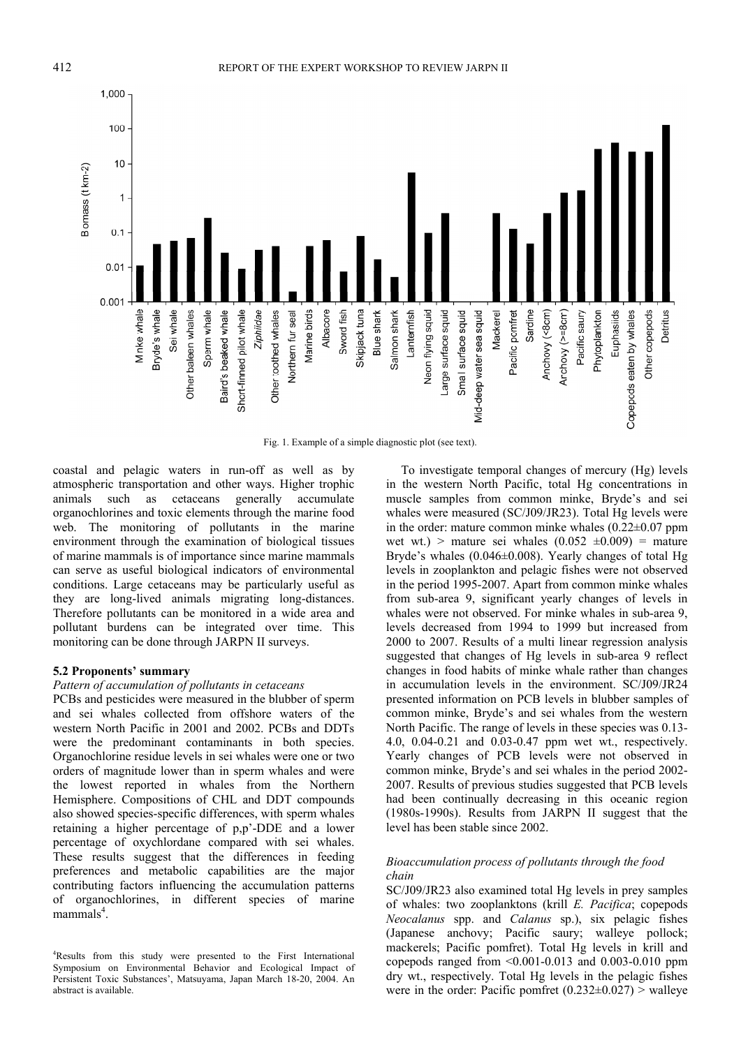

Fig. 1. Example of a simple diagnostic plot (see text).

coastal and pelagic waters in run-off as well as by atmospheric transportation and other ways. Higher trophic animals such as cetaceans generally accumulate organochlorines and toxic elements through the marine food web. The monitoring of pollutants in the marine environment through the examination of biological tissues of marine mammals is of importance since marine mammals can serve as useful biological indicators of environmental conditions. Large cetaceans may be particularly useful as they are long-lived animals migrating long-distances. Therefore pollutants can be monitored in a wide area and pollutant burdens can be integrated over time. This monitoring can be done through JARPN II surveys.

#### **5.2 Proponents' summary**

#### *Pattern of accumulation of pollutants in cetaceans*

PCBs and pesticides were measured in the blubber of sperm and sei whales collected from offshore waters of the western North Pacific in 2001 and 2002. PCBs and DDTs were the predominant contaminants in both species. Organochlorine residue levels in sei whales were one or two orders of magnitude lower than in sperm whales and were the lowest reported in whales from the Northern Hemisphere. Compositions of CHL and DDT compounds also showed species-specific differences, with sperm whales retaining a higher percentage of p,p'-DDE and a lower percentage of oxychlordane compared with sei whales. These results suggest that the differences in feeding preferences and metabolic capabilities are the major contributing factors influencing the accumulation patterns of organochlorines, in different species of marine  $m$ ammals<sup>4</sup>.

To investigate temporal changes of mercury (Hg) levels in the western North Pacific, total Hg concentrations in muscle samples from common minke, Bryde's and sei whales were measured (SC/J09/JR23). Total Hg levels were in the order: mature common minke whales  $(0.22 \pm 0.07)$  ppm wet wt.) > mature sei whales  $(0.052 \pm 0.009)$  = mature Bryde's whales (0.046±0.008). Yearly changes of total Hg levels in zooplankton and pelagic fishes were not observed in the period 1995-2007. Apart from common minke whales from sub-area 9, significant yearly changes of levels in whales were not observed. For minke whales in sub-area 9, levels decreased from 1994 to 1999 but increased from 2000 to 2007. Results of a multi linear regression analysis suggested that changes of Hg levels in sub-area 9 reflect changes in food habits of minke whale rather than changes in accumulation levels in the environment. SC/J09/JR24 presented information on PCB levels in blubber samples of common minke, Bryde's and sei whales from the western North Pacific. The range of levels in these species was 0.13- 4.0, 0.04-0.21 and 0.03-0.47 ppm wet wt., respectively. Yearly changes of PCB levels were not observed in common minke, Bryde's and sei whales in the period 2002- 2007. Results of previous studies suggested that PCB levels had been continually decreasing in this oceanic region (1980s-1990s). Results from JARPN II suggest that the level has been stable since 2002.

#### *Bioaccumulation process of pollutants through the food chain*

SC/J09/JR23 also examined total Hg levels in prey samples of whales: two zooplanktons (krill *E. Pacifica*; copepods *Neocalanus* spp. and *Calanus* sp.), six pelagic fishes (Japanese anchovy; Pacific saury; walleye pollock; mackerels; Pacific pomfret). Total Hg levels in krill and copepods ranged from  $\leq 0.001 - 0.013$  and 0.003-0.010 ppm dry wt., respectively. Total Hg levels in the pelagic fishes were in the order: Pacific pomfret  $(0.232 \pm 0.027)$  > walleye

<sup>&</sup>lt;sup>4</sup>Results from this study were presented to the First International Symposium on Environmental Behavior and Ecological Impact of Persistent Toxic Substances', Matsuyama, Japan March 18-20, 2004. An abstract is available.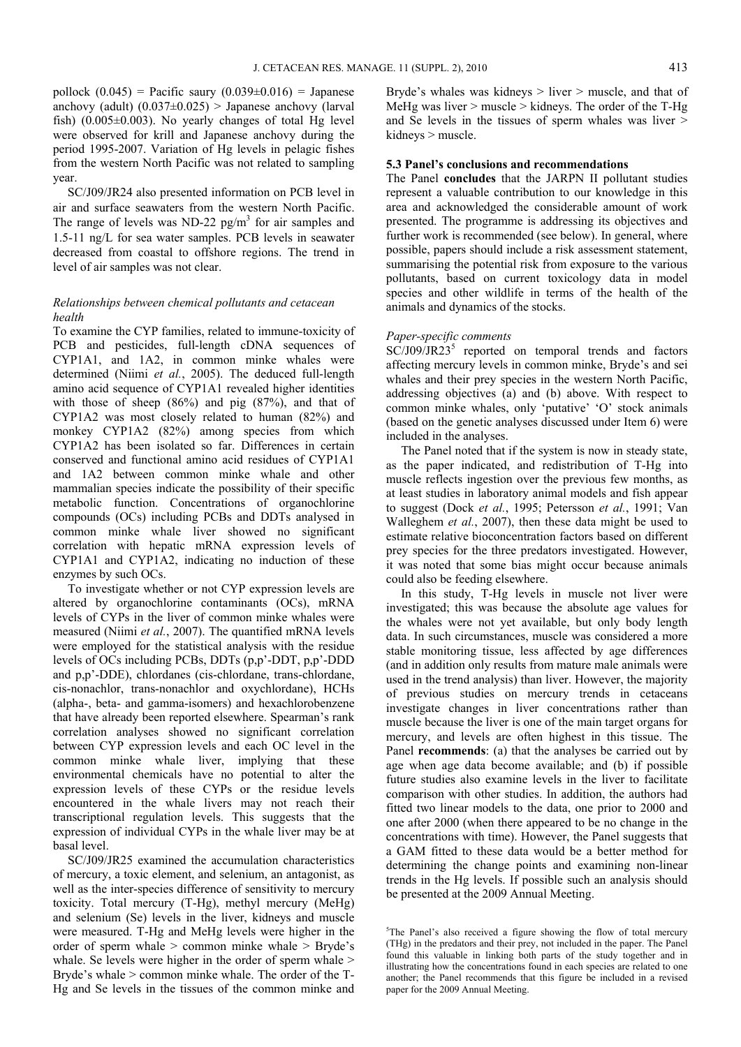pollock  $(0.045)$  = Pacific saury  $(0.039\pm0.016)$  = Japanese anchovy (adult)  $(0.037 \pm 0.025)$  > Japanese anchovy (larval fish)  $(0.005\pm0.003)$ . No yearly changes of total Hg level were observed for krill and Japanese anchovy during the period 1995-2007. Variation of Hg levels in pelagic fishes from the western North Pacific was not related to sampling year.

SC/J09/JR24 also presented information on PCB level in air and surface seawaters from the western North Pacific. The range of levels was ND-22  $pg/m<sup>3</sup>$  for air samples and 1.5-11 ng/L for sea water samples. PCB levels in seawater decreased from coastal to offshore regions. The trend in level of air samples was not clear.

#### *Relationships between chemical pollutants and cetacean health*

To examine the CYP families, related to immune-toxicity of PCB and pesticides, full-length cDNA sequences of CYP1A1, and 1A2, in common minke whales were determined (Niimi *et al.*, 2005). The deduced full-length amino acid sequence of CYP1A1 revealed higher identities with those of sheep (86%) and pig (87%), and that of CYP1A2 was most closely related to human (82%) and monkey CYP1A2 (82%) among species from which CYP1A2 has been isolated so far. Differences in certain conserved and functional amino acid residues of CYP1A1 and 1A2 between common minke whale and other mammalian species indicate the possibility of their specific metabolic function. Concentrations of organochlorine compounds (OCs) including PCBs and DDTs analysed in common minke whale liver showed no significant correlation with hepatic mRNA expression levels of CYP1A1 and CYP1A2, indicating no induction of these enzymes by such OCs.

To investigate whether or not CYP expression levels are altered by organochlorine contaminants (OCs), mRNA levels of CYPs in the liver of common minke whales were measured (Niimi *et al.*, 2007). The quantified mRNA levels were employed for the statistical analysis with the residue levels of OCs including PCBs, DDTs (p,p'-DDT, p,p'-DDD and p,p'-DDE), chlordanes (cis-chlordane, trans-chlordane, cis-nonachlor, trans-nonachlor and oxychlordane), HCHs (alpha-, beta- and gamma-isomers) and hexachlorobenzene that have already been reported elsewhere. Spearman's rank correlation analyses showed no significant correlation between CYP expression levels and each OC level in the common minke whale liver, implying that these environmental chemicals have no potential to alter the expression levels of these CYPs or the residue levels encountered in the whale livers may not reach their transcriptional regulation levels. This suggests that the expression of individual CYPs in the whale liver may be at basal level.

SC/J09/JR25 examined the accumulation characteristics of mercury, a toxic element, and selenium, an antagonist, as well as the inter-species difference of sensitivity to mercury toxicity. Total mercury (T-Hg), methyl mercury (MeHg) and selenium (Se) levels in the liver, kidneys and muscle were measured. T-Hg and MeHg levels were higher in the order of sperm whale > common minke whale > Bryde's whale. Se levels were higher in the order of sperm whale > Bryde's whale > common minke whale. The order of the T-Hg and Se levels in the tissues of the common minke and Bryde's whales was kidneys  $>$  liver  $>$  muscle, and that of MeHg was liver  $>$  muscle  $>$  kidneys. The order of the T-Hg and Se levels in the tissues of sperm whales was liver  $>$ kidneys > muscle.

#### **5.3 Panel's conclusions and recommendations**

The Panel **concludes** that the JARPN II pollutant studies represent a valuable contribution to our knowledge in this area and acknowledged the considerable amount of work presented. The programme is addressing its objectives and further work is recommended (see below). In general, where possible, papers should include a risk assessment statement, summarising the potential risk from exposure to the various pollutants, based on current toxicology data in model species and other wildlife in terms of the health of the animals and dynamics of the stocks.

#### *Paper-specific comments*

SC/J09/JR23<sup>5</sup> reported on temporal trends and factors affecting mercury levels in common minke, Bryde's and sei whales and their prey species in the western North Pacific, addressing objectives (a) and (b) above. With respect to common minke whales, only 'putative' 'O' stock animals (based on the genetic analyses discussed under Item 6) were included in the analyses.

The Panel noted that if the system is now in steady state, as the paper indicated, and redistribution of T-Hg into muscle reflects ingestion over the previous few months, as at least studies in laboratory animal models and fish appear to suggest (Dock *et al.*, 1995; Petersson *et al.*, 1991; Van Walleghem *et al.*, 2007), then these data might be used to estimate relative bioconcentration factors based on different prey species for the three predators investigated. However, it was noted that some bias might occur because animals could also be feeding elsewhere.

In this study, T-Hg levels in muscle not liver were investigated; this was because the absolute age values for the whales were not yet available, but only body length data. In such circumstances, muscle was considered a more stable monitoring tissue, less affected by age differences (and in addition only results from mature male animals were used in the trend analysis) than liver. However, the majority of previous studies on mercury trends in cetaceans investigate changes in liver concentrations rather than muscle because the liver is one of the main target organs for mercury, and levels are often highest in this tissue. The Panel **recommends**: (a) that the analyses be carried out by age when age data become available; and (b) if possible future studies also examine levels in the liver to facilitate comparison with other studies. In addition, the authors had fitted two linear models to the data, one prior to 2000 and one after 2000 (when there appeared to be no change in the concentrations with time). However, the Panel suggests that a GAM fitted to these data would be a better method for determining the change points and examining non-linear trends in the Hg levels. If possible such an analysis should be presented at the 2009 Annual Meeting.

<sup>&</sup>lt;sup>5</sup>The Panel's also received a figure showing the flow of total mercury (THg) in the predators and their prey, not included in the paper. The Panel found this valuable in linking both parts of the study together and in illustrating how the concentrations found in each species are related to one another; the Panel recommends that this figure be included in a revised paper for the 2009 Annual Meeting.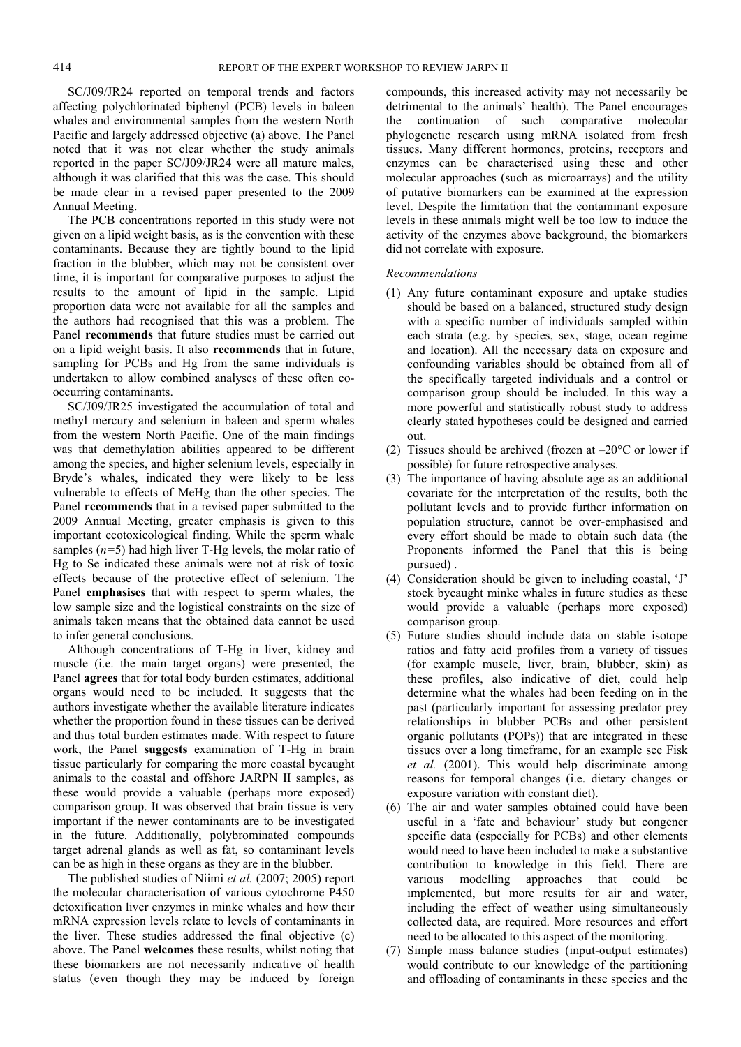SC/J09/JR24 reported on temporal trends and factors affecting polychlorinated biphenyl (PCB) levels in baleen whales and environmental samples from the western North Pacific and largely addressed objective (a) above. The Panel noted that it was not clear whether the study animals reported in the paper SC/J09/JR24 were all mature males, although it was clarified that this was the case. This should be made clear in a revised paper presented to the 2009 Annual Meeting.

The PCB concentrations reported in this study were not given on a lipid weight basis, as is the convention with these contaminants. Because they are tightly bound to the lipid fraction in the blubber, which may not be consistent over time, it is important for comparative purposes to adjust the results to the amount of lipid in the sample. Lipid proportion data were not available for all the samples and the authors had recognised that this was a problem. The Panel **recommends** that future studies must be carried out on a lipid weight basis. It also **recommends** that in future, sampling for PCBs and Hg from the same individuals is undertaken to allow combined analyses of these often cooccurring contaminants.

SC/J09/JR25 investigated the accumulation of total and methyl mercury and selenium in baleen and sperm whales from the western North Pacific. One of the main findings was that demethylation abilities appeared to be different among the species, and higher selenium levels, especially in Bryde's whales, indicated they were likely to be less vulnerable to effects of MeHg than the other species. The Panel **recommends** that in a revised paper submitted to the 2009 Annual Meeting, greater emphasis is given to this important ecotoxicological finding. While the sperm whale samples (*n=*5) had high liver T-Hg levels, the molar ratio of Hg to Se indicated these animals were not at risk of toxic effects because of the protective effect of selenium. The Panel **emphasises** that with respect to sperm whales, the low sample size and the logistical constraints on the size of animals taken means that the obtained data cannot be used to infer general conclusions.

Although concentrations of T-Hg in liver, kidney and muscle (i.e. the main target organs) were presented, the Panel **agrees** that for total body burden estimates, additional organs would need to be included. It suggests that the authors investigate whether the available literature indicates whether the proportion found in these tissues can be derived and thus total burden estimates made. With respect to future work, the Panel **suggests** examination of T-Hg in brain tissue particularly for comparing the more coastal bycaught animals to the coastal and offshore JARPN II samples, as these would provide a valuable (perhaps more exposed) comparison group. It was observed that brain tissue is very important if the newer contaminants are to be investigated in the future. Additionally, polybrominated compounds target adrenal glands as well as fat, so contaminant levels can be as high in these organs as they are in the blubber.

The published studies of Niimi *et al.* (2007; 2005) report the molecular characterisation of various cytochrome P450 detoxification liver enzymes in minke whales and how their mRNA expression levels relate to levels of contaminants in the liver. These studies addressed the final objective (c) above. The Panel **welcomes** these results, whilst noting that these biomarkers are not necessarily indicative of health status (even though they may be induced by foreign

compounds, this increased activity may not necessarily be detrimental to the animals' health). The Panel encourages the continuation of such comparative molecular phylogenetic research using mRNA isolated from fresh tissues. Many different hormones, proteins, receptors and enzymes can be characterised using these and other molecular approaches (such as microarrays) and the utility of putative biomarkers can be examined at the expression level. Despite the limitation that the contaminant exposure levels in these animals might well be too low to induce the activity of the enzymes above background, the biomarkers did not correlate with exposure.

#### *Recommendations*

- (1) Any future contaminant exposure and uptake studies should be based on a balanced, structured study design with a specific number of individuals sampled within each strata (e.g. by species, sex, stage, ocean regime and location). All the necessary data on exposure and confounding variables should be obtained from all of the specifically targeted individuals and a control or comparison group should be included. In this way a more powerful and statistically robust study to address clearly stated hypotheses could be designed and carried out.
- (2) Tissues should be archived (frozen at  $-20^{\circ}$ C or lower if possible) for future retrospective analyses.
- (3) The importance of having absolute age as an additional covariate for the interpretation of the results, both the pollutant levels and to provide further information on population structure, cannot be over-emphasised and every effort should be made to obtain such data (the Proponents informed the Panel that this is being pursued) .
- (4) Consideration should be given to including coastal, 'J' stock bycaught minke whales in future studies as these would provide a valuable (perhaps more exposed) comparison group.
- (5) Future studies should include data on stable isotope ratios and fatty acid profiles from a variety of tissues (for example muscle, liver, brain, blubber, skin) as these profiles, also indicative of diet, could help determine what the whales had been feeding on in the past (particularly important for assessing predator prey relationships in blubber PCBs and other persistent organic pollutants (POPs)) that are integrated in these tissues over a long timeframe, for an example see Fisk *et al.* (2001). This would help discriminate among reasons for temporal changes (i.e. dietary changes or exposure variation with constant diet).
- (6) The air and water samples obtained could have been useful in a 'fate and behaviour' study but congener specific data (especially for PCBs) and other elements would need to have been included to make a substantive contribution to knowledge in this field. There are various modelling approaches that could be implemented, but more results for air and water, including the effect of weather using simultaneously collected data, are required. More resources and effort need to be allocated to this aspect of the monitoring.
- (7) Simple mass balance studies (input-output estimates) would contribute to our knowledge of the partitioning and offloading of contaminants in these species and the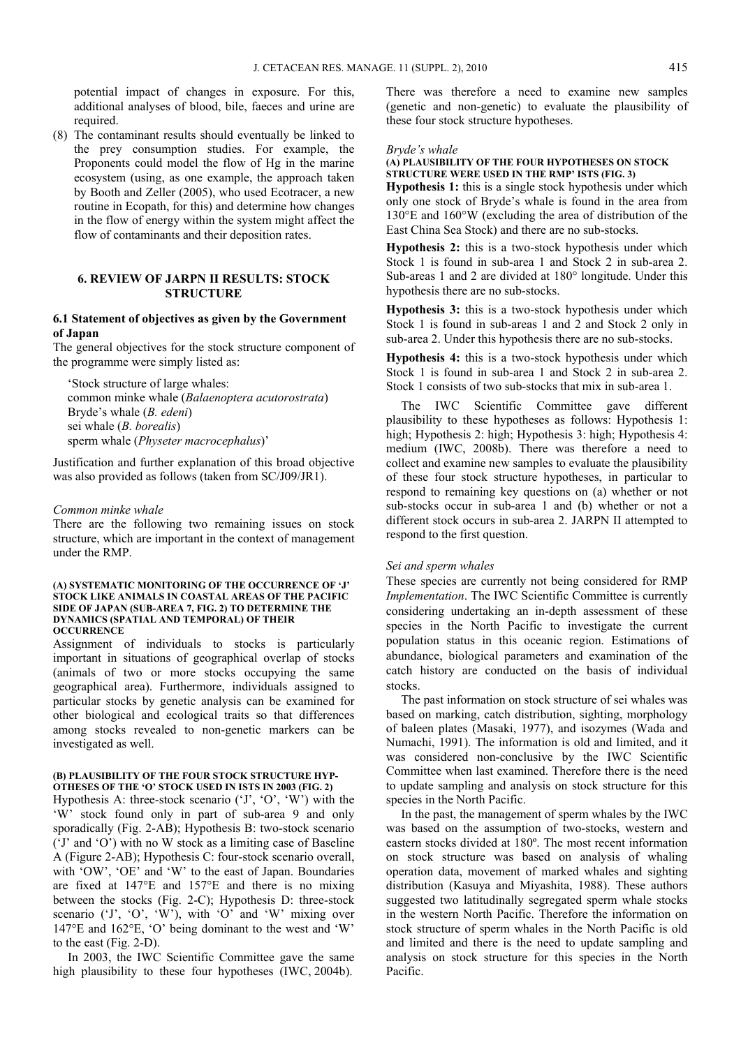potential impact of changes in exposure. For this, additional analyses of blood, bile, faeces and urine are required.

(8) The contaminant results should eventually be linked to the prey consumption studies. For example, the Proponents could model the flow of Hg in the marine ecosystem (using, as one example, the approach taken by Booth and Zeller (2005), who used Ecotracer, a new routine in Ecopath, for this) and determine how changes in the flow of energy within the system might affect the flow of contaminants and their deposition rates.

#### **6. REVIEW OF JARPN II RESULTS: STOCK STRUCTURE**

#### **6.1 Statement of objectives as given by the Government of Japan**

The general objectives for the stock structure component of the programme were simply listed as:

'Stock structure of large whales: common minke whale (*Balaenoptera acutorostrata*) Bryde's whale (*B. edeni*) sei whale (*B. borealis*) sperm whale (*Physeter macrocephalus*)'

Justification and further explanation of this broad objective was also provided as follows (taken from SC/J09/JR1).

#### *Common minke whale*

There are the following two remaining issues on stock structure, which are important in the context of management under the RMP.

#### **(A) SYSTEMATIC MONITORING OF THE OCCURRENCE OF 'J' STOCK LIKE ANIMALS IN COASTAL AREAS OF THE PACIFIC SIDE OF JAPAN (SUB-AREA 7, FIG. 2) TO DETERMINE THE DYNAMICS (SPATIAL AND TEMPORAL) OF THEIR OCCURRENCE**

Assignment of individuals to stocks is particularly important in situations of geographical overlap of stocks (animals of two or more stocks occupying the same geographical area). Furthermore, individuals assigned to particular stocks by genetic analysis can be examined for other biological and ecological traits so that differences among stocks revealed to non-genetic markers can be investigated as well.

#### **(B) PLAUSIBILITY OF THE FOUR STOCK STRUCTURE HYP-OTHESES OF THE 'O' STOCK USED IN ISTS IN 2003 (FIG. 2)**

Hypothesis A: three-stock scenario  $( 'J', 'O', 'W')$  with the 'W' stock found only in part of sub-area 9 and only sporadically (Fig. 2-AB); Hypothesis B: two-stock scenario ('J' and 'O') with no W stock as a limiting case of Baseline A (Figure 2-AB); Hypothesis C: four-stock scenario overall, with 'OW', 'OE' and 'W' to the east of Japan. Boundaries are fixed at 147°E and 157°E and there is no mixing between the stocks (Fig. 2-C); Hypothesis D: three-stock scenario  $('J', 'O', 'W')$ , with 'O' and 'W' mixing over 147°E and 162°E, 'O' being dominant to the west and 'W' to the east (Fig. 2-D).

In 2003, the IWC Scientific Committee gave the same high plausibility to these four hypotheses (IWC, 2004b).

There was therefore a need to examine new samples (genetic and non-genetic) to evaluate the plausibility of these four stock structure hypotheses.

#### *Bryde's whale*

#### **(A) PLAUSIBILITY OF THE FOUR HYPOTHESES ON STOCK STRUCTURE WERE USED IN THE RMP' ISTS (FIG. 3)**

**Hypothesis 1:** this is a single stock hypothesis under which only one stock of Bryde's whale is found in the area from 130°E and 160°W (excluding the area of distribution of the East China Sea Stock) and there are no sub-stocks.

**Hypothesis 2:** this is a two-stock hypothesis under which Stock 1 is found in sub-area 1 and Stock 2 in sub-area 2. Sub-areas 1 and 2 are divided at 180° longitude. Under this hypothesis there are no sub-stocks.

**Hypothesis 3:** this is a two-stock hypothesis under which Stock 1 is found in sub-areas 1 and 2 and Stock 2 only in sub-area 2. Under this hypothesis there are no sub-stocks.

**Hypothesis 4:** this is a two-stock hypothesis under which Stock 1 is found in sub-area 1 and Stock 2 in sub-area 2. Stock 1 consists of two sub-stocks that mix in sub-area 1.

The IWC Scientific Committee gave different plausibility to these hypotheses as follows: Hypothesis 1: high; Hypothesis 2: high; Hypothesis 3: high; Hypothesis 4: medium (IWC, 2008b). There was therefore a need to collect and examine new samples to evaluate the plausibility of these four stock structure hypotheses, in particular to respond to remaining key questions on (a) whether or not sub-stocks occur in sub-area 1 and (b) whether or not a different stock occurs in sub-area 2. JARPN II attempted to respond to the first question.

#### *Sei and sperm whales*

These species are currently not being considered for RMP *Implementation*. The IWC Scientific Committee is currently considering undertaking an in-depth assessment of these species in the North Pacific to investigate the current population status in this oceanic region. Estimations of abundance, biological parameters and examination of the catch history are conducted on the basis of individual stocks.

The past information on stock structure of sei whales was based on marking, catch distribution, sighting, morphology of baleen plates (Masaki, 1977), and isozymes (Wada and Numachi, 1991). The information is old and limited, and it was considered non-conclusive by the IWC Scientific Committee when last examined. Therefore there is the need to update sampling and analysis on stock structure for this species in the North Pacific.

In the past, the management of sperm whales by the IWC was based on the assumption of two-stocks, western and eastern stocks divided at 180º. The most recent information on stock structure was based on analysis of whaling operation data, movement of marked whales and sighting distribution (Kasuya and Miyashita, 1988). These authors suggested two latitudinally segregated sperm whale stocks in the western North Pacific. Therefore the information on stock structure of sperm whales in the North Pacific is old and limited and there is the need to update sampling and analysis on stock structure for this species in the North Pacific.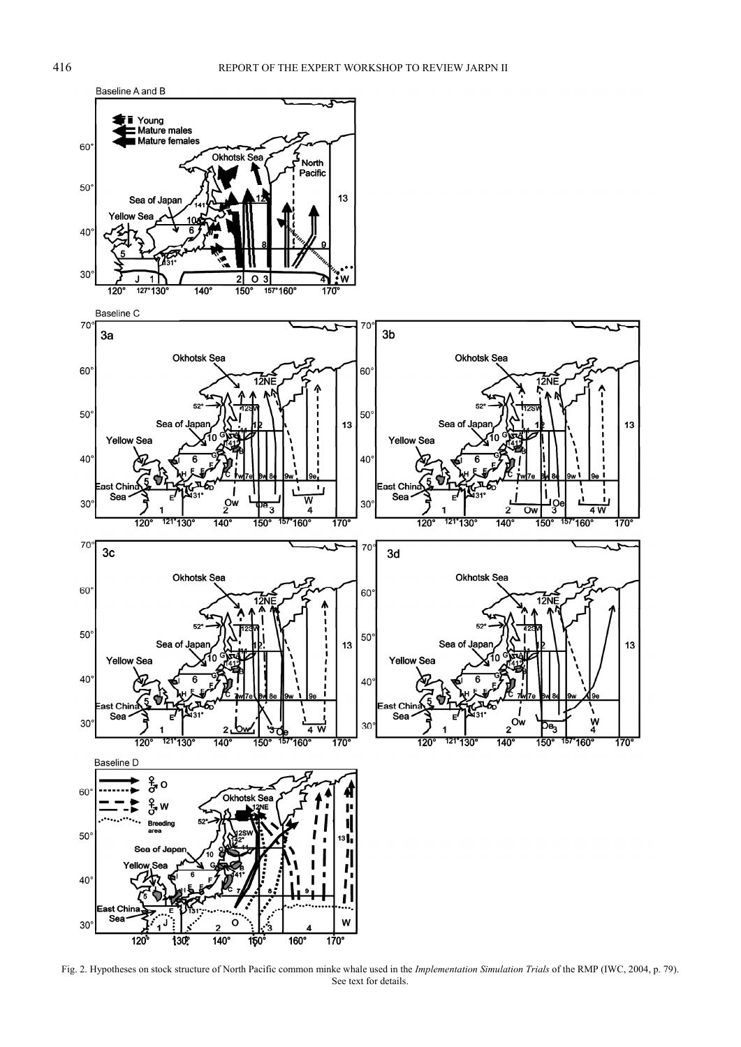

Fig. 2. Hypotheses on stock structure of North Pacific common minke whale used in the *Implementation Simulation Trials* of the RMP (IWC, 2004, p. 79). See text for details.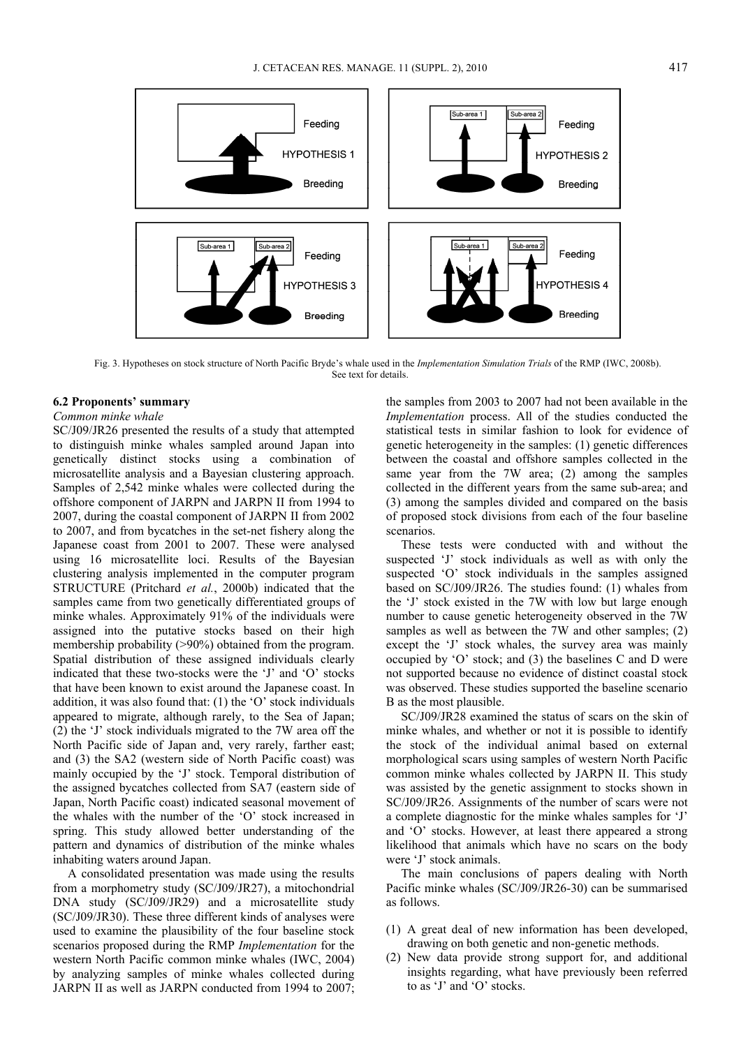

Fig. 3. Hypotheses on stock structure of North Pacific Bryde's whale used in the *Implementation Simulation Trials* of the RMP (IWC, 2008b). See text for details.

#### **6.2 Proponents' summary**

### *Common minke whale*

SC/J09/JR26 presented the results of a study that attempted to distinguish minke whales sampled around Japan into genetically distinct stocks using a combination of microsatellite analysis and a Bayesian clustering approach. Samples of 2,542 minke whales were collected during the offshore component of JARPN and JARPN II from 1994 to 2007, during the coastal component of JARPN II from 2002 to 2007, and from bycatches in the set-net fishery along the Japanese coast from 2001 to 2007. These were analysed using 16 microsatellite loci. Results of the Bayesian clustering analysis implemented in the computer program STRUCTURE (Pritchard *et al.*, 2000b) indicated that the samples came from two genetically differentiated groups of minke whales. Approximately 91% of the individuals were assigned into the putative stocks based on their high membership probability (>90%) obtained from the program. Spatial distribution of these assigned individuals clearly indicated that these two-stocks were the 'J' and 'O' stocks that have been known to exist around the Japanese coast. In addition, it was also found that: (1) the 'O' stock individuals appeared to migrate, although rarely, to the Sea of Japan; (2) the 'J' stock individuals migrated to the 7W area off the North Pacific side of Japan and, very rarely, farther east; and (3) the SA2 (western side of North Pacific coast) was mainly occupied by the 'J' stock. Temporal distribution of the assigned bycatches collected from SA7 (eastern side of Japan, North Pacific coast) indicated seasonal movement of the whales with the number of the 'O' stock increased in spring. This study allowed better understanding of the pattern and dynamics of distribution of the minke whales inhabiting waters around Japan.

A consolidated presentation was made using the results from a morphometry study (SC/J09/JR27), a mitochondrial DNA study (SC/J09/JR29) and a microsatellite study (SC/J09/JR30). These three different kinds of analyses were used to examine the plausibility of the four baseline stock scenarios proposed during the RMP *Implementation* for the western North Pacific common minke whales (IWC, 2004) by analyzing samples of minke whales collected during JARPN II as well as JARPN conducted from 1994 to 2007;

the samples from 2003 to 2007 had not been available in the *Implementation* process. All of the studies conducted the statistical tests in similar fashion to look for evidence of genetic heterogeneity in the samples: (1) genetic differences between the coastal and offshore samples collected in the same year from the 7W area; (2) among the samples collected in the different years from the same sub-area; and (3) among the samples divided and compared on the basis of proposed stock divisions from each of the four baseline scenarios.

These tests were conducted with and without the suspected 'J' stock individuals as well as with only the suspected 'O' stock individuals in the samples assigned based on SC/J09/JR26. The studies found: (1) whales from the 'J' stock existed in the 7W with low but large enough number to cause genetic heterogeneity observed in the 7W samples as well as between the 7W and other samples; (2) except the 'J' stock whales, the survey area was mainly occupied by 'O' stock; and (3) the baselines C and D were not supported because no evidence of distinct coastal stock was observed. These studies supported the baseline scenario B as the most plausible.

SC/J09/JR28 examined the status of scars on the skin of minke whales, and whether or not it is possible to identify the stock of the individual animal based on external morphological scars using samples of western North Pacific common minke whales collected by JARPN II. This study was assisted by the genetic assignment to stocks shown in SC/J09/JR26. Assignments of the number of scars were not a complete diagnostic for the minke whales samples for 'J' and 'O' stocks. However, at least there appeared a strong likelihood that animals which have no scars on the body were 'J' stock animals.

The main conclusions of papers dealing with North Pacific minke whales (SC/J09/JR26-30) can be summarised as follows.

- (1) A great deal of new information has been developed, drawing on both genetic and non-genetic methods.
- (2) New data provide strong support for, and additional insights regarding, what have previously been referred to as 'J' and 'O' stocks.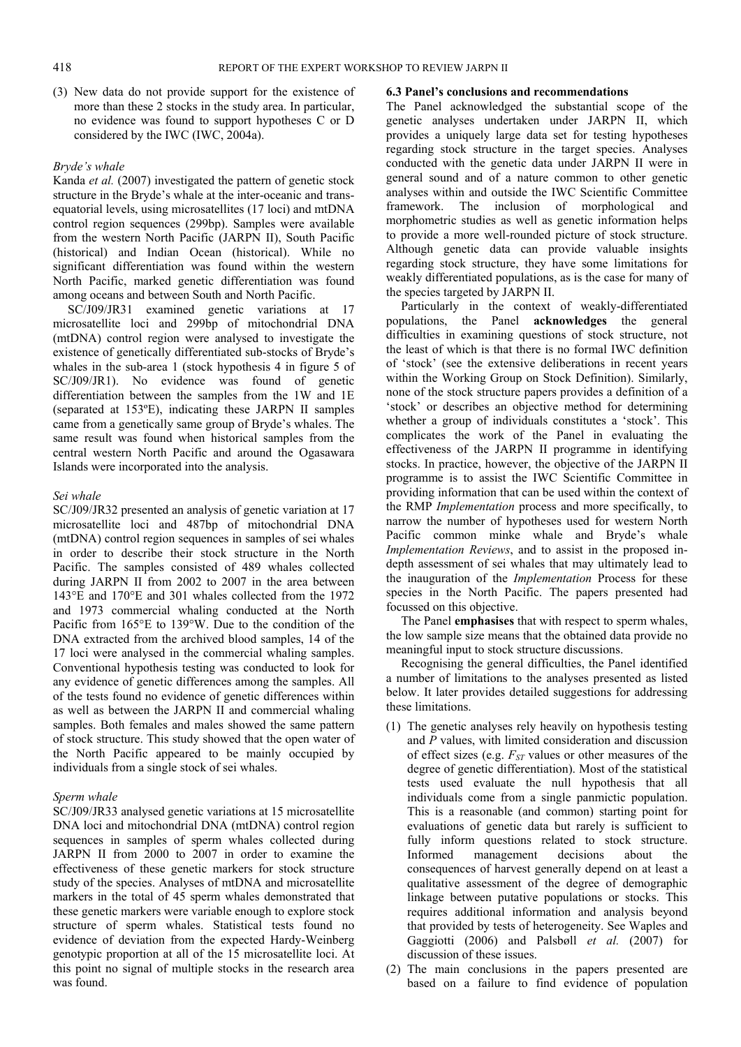(3) New data do not provide support for the existence of more than these 2 stocks in the study area. In particular, no evidence was found to support hypotheses C or D considered by the IWC (IWC, 2004a).

#### *Bryde's whale*

Kanda *et al.* (2007) investigated the pattern of genetic stock structure in the Bryde's whale at the inter-oceanic and transequatorial levels, using microsatellites (17 loci) and mtDNA control region sequences (299bp). Samples were available from the western North Pacific (JARPN II), South Pacific (historical) and Indian Ocean (historical). While no significant differentiation was found within the western North Pacific, marked genetic differentiation was found among oceans and between South and North Pacific.

SC/J09/JR31 examined genetic variations at 17 microsatellite loci and 299bp of mitochondrial DNA (mtDNA) control region were analysed to investigate the existence of genetically differentiated sub-stocks of Bryde's whales in the sub-area 1 (stock hypothesis 4 in figure 5 of SC/J09/JR1). No evidence was found of genetic differentiation between the samples from the 1W and 1E (separated at 153ºE), indicating these JARPN II samples came from a genetically same group of Bryde's whales. The same result was found when historical samples from the central western North Pacific and around the Ogasawara Islands were incorporated into the analysis.

#### *Sei whale*

SC/J09/JR32 presented an analysis of genetic variation at 17 microsatellite loci and 487bp of mitochondrial DNA (mtDNA) control region sequences in samples of sei whales in order to describe their stock structure in the North Pacific. The samples consisted of 489 whales collected during JARPN II from 2002 to 2007 in the area between 143°E and 170°E and 301 whales collected from the 1972 and 1973 commercial whaling conducted at the North Pacific from 165°E to 139°W. Due to the condition of the DNA extracted from the archived blood samples, 14 of the 17 loci were analysed in the commercial whaling samples. Conventional hypothesis testing was conducted to look for any evidence of genetic differences among the samples. All of the tests found no evidence of genetic differences within as well as between the JARPN II and commercial whaling samples. Both females and males showed the same pattern of stock structure. This study showed that the open water of the North Pacific appeared to be mainly occupied by individuals from a single stock of sei whales.

#### *Sperm whale*

SC/J09/JR33 analysed genetic variations at 15 microsatellite DNA loci and mitochondrial DNA (mtDNA) control region sequences in samples of sperm whales collected during JARPN II from 2000 to 2007 in order to examine the effectiveness of these genetic markers for stock structure study of the species. Analyses of mtDNA and microsatellite markers in the total of 45 sperm whales demonstrated that these genetic markers were variable enough to explore stock structure of sperm whales. Statistical tests found no evidence of deviation from the expected Hardy-Weinberg genotypic proportion at all of the 15 microsatellite loci. At this point no signal of multiple stocks in the research area was found.

#### **6.3 Panel's conclusions and recommendations**

The Panel acknowledged the substantial scope of the genetic analyses undertaken under JARPN II, which provides a uniquely large data set for testing hypotheses regarding stock structure in the target species. Analyses conducted with the genetic data under JARPN II were in general sound and of a nature common to other genetic analyses within and outside the IWC Scientific Committee framework. The inclusion of morphological and morphometric studies as well as genetic information helps to provide a more well-rounded picture of stock structure. Although genetic data can provide valuable insights regarding stock structure, they have some limitations for weakly differentiated populations, as is the case for many of the species targeted by JARPN II.

Particularly in the context of weakly-differentiated populations, the Panel **acknowledges** the general difficulties in examining questions of stock structure, not the least of which is that there is no formal IWC definition of 'stock' (see the extensive deliberations in recent years within the Working Group on Stock Definition). Similarly, none of the stock structure papers provides a definition of a 'stock' or describes an objective method for determining whether a group of individuals constitutes a 'stock'. This complicates the work of the Panel in evaluating the effectiveness of the JARPN II programme in identifying stocks. In practice, however, the objective of the JARPN II programme is to assist the IWC Scientific Committee in providing information that can be used within the context of the RMP *Implementation* process and more specifically, to narrow the number of hypotheses used for western North Pacific common minke whale and Bryde's whale *Implementation Reviews*, and to assist in the proposed indepth assessment of sei whales that may ultimately lead to the inauguration of the *Implementation* Process for these species in the North Pacific. The papers presented had focussed on this objective.

The Panel **emphasises** that with respect to sperm whales, the low sample size means that the obtained data provide no meaningful input to stock structure discussions.

Recognising the general difficulties, the Panel identified a number of limitations to the analyses presented as listed below. It later provides detailed suggestions for addressing these limitations.

- (1) The genetic analyses rely heavily on hypothesis testing and *P* values, with limited consideration and discussion of effect sizes (e.g.  $F_{ST}$  values or other measures of the degree of genetic differentiation). Most of the statistical tests used evaluate the null hypothesis that all individuals come from a single panmictic population. This is a reasonable (and common) starting point for evaluations of genetic data but rarely is sufficient to fully inform questions related to stock structure. Informed management decisions about consequences of harvest generally depend on at least a qualitative assessment of the degree of demographic linkage between putative populations or stocks. This requires additional information and analysis beyond that provided by tests of heterogeneity. See Waples and Gaggiotti (2006) and Palsbøll *et al.* (2007) for discussion of these issues.
- (2) The main conclusions in the papers presented are based on a failure to find evidence of population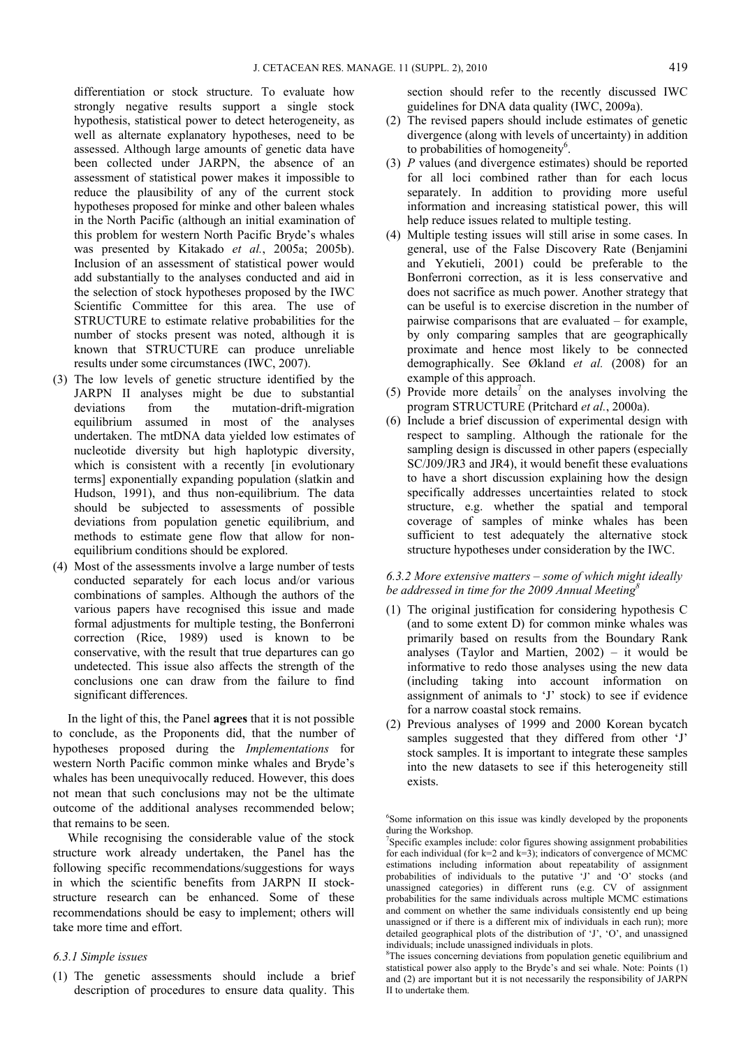differentiation or stock structure. To evaluate how strongly negative results support a single stock hypothesis, statistical power to detect heterogeneity, as well as alternate explanatory hypotheses, need to be assessed. Although large amounts of genetic data have been collected under JARPN, the absence of an assessment of statistical power makes it impossible to reduce the plausibility of any of the current stock hypotheses proposed for minke and other baleen whales in the North Pacific (although an initial examination of this problem for western North Pacific Bryde's whales was presented by Kitakado *et al.*, 2005a; 2005b). Inclusion of an assessment of statistical power would add substantially to the analyses conducted and aid in the selection of stock hypotheses proposed by the IWC Scientific Committee for this area. The use of STRUCTURE to estimate relative probabilities for the number of stocks present was noted, although it is known that STRUCTURE can produce unreliable results under some circumstances (IWC, 2007).

- (3) The low levels of genetic structure identified by the JARPN II analyses might be due to substantial deviations from the mutation-drift-migration equilibrium assumed in most of the analyses undertaken. The mtDNA data yielded low estimates of nucleotide diversity but high haplotypic diversity, which is consistent with a recently [in evolutionary terms] exponentially expanding population (slatkin and Hudson, 1991), and thus non-equilibrium. The data should be subjected to assessments of possible deviations from population genetic equilibrium, and methods to estimate gene flow that allow for nonequilibrium conditions should be explored.
- (4) Most of the assessments involve a large number of tests conducted separately for each locus and/or various combinations of samples. Although the authors of the various papers have recognised this issue and made formal adjustments for multiple testing, the Bonferroni correction (Rice, 1989) used is known to be conservative, with the result that true departures can go undetected. This issue also affects the strength of the conclusions one can draw from the failure to find significant differences.

In the light of this, the Panel **agrees** that it is not possible to conclude, as the Proponents did, that the number of hypotheses proposed during the *Implementations* for western North Pacific common minke whales and Bryde's whales has been unequivocally reduced. However, this does not mean that such conclusions may not be the ultimate outcome of the additional analyses recommended below; that remains to be seen.

While recognising the considerable value of the stock structure work already undertaken, the Panel has the following specific recommendations/suggestions for ways in which the scientific benefits from JARPN II stockstructure research can be enhanced. Some of these recommendations should be easy to implement; others will take more time and effort.

### *6.3.1 Simple issues*

(1) The genetic assessments should include a brief description of procedures to ensure data quality. This

section should refer to the recently discussed IWC guidelines for DNA data quality (IWC, 2009a).

- (2) The revised papers should include estimates of genetic divergence (along with levels of uncertainty) in addition to probabilities of homogeneity<sup>6</sup>.
- (3) *P* values (and divergence estimates) should be reported for all loci combined rather than for each locus separately. In addition to providing more useful information and increasing statistical power, this will help reduce issues related to multiple testing.
- (4) Multiple testing issues will still arise in some cases. In general, use of the False Discovery Rate (Benjamini and Yekutieli, 2001) could be preferable to the Bonferroni correction, as it is less conservative and does not sacrifice as much power. Another strategy that can be useful is to exercise discretion in the number of pairwise comparisons that are evaluated – for example, by only comparing samples that are geographically proximate and hence most likely to be connected demographically. See Økland *et al.* (2008) for an example of this approach.
- (5) Provide more details<sup>7</sup> on the analyses involving the program STRUCTURE (Pritchard *et al.*, 2000a).
- (6) Include a brief discussion of experimental design with respect to sampling. Although the rationale for the sampling design is discussed in other papers (especially SC/J09/JR3 and JR4), it would benefit these evaluations to have a short discussion explaining how the design specifically addresses uncertainties related to stock structure, e.g. whether the spatial and temporal coverage of samples of minke whales has been sufficient to test adequately the alternative stock structure hypotheses under consideration by the IWC.

#### *6.3.2 More extensive matters – some of which might ideally be addressed in time for the 2009 Annual Meeting8*

- (1) The original justification for considering hypothesis C (and to some extent D) for common minke whales was primarily based on results from the Boundary Rank analyses (Taylor and Martien,  $2002$ ) – it would be informative to redo those analyses using the new data (including taking into account information on assignment of animals to 'J' stock) to see if evidence for a narrow coastal stock remains.
- (2) Previous analyses of 1999 and 2000 Korean bycatch samples suggested that they differed from other 'J' stock samples. It is important to integrate these samples into the new datasets to see if this heterogeneity still exists.

<sup>6</sup> Some information on this issue was kindly developed by the proponents during the Workshop.

<sup>7</sup> Specific examples include: color figures showing assignment probabilities for each individual (for  $k=2$  and  $k=3$ ); indicators of convergence of MCMC estimations including information about repeatability of assignment probabilities of individuals to the putative 'J' and 'O' stocks (and unassigned categories) in different runs (e.g. CV of assignment probabilities for the same individuals across multiple MCMC estimations and comment on whether the same individuals consistently end up being unassigned or if there is a different mix of individuals in each run); more detailed geographical plots of the distribution of 'J', 'O', and unassigned individuals; include unassigned individuals in plots.

<sup>&</sup>lt;sup>8</sup>The issues concerning deviations from population genetic equilibrium and statistical power also apply to the Bryde's and sei whale. Note: Points (1) and (2) are important but it is not necessarily the responsibility of JARPN II to undertake them.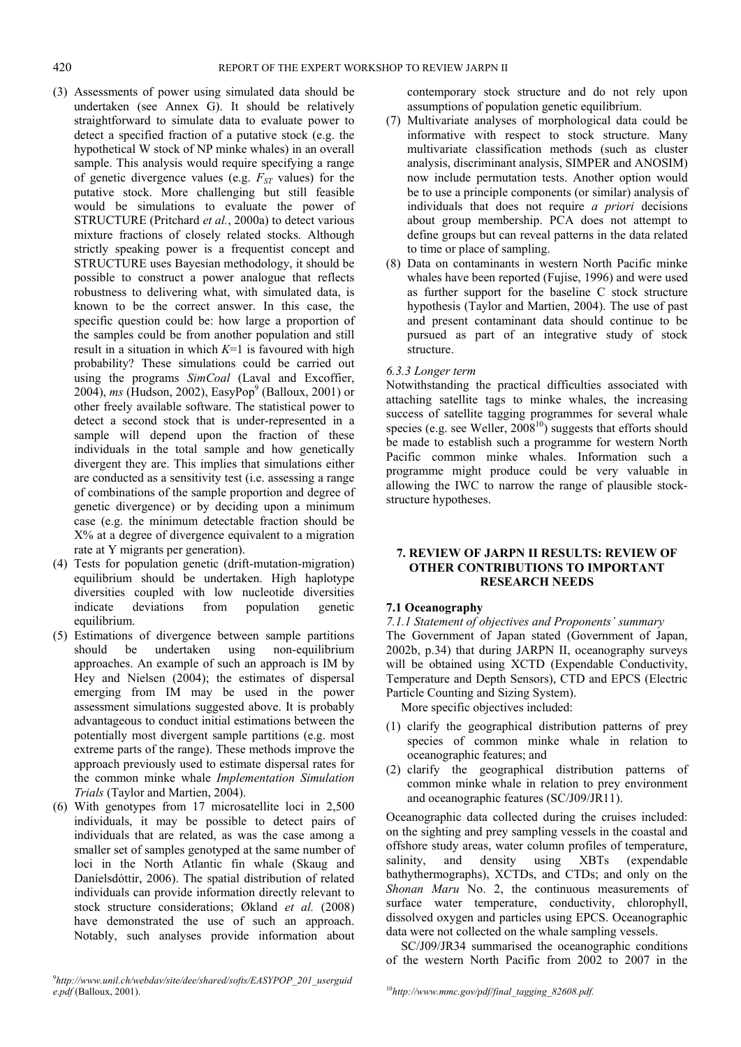- (3) Assessments of power using simulated data should be undertaken (see Annex G). It should be relatively straightforward to simulate data to evaluate power to detect a specified fraction of a putative stock (e.g. the hypothetical W stock of NP minke whales) in an overall sample. This analysis would require specifying a range of genetic divergence values (e.g.  $F_{ST}$  values) for the putative stock. More challenging but still feasible would be simulations to evaluate the power of STRUCTURE (Pritchard *et al.*, 2000a) to detect various mixture fractions of closely related stocks. Although strictly speaking power is a frequentist concept and STRUCTURE uses Bayesian methodology, it should be possible to construct a power analogue that reflects robustness to delivering what, with simulated data, is known to be the correct answer. In this case, the specific question could be: how large a proportion of the samples could be from another population and still result in a situation in which *K*=1 is favoured with high probability? These simulations could be carried out using the programs *SimCoal* (Laval and Excoffier, 2004), *ms* (Hudson, 2002), EasyPop<sup>9</sup> (Balloux, 2001) or other freely available software. The statistical power to detect a second stock that is under-represented in a sample will depend upon the fraction of these individuals in the total sample and how genetically divergent they are. This implies that simulations either are conducted as a sensitivity test (i.e. assessing a range of combinations of the sample proportion and degree of genetic divergence) or by deciding upon a minimum case (e.g. the minimum detectable fraction should be X% at a degree of divergence equivalent to a migration rate at Y migrants per generation).
- (4) Tests for population genetic (drift-mutation-migration) equilibrium should be undertaken. High haplotype diversities coupled with low nucleotide diversities indicate deviations from population genetic equilibrium.
- (5) Estimations of divergence between sample partitions should be undertaken using non-equilibrium approaches. An example of such an approach is IM by Hey and Nielsen (2004); the estimates of dispersal emerging from IM may be used in the power assessment simulations suggested above. It is probably advantageous to conduct initial estimations between the potentially most divergent sample partitions (e.g. most extreme parts of the range). These methods improve the approach previously used to estimate dispersal rates for the common minke whale *Implementation Simulation Trials* (Taylor and Martien, 2004).
- (6) With genotypes from 17 microsatellite loci in 2,500 individuals, it may be possible to detect pairs of individuals that are related, as was the case among a smaller set of samples genotyped at the same number of loci in the North Atlantic fin whale (Skaug and Daníelsdóttir, 2006). The spatial distribution of related individuals can provide information directly relevant to stock structure considerations; Økland *et al.* (2008) have demonstrated the use of such an approach. Notably, such analyses provide information about

contemporary stock structure and do not rely upon assumptions of population genetic equilibrium.

- (7) Multivariate analyses of morphological data could be informative with respect to stock structure. Many multivariate classification methods (such as cluster analysis, discriminant analysis, SIMPER and ANOSIM) now include permutation tests. Another option would be to use a principle components (or similar) analysis of individuals that does not require *a priori* decisions about group membership. PCA does not attempt to define groups but can reveal patterns in the data related to time or place of sampling.
- (8) Data on contaminants in western North Pacific minke whales have been reported (Fujise, 1996) and were used as further support for the baseline C stock structure hypothesis (Taylor and Martien, 2004). The use of past and present contaminant data should continue to be pursued as part of an integrative study of stock structure.

#### *6.3.3 Longer term*

Notwithstanding the practical difficulties associated with attaching satellite tags to minke whales, the increasing success of satellite tagging programmes for several whale species (e.g. see Weller,  $2008^{10}$ ) suggests that efforts should be made to establish such a programme for western North Pacific common minke whales. Information such a programme might produce could be very valuable in allowing the IWC to narrow the range of plausible stockstructure hypotheses.

#### **7. REVIEW OF JARPN II RESULTS: REVIEW OF OTHER CONTRIBUTIONS TO IMPORTANT RESEARCH NEEDS**

#### **7.1 Oceanography**

*7.1.1 Statement of objectives and Proponents' summary*  The Government of Japan stated (Government of Japan, 2002b, p.34) that during JARPN II, oceanography surveys will be obtained using XCTD (Expendable Conductivity, Temperature and Depth Sensors), CTD and EPCS (Electric Particle Counting and Sizing System).

More specific objectives included:

- (1) clarify the geographical distribution patterns of prey species of common minke whale in relation to oceanographic features; and
- (2) clarify the geographical distribution patterns of common minke whale in relation to prey environment and oceanographic features (SC/J09/JR11).

Oceanographic data collected during the cruises included: on the sighting and prey sampling vessels in the coastal and offshore study areas, water column profiles of temperature, salinity, and density using XBTs (expendable bathythermographs), XCTDs, and CTDs; and only on the *Shonan Maru* No. 2, the continuous measurements of surface water temperature, conductivity, chlorophyll, dissolved oxygen and particles using EPCS. Oceanographic data were not collected on the whale sampling vessels.

SC/J09/JR34 summarised the oceanographic conditions of the western North Pacific from 2002 to 2007 in the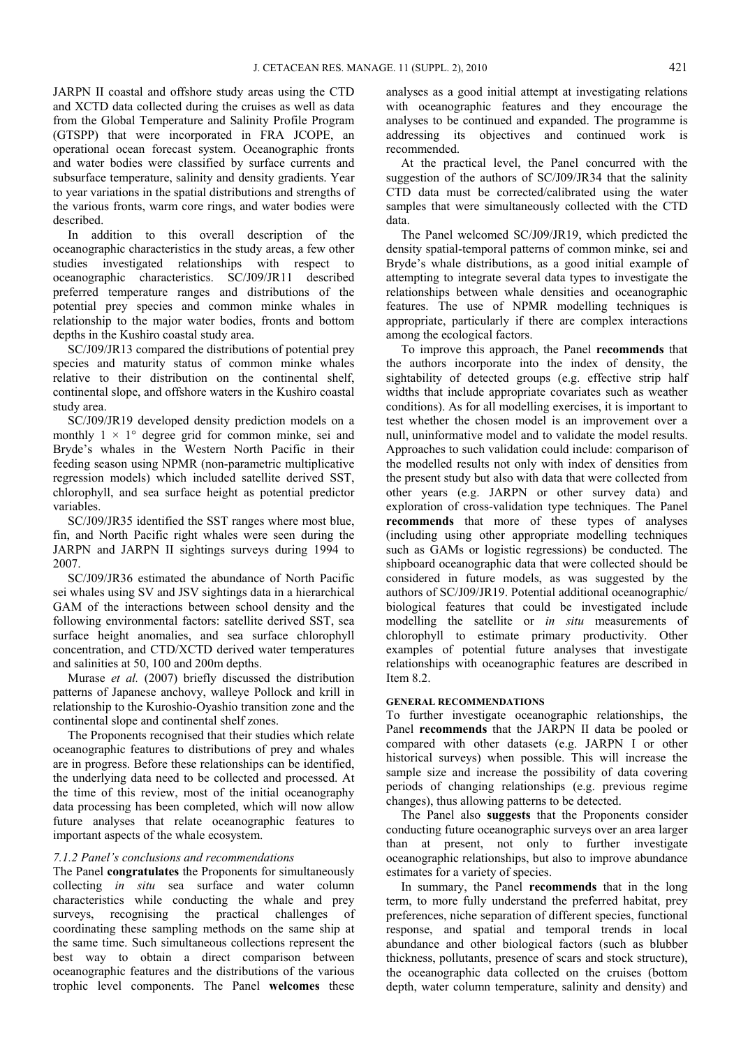JARPN II coastal and offshore study areas using the CTD and XCTD data collected during the cruises as well as data from the Global Temperature and Salinity Profile Program (GTSPP) that were incorporated in FRA JCOPE, an operational ocean forecast system. Oceanographic fronts and water bodies were classified by surface currents and subsurface temperature, salinity and density gradients. Year to year variations in the spatial distributions and strengths of the various fronts, warm core rings, and water bodies were described.

In addition to this overall description of the oceanographic characteristics in the study areas, a few other studies investigated relationships with respect to oceanographic characteristics. SC/J09/JR11 described preferred temperature ranges and distributions of the potential prey species and common minke whales in relationship to the major water bodies, fronts and bottom depths in the Kushiro coastal study area.

SC/J09/JR13 compared the distributions of potential prey species and maturity status of common minke whales relative to their distribution on the continental shelf, continental slope, and offshore waters in the Kushiro coastal study area.

SC/J09/JR19 developed density prediction models on a monthly  $1 \times 1^{\circ}$  degree grid for common minke, sei and Bryde's whales in the Western North Pacific in their feeding season using NPMR (non-parametric multiplicative regression models) which included satellite derived SST, chlorophyll, and sea surface height as potential predictor variables.

SC/J09/JR35 identified the SST ranges where most blue, fin, and North Pacific right whales were seen during the JARPN and JARPN II sightings surveys during 1994 to 2007.

SC/J09/JR36 estimated the abundance of North Pacific sei whales using SV and JSV sightings data in a hierarchical GAM of the interactions between school density and the following environmental factors: satellite derived SST, sea surface height anomalies, and sea surface chlorophyll concentration, and CTD/XCTD derived water temperatures and salinities at 50, 100 and 200m depths.

Murase *et al.* (2007) briefly discussed the distribution patterns of Japanese anchovy, walleye Pollock and krill in relationship to the Kuroshio-Oyashio transition zone and the continental slope and continental shelf zones.

The Proponents recognised that their studies which relate oceanographic features to distributions of prey and whales are in progress. Before these relationships can be identified, the underlying data need to be collected and processed. At the time of this review, most of the initial oceanography data processing has been completed, which will now allow future analyses that relate oceanographic features to important aspects of the whale ecosystem.

#### *7.1.2 Panel's conclusions and recommendations*

The Panel **congratulates** the Proponents for simultaneously collecting *in situ* sea surface and water column characteristics while conducting the whale and prey surveys, recognising the practical challenges of coordinating these sampling methods on the same ship at the same time. Such simultaneous collections represent the best way to obtain a direct comparison between oceanographic features and the distributions of the various trophic level components. The Panel **welcomes** these

analyses as a good initial attempt at investigating relations with oceanographic features and they encourage the analyses to be continued and expanded. The programme is addressing its objectives and continued work is recommended.

At the practical level, the Panel concurred with the suggestion of the authors of SC/J09/JR34 that the salinity CTD data must be corrected/calibrated using the water samples that were simultaneously collected with the CTD data.

The Panel welcomed SC/J09/JR19, which predicted the density spatial-temporal patterns of common minke, sei and Bryde's whale distributions, as a good initial example of attempting to integrate several data types to investigate the relationships between whale densities and oceanographic features. The use of NPMR modelling techniques is appropriate, particularly if there are complex interactions among the ecological factors.

To improve this approach, the Panel **recommends** that the authors incorporate into the index of density, the sightability of detected groups (e.g. effective strip half widths that include appropriate covariates such as weather conditions). As for all modelling exercises, it is important to test whether the chosen model is an improvement over a null, uninformative model and to validate the model results. Approaches to such validation could include: comparison of the modelled results not only with index of densities from the present study but also with data that were collected from other years (e.g. JARPN or other survey data) and exploration of cross-validation type techniques. The Panel **recommends** that more of these types of analyses (including using other appropriate modelling techniques such as GAMs or logistic regressions) be conducted. The shipboard oceanographic data that were collected should be considered in future models, as was suggested by the authors of SC/J09/JR19. Potential additional oceanographic/ biological features that could be investigated include modelling the satellite or *in situ* measurements of chlorophyll to estimate primary productivity. Other examples of potential future analyses that investigate relationships with oceanographic features are described in Item 8.2.

### **GENERAL RECOMMENDATIONS**

To further investigate oceanographic relationships, the Panel **recommends** that the JARPN II data be pooled or compared with other datasets (e.g. JARPN I or other historical surveys) when possible. This will increase the sample size and increase the possibility of data covering periods of changing relationships (e.g. previous regime changes), thus allowing patterns to be detected.

The Panel also **suggests** that the Proponents consider conducting future oceanographic surveys over an area larger than at present, not only to further investigate oceanographic relationships, but also to improve abundance estimates for a variety of species.

In summary, the Panel **recommends** that in the long term, to more fully understand the preferred habitat, prey preferences, niche separation of different species, functional response, and spatial and temporal trends in local abundance and other biological factors (such as blubber thickness, pollutants, presence of scars and stock structure), the oceanographic data collected on the cruises (bottom depth, water column temperature, salinity and density) and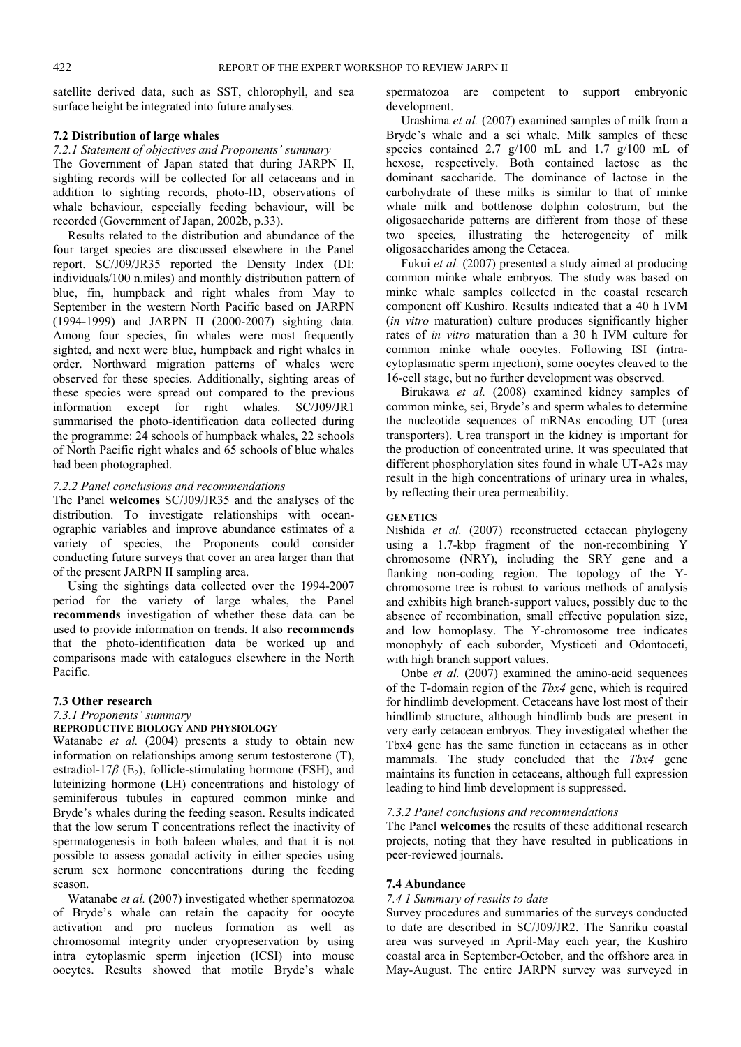satellite derived data, such as SST, chlorophyll, and sea surface height be integrated into future analyses.

#### **7.2 Distribution of large whales**

#### *7.2.1 Statement of objectives and Proponents' summary*

The Government of Japan stated that during JARPN II, sighting records will be collected for all cetaceans and in addition to sighting records, photo-ID, observations of whale behaviour, especially feeding behaviour, will be recorded (Government of Japan, 2002b, p.33).

Results related to the distribution and abundance of the four target species are discussed elsewhere in the Panel report. SC/J09/JR35 reported the Density Index (DI: individuals/100 n.miles) and monthly distribution pattern of blue, fin, humpback and right whales from May to September in the western North Pacific based on JARPN (1994-1999) and JARPN II (2000-2007) sighting data. Among four species, fin whales were most frequently sighted, and next were blue, humpback and right whales in order. Northward migration patterns of whales were observed for these species. Additionally, sighting areas of these species were spread out compared to the previous information except for right whales. SC/J09/JR1 summarised the photo-identification data collected during the programme: 24 schools of humpback whales, 22 schools of North Pacific right whales and 65 schools of blue whales had been photographed.

#### *7.2.2 Panel conclusions and recommendations*

The Panel **welcomes** SC/J09/JR35 and the analyses of the distribution. To investigate relationships with oceanographic variables and improve abundance estimates of a variety of species, the Proponents could consider conducting future surveys that cover an area larger than that of the present JARPN II sampling area.

Using the sightings data collected over the 1994-2007 period for the variety of large whales, the Panel **recommends** investigation of whether these data can be used to provide information on trends. It also **recommends** that the photo-identification data be worked up and comparisons made with catalogues elsewhere in the North Pacific.

#### **7.3 Other research**

# *7.3.1 Proponents' summary*

# **REPRODUCTIVE BIOLOGY AND PHYSIOLOGY**

Watanabe *et al.* (2004) presents a study to obtain new information on relationships among serum testosterone (T), estradiol-17 $\beta$  (E<sub>2</sub>), follicle-stimulating hormone (FSH), and luteinizing hormone (LH) concentrations and histology of seminiferous tubules in captured common minke and Bryde's whales during the feeding season. Results indicated that the low serum T concentrations reflect the inactivity of spermatogenesis in both baleen whales, and that it is not possible to assess gonadal activity in either species using serum sex hormone concentrations during the feeding season.

Watanabe *et al.* (2007) investigated whether spermatozoa of Bryde's whale can retain the capacity for oocyte activation and pro nucleus formation as well as chromosomal integrity under cryopreservation by using intra cytoplasmic sperm injection (ICSI) into mouse oocytes. Results showed that motile Bryde's whale

spermatozoa are competent to support embryonic development.

Urashima *et al.* (2007) examined samples of milk from a Bryde's whale and a sei whale. Milk samples of these species contained 2.7 g/100 mL and 1.7 g/100 mL of hexose, respectively. Both contained lactose as the dominant saccharide. The dominance of lactose in the carbohydrate of these milks is similar to that of minke whale milk and bottlenose dolphin colostrum, but the oligosaccharide patterns are different from those of these two species, illustrating the heterogeneity of milk oligosaccharides among the Cetacea.

Fukui *et al.* (2007) presented a study aimed at producing common minke whale embryos. The study was based on minke whale samples collected in the coastal research component off Kushiro. Results indicated that a 40 h IVM (*in vitro* maturation) culture produces significantly higher rates of *in vitro* maturation than a 30 h IVM culture for common minke whale oocytes. Following ISI (intracytoplasmatic sperm injection), some oocytes cleaved to the 16-cell stage, but no further development was observed.

Birukawa *et al.* (2008) examined kidney samples of common minke, sei, Bryde's and sperm whales to determine the nucleotide sequences of mRNAs encoding UT (urea transporters). Urea transport in the kidney is important for the production of concentrated urine. It was speculated that different phosphorylation sites found in whale UT-A2s may result in the high concentrations of urinary urea in whales, by reflecting their urea permeability.

#### **GENETICS**

Nishida *et al.* (2007) reconstructed cetacean phylogeny using a 1.7-kbp fragment of the non-recombining Y chromosome (NRY), including the SRY gene and a flanking non-coding region. The topology of the Ychromosome tree is robust to various methods of analysis and exhibits high branch-support values, possibly due to the absence of recombination, small effective population size, and low homoplasy. The Y-chromosome tree indicates monophyly of each suborder, Mysticeti and Odontoceti, with high branch support values.

Onbe *et al.* (2007) examined the amino-acid sequences of the T-domain region of the *Tbx4* gene, which is required for hindlimb development. Cetaceans have lost most of their hindlimb structure, although hindlimb buds are present in very early cetacean embryos. They investigated whether the Tbx4 gene has the same function in cetaceans as in other mammals. The study concluded that the *Tbx4* gene maintains its function in cetaceans, although full expression leading to hind limb development is suppressed.

#### *7.3.2 Panel conclusions and recommendations*

The Panel **welcomes** the results of these additional research projects, noting that they have resulted in publications in peer-reviewed journals.

#### **7.4 Abundance**

#### *7.4 1 Summary of results to date*

Survey procedures and summaries of the surveys conducted to date are described in SC/J09/JR2. The Sanriku coastal area was surveyed in April-May each year, the Kushiro coastal area in September-October, and the offshore area in May-August. The entire JARPN survey was surveyed in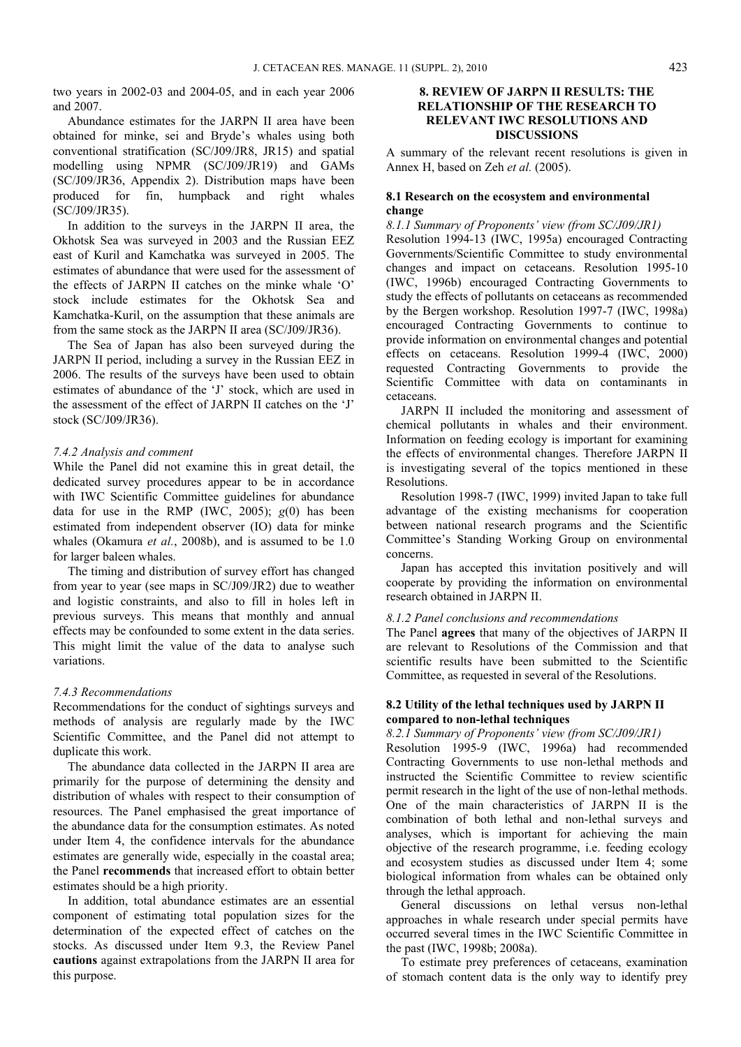two years in 2002-03 and 2004-05, and in each year 2006 and 2007.

Abundance estimates for the JARPN II area have been obtained for minke, sei and Bryde's whales using both conventional stratification (SC/J09/JR8, JR15) and spatial modelling using NPMR (SC/J09/JR19) and GAMs (SC/J09/JR36, Appendix 2). Distribution maps have been produced for fin, humpback and right whales (SC/J09/JR35).

In addition to the surveys in the JARPN II area, the Okhotsk Sea was surveyed in 2003 and the Russian EEZ east of Kuril and Kamchatka was surveyed in 2005. The estimates of abundance that were used for the assessment of the effects of JARPN II catches on the minke whale 'O' stock include estimates for the Okhotsk Sea and Kamchatka-Kuril, on the assumption that these animals are from the same stock as the JARPN II area (SC/J09/JR36).

The Sea of Japan has also been surveyed during the JARPN II period, including a survey in the Russian EEZ in 2006. The results of the surveys have been used to obtain estimates of abundance of the 'J' stock, which are used in the assessment of the effect of JARPN II catches on the 'J' stock (SC/J09/JR36).

#### *7.4.2 Analysis and comment*

While the Panel did not examine this in great detail, the dedicated survey procedures appear to be in accordance with IWC Scientific Committee guidelines for abundance data for use in the RMP (IWC, 2005); *g*(0) has been estimated from independent observer (IO) data for minke whales (Okamura *et al.*, 2008b), and is assumed to be 1.0 for larger baleen whales.

The timing and distribution of survey effort has changed from year to year (see maps in SC/J09/JR2) due to weather and logistic constraints, and also to fill in holes left in previous surveys. This means that monthly and annual effects may be confounded to some extent in the data series. This might limit the value of the data to analyse such variations.

#### *7.4.3 Recommendations*

Recommendations for the conduct of sightings surveys and methods of analysis are regularly made by the IWC Scientific Committee, and the Panel did not attempt to duplicate this work.

The abundance data collected in the JARPN II area are primarily for the purpose of determining the density and distribution of whales with respect to their consumption of resources. The Panel emphasised the great importance of the abundance data for the consumption estimates. As noted under Item 4, the confidence intervals for the abundance estimates are generally wide, especially in the coastal area; the Panel **recommends** that increased effort to obtain better estimates should be a high priority.

In addition, total abundance estimates are an essential component of estimating total population sizes for the determination of the expected effect of catches on the stocks. As discussed under Item 9.3, the Review Panel **cautions** against extrapolations from the JARPN II area for this purpose.

### **8. REVIEW OF JARPN II RESULTS: THE RELATIONSHIP OF THE RESEARCH TO RELEVANT IWC RESOLUTIONS AND DISCUSSIONS**

A summary of the relevant recent resolutions is given in Annex H, based on Zeh *et al.* (2005).

### **8.1 Research on the ecosystem and environmental change**

*8.1.1 Summary of Proponents' view (from SC/J09/JR1)*  Resolution 1994-13 (IWC, 1995a) encouraged Contracting Governments/Scientific Committee to study environmental changes and impact on cetaceans. Resolution 1995-10 (IWC, 1996b) encouraged Contracting Governments to study the effects of pollutants on cetaceans as recommended by the Bergen workshop. Resolution 1997-7 (IWC, 1998a) encouraged Contracting Governments to continue to provide information on environmental changes and potential effects on cetaceans. Resolution 1999-4 (IWC, 2000) requested Contracting Governments to provide the Scientific Committee with data on contaminants in cetaceans.

JARPN II included the monitoring and assessment of chemical pollutants in whales and their environment. Information on feeding ecology is important for examining the effects of environmental changes. Therefore JARPN II is investigating several of the topics mentioned in these Resolutions.

Resolution 1998-7 (IWC, 1999) invited Japan to take full advantage of the existing mechanisms for cooperation between national research programs and the Scientific Committee's Standing Working Group on environmental concerns.

Japan has accepted this invitation positively and will cooperate by providing the information on environmental research obtained in JARPN II.

#### *8.1.2 Panel conclusions and recommendations*

The Panel **agrees** that many of the objectives of JARPN II are relevant to Resolutions of the Commission and that scientific results have been submitted to the Scientific Committee, as requested in several of the Resolutions.

#### **8.2 Utility of the lethal techniques used by JARPN II compared to non-lethal techniques**

#### *8.2.1 Summary of Proponents' view (from SC/J09/JR1)*

Resolution 1995-9 (IWC, 1996a) had recommended Contracting Governments to use non-lethal methods and instructed the Scientific Committee to review scientific permit research in the light of the use of non-lethal methods. One of the main characteristics of JARPN II is the combination of both lethal and non-lethal surveys and analyses, which is important for achieving the main objective of the research programme, i.e. feeding ecology and ecosystem studies as discussed under Item 4; some biological information from whales can be obtained only through the lethal approach.

General discussions on lethal versus non-lethal approaches in whale research under special permits have occurred several times in the IWC Scientific Committee in the past (IWC, 1998b; 2008a).

To estimate prey preferences of cetaceans, examination of stomach content data is the only way to identify prey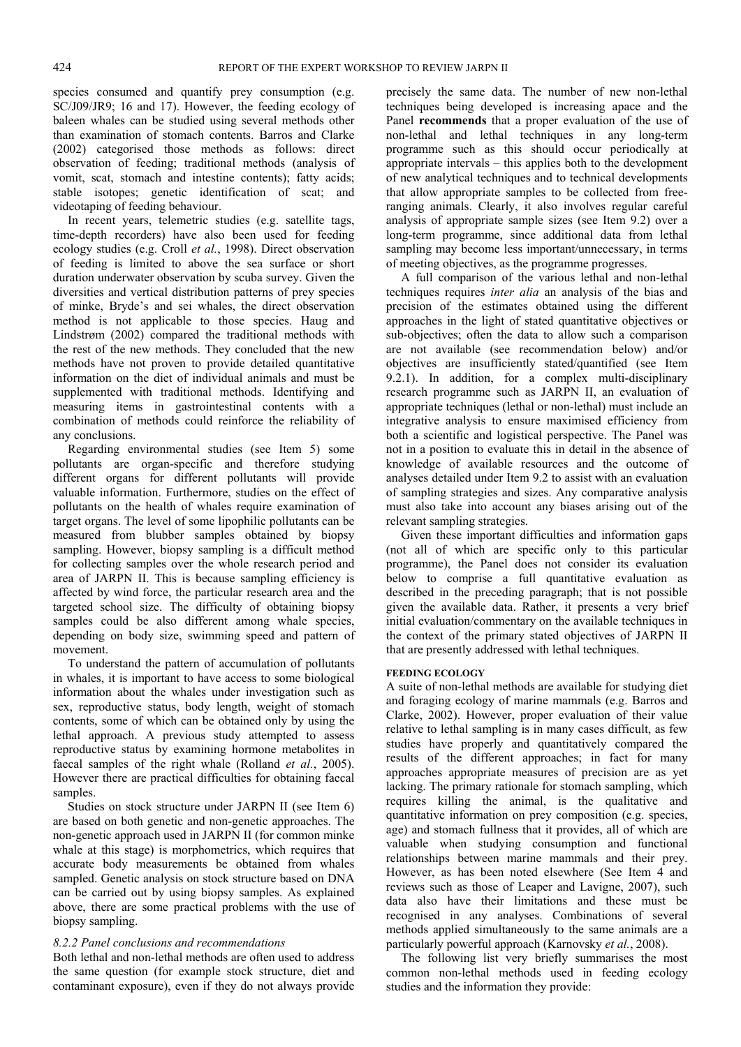species consumed and quantify prey consumption (e.g. SC/J09/JR9; 16 and 17). However, the feeding ecology of baleen whales can be studied using several methods other than examination of stomach contents. Barros and Clarke (2002) categorised those methods as follows: direct observation of feeding; traditional methods (analysis of vomit, scat, stomach and intestine contents); fatty acids; stable isotopes; genetic identification of scat; and videotaping of feeding behaviour.

In recent years, telemetric studies (e.g. satellite tags, time-depth recorders) have also been used for feeding ecology studies (e.g. Croll *et al.*, 1998). Direct observation of feeding is limited to above the sea surface or short duration underwater observation by scuba survey. Given the diversities and vertical distribution patterns of prey species of minke, Bryde's and sei whales, the direct observation method is not applicable to those species. Haug and Lindstrøm (2002) compared the traditional methods with the rest of the new methods. They concluded that the new methods have not proven to provide detailed quantitative information on the diet of individual animals and must be supplemented with traditional methods. Identifying and measuring items in gastrointestinal contents with a combination of methods could reinforce the reliability of any conclusions.

Regarding environmental studies (see Item 5) some pollutants are organ-specific and therefore studying different organs for different pollutants will provide valuable information. Furthermore, studies on the effect of pollutants on the health of whales require examination of target organs. The level of some lipophilic pollutants can be measured from blubber samples obtained by biopsy sampling. However, biopsy sampling is a difficult method for collecting samples over the whole research period and area of JARPN II. This is because sampling efficiency is affected by wind force, the particular research area and the targeted school size. The difficulty of obtaining biopsy samples could be also different among whale species, depending on body size, swimming speed and pattern of movement.

To understand the pattern of accumulation of pollutants in whales, it is important to have access to some biological information about the whales under investigation such as sex, reproductive status, body length, weight of stomach contents, some of which can be obtained only by using the lethal approach. A previous study attempted to assess reproductive status by examining hormone metabolites in faecal samples of the right whale (Rolland *et al.*, 2005). However there are practical difficulties for obtaining faecal samples.

Studies on stock structure under JARPN II (see Item 6) are based on both genetic and non-genetic approaches. The non-genetic approach used in JARPN II (for common minke whale at this stage) is morphometrics, which requires that accurate body measurements be obtained from whales sampled. Genetic analysis on stock structure based on DNA can be carried out by using biopsy samples. As explained above, there are some practical problems with the use of biopsy sampling.

#### *8.2.2 Panel conclusions and recommendations*

Both lethal and non-lethal methods are often used to address the same question (for example stock structure, diet and contaminant exposure), even if they do not always provide

precisely the same data. The number of new non-lethal techniques being developed is increasing apace and the Panel **recommends** that a proper evaluation of the use of non-lethal and lethal techniques in any long-term programme such as this should occur periodically at appropriate intervals – this applies both to the development of new analytical techniques and to technical developments that allow appropriate samples to be collected from freeranging animals. Clearly, it also involves regular careful analysis of appropriate sample sizes (see Item 9.2) over a long-term programme, since additional data from lethal sampling may become less important/unnecessary, in terms of meeting objectives, as the programme progresses.

A full comparison of the various lethal and non-lethal techniques requires *inter alia* an analysis of the bias and precision of the estimates obtained using the different approaches in the light of stated quantitative objectives or sub-objectives; often the data to allow such a comparison are not available (see recommendation below) and/or objectives are insufficiently stated/quantified (see Item 9.2.1). In addition, for a complex multi-disciplinary research programme such as JARPN II, an evaluation of appropriate techniques (lethal or non-lethal) must include an integrative analysis to ensure maximised efficiency from both a scientific and logistical perspective. The Panel was not in a position to evaluate this in detail in the absence of knowledge of available resources and the outcome of analyses detailed under Item 9.2 to assist with an evaluation of sampling strategies and sizes. Any comparative analysis must also take into account any biases arising out of the relevant sampling strategies.

Given these important difficulties and information gaps (not all of which are specific only to this particular programme), the Panel does not consider its evaluation below to comprise a full quantitative evaluation as described in the preceding paragraph; that is not possible given the available data. Rather, it presents a very brief initial evaluation/commentary on the available techniques in the context of the primary stated objectives of JARPN II that are presently addressed with lethal techniques.

#### **FEEDING ECOLOGY**

A suite of non-lethal methods are available for studying diet and foraging ecology of marine mammals (e.g. Barros and Clarke, 2002). However, proper evaluation of their value relative to lethal sampling is in many cases difficult, as few studies have properly and quantitatively compared the results of the different approaches; in fact for many approaches appropriate measures of precision are as yet lacking. The primary rationale for stomach sampling, which requires killing the animal, is the qualitative and quantitative information on prey composition (e.g. species, age) and stomach fullness that it provides, all of which are valuable when studying consumption and functional relationships between marine mammals and their prey. However, as has been noted elsewhere (See Item 4 and reviews such as those of Leaper and Lavigne, 2007), such data also have their limitations and these must be recognised in any analyses. Combinations of several methods applied simultaneously to the same animals are a particularly powerful approach (Karnovsky *et al.*, 2008).

The following list very briefly summarises the most common non-lethal methods used in feeding ecology studies and the information they provide: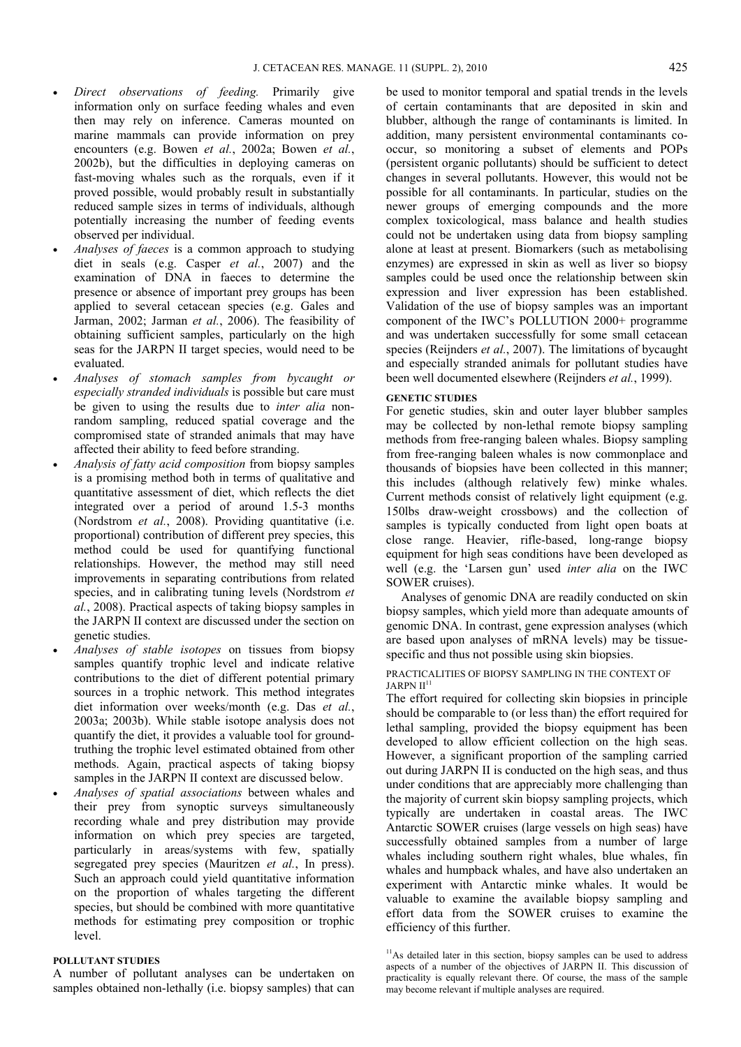- *Direct observations of feeding.* Primarily give information only on surface feeding whales and even then may rely on inference. Cameras mounted on marine mammals can provide information on prey encounters (e.g. Bowen *et al.*, 2002a; Bowen *et al.*, 2002b), but the difficulties in deploying cameras on fast-moving whales such as the rorquals, even if it proved possible, would probably result in substantially reduced sample sizes in terms of individuals, although potentially increasing the number of feeding events observed per individual.
- *Analyses of faeces* is a common approach to studying diet in seals (e.g. Casper *et al.*, 2007) and the examination of DNA in faeces to determine the presence or absence of important prey groups has been applied to several cetacean species (e.g. Gales and Jarman, 2002; Jarman *et al.*, 2006). The feasibility of obtaining sufficient samples, particularly on the high seas for the JARPN II target species, would need to be evaluated.
- *Analyses of stomach samples from bycaught or especially stranded individuals* is possible but care must be given to using the results due to *inter alia* nonrandom sampling, reduced spatial coverage and the compromised state of stranded animals that may have affected their ability to feed before stranding.
- *Analysis of fatty acid composition* from biopsy samples is a promising method both in terms of qualitative and quantitative assessment of diet, which reflects the diet integrated over a period of around 1.5-3 months (Nordstrom *et al.*, 2008). Providing quantitative (i.e. proportional) contribution of different prey species, this method could be used for quantifying functional relationships. However, the method may still need improvements in separating contributions from related species, and in calibrating tuning levels (Nordstrom *et al.*, 2008). Practical aspects of taking biopsy samples in the JARPN II context are discussed under the section on genetic studies.
- *Analyses of stable isotopes* on tissues from biopsy samples quantify trophic level and indicate relative contributions to the diet of different potential primary sources in a trophic network. This method integrates diet information over weeks/month (e.g. Das *et al.*, 2003a; 2003b). While stable isotope analysis does not quantify the diet, it provides a valuable tool for groundtruthing the trophic level estimated obtained from other methods. Again, practical aspects of taking biopsy samples in the JARPN II context are discussed below.
- *Analyses of spatial associations* between whales and their prey from synoptic surveys simultaneously recording whale and prey distribution may provide information on which prey species are targeted, particularly in areas/systems with few, spatially segregated prey species (Mauritzen *et al.*, In press). Such an approach could yield quantitative information on the proportion of whales targeting the different species, but should be combined with more quantitative methods for estimating prey composition or trophic level.

### **POLLUTANT STUDIES**

A number of pollutant analyses can be undertaken on samples obtained non-lethally (i.e. biopsy samples) that can be used to monitor temporal and spatial trends in the levels of certain contaminants that are deposited in skin and blubber, although the range of contaminants is limited. In addition, many persistent environmental contaminants cooccur, so monitoring a subset of elements and POPs (persistent organic pollutants) should be sufficient to detect changes in several pollutants. However, this would not be possible for all contaminants. In particular, studies on the newer groups of emerging compounds and the more complex toxicological, mass balance and health studies could not be undertaken using data from biopsy sampling alone at least at present. Biomarkers (such as metabolising enzymes) are expressed in skin as well as liver so biopsy samples could be used once the relationship between skin expression and liver expression has been established. Validation of the use of biopsy samples was an important component of the IWC's POLLUTION 2000+ programme and was undertaken successfully for some small cetacean species (Reijnders *et al.*, 2007). The limitations of bycaught and especially stranded animals for pollutant studies have been well documented elsewhere (Reijnders *et al.*, 1999).

#### **GENETIC STUDIES**

For genetic studies, skin and outer layer blubber samples may be collected by non-lethal remote biopsy sampling methods from free-ranging baleen whales. Biopsy sampling from free-ranging baleen whales is now commonplace and thousands of biopsies have been collected in this manner; this includes (although relatively few) minke whales. Current methods consist of relatively light equipment (e.g. 150lbs draw-weight crossbows) and the collection of samples is typically conducted from light open boats at close range. Heavier, rifle-based, long-range biopsy equipment for high seas conditions have been developed as well (e.g. the 'Larsen gun' used *inter alia* on the IWC SOWER cruises).

Analyses of genomic DNA are readily conducted on skin biopsy samples, which yield more than adequate amounts of genomic DNA. In contrast, gene expression analyses (which are based upon analyses of mRNA levels) may be tissuespecific and thus not possible using skin biopsies.

PRACTICALITIES OF BIOPSY SAMPLING IN THE CONTEXT OF  $JARPN II<sup>1</sup>$ 

The effort required for collecting skin biopsies in principle should be comparable to (or less than) the effort required for lethal sampling, provided the biopsy equipment has been developed to allow efficient collection on the high seas. However, a significant proportion of the sampling carried out during JARPN II is conducted on the high seas, and thus under conditions that are appreciably more challenging than the majority of current skin biopsy sampling projects, which typically are undertaken in coastal areas. The IWC Antarctic SOWER cruises (large vessels on high seas) have successfully obtained samples from a number of large whales including southern right whales, blue whales, fin whales and humpback whales, and have also undertaken an experiment with Antarctic minke whales. It would be valuable to examine the available biopsy sampling and effort data from the SOWER cruises to examine the efficiency of this further.

<sup>&</sup>lt;sup>11</sup>As detailed later in this section, biopsy samples can be used to address aspects of a number of the objectives of JARPN II. This discussion of practicality is equally relevant there. Of course, the mass of the sample may become relevant if multiple analyses are required.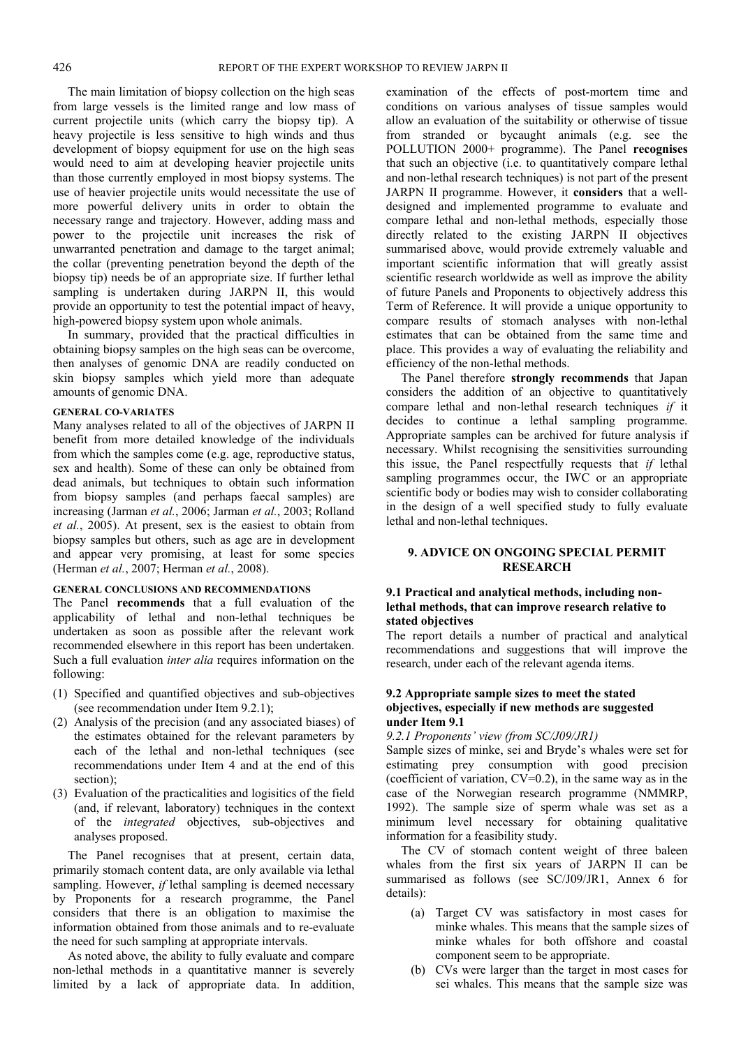The main limitation of biopsy collection on the high seas from large vessels is the limited range and low mass of current projectile units (which carry the biopsy tip). A heavy projectile is less sensitive to high winds and thus development of biopsy equipment for use on the high seas would need to aim at developing heavier projectile units than those currently employed in most biopsy systems. The use of heavier projectile units would necessitate the use of more powerful delivery units in order to obtain the necessary range and trajectory. However, adding mass and power to the projectile unit increases the risk of unwarranted penetration and damage to the target animal; the collar (preventing penetration beyond the depth of the biopsy tip) needs be of an appropriate size. If further lethal sampling is undertaken during JARPN II, this would provide an opportunity to test the potential impact of heavy, high-powered biopsy system upon whole animals.

In summary, provided that the practical difficulties in obtaining biopsy samples on the high seas can be overcome, then analyses of genomic DNA are readily conducted on skin biopsy samples which yield more than adequate amounts of genomic DNA.

#### **GENERAL CO-VARIATES**

Many analyses related to all of the objectives of JARPN II benefit from more detailed knowledge of the individuals from which the samples come (e.g. age, reproductive status, sex and health). Some of these can only be obtained from dead animals, but techniques to obtain such information from biopsy samples (and perhaps faecal samples) are increasing (Jarman *et al.*, 2006; Jarman *et al.*, 2003; Rolland *et al.*, 2005). At present, sex is the easiest to obtain from biopsy samples but others, such as age are in development and appear very promising, at least for some species (Herman *et al.*, 2007; Herman *et al.*, 2008).

#### **GENERAL CONCLUSIONS AND RECOMMENDATIONS**

The Panel **recommends** that a full evaluation of the applicability of lethal and non-lethal techniques be undertaken as soon as possible after the relevant work recommended elsewhere in this report has been undertaken. Such a full evaluation *inter alia* requires information on the following:

- (1) Specified and quantified objectives and sub-objectives (see recommendation under Item 9.2.1);
- (2) Analysis of the precision (and any associated biases) of the estimates obtained for the relevant parameters by each of the lethal and non-lethal techniques (see recommendations under Item 4 and at the end of this section);
- (3) Evaluation of the practicalities and logisitics of the field (and, if relevant, laboratory) techniques in the context of the *integrated* objectives, sub-objectives and analyses proposed.

The Panel recognises that at present, certain data, primarily stomach content data, are only available via lethal sampling. However, *if* lethal sampling is deemed necessary by Proponents for a research programme, the Panel considers that there is an obligation to maximise the information obtained from those animals and to re-evaluate the need for such sampling at appropriate intervals.

As noted above, the ability to fully evaluate and compare non-lethal methods in a quantitative manner is severely limited by a lack of appropriate data. In addition,

examination of the effects of post-mortem time and conditions on various analyses of tissue samples would allow an evaluation of the suitability or otherwise of tissue from stranded or bycaught animals (e.g. see the POLLUTION 2000+ programme). The Panel **recognises** that such an objective (i.e. to quantitatively compare lethal and non-lethal research techniques) is not part of the present JARPN II programme. However, it **considers** that a welldesigned and implemented programme to evaluate and compare lethal and non-lethal methods, especially those directly related to the existing JARPN II objectives summarised above, would provide extremely valuable and important scientific information that will greatly assist scientific research worldwide as well as improve the ability of future Panels and Proponents to objectively address this Term of Reference. It will provide a unique opportunity to compare results of stomach analyses with non-lethal estimates that can be obtained from the same time and place. This provides a way of evaluating the reliability and efficiency of the non-lethal methods.

The Panel therefore **strongly recommends** that Japan considers the addition of an objective to quantitatively compare lethal and non-lethal research techniques *if* it decides to continue a lethal sampling programme. Appropriate samples can be archived for future analysis if necessary. Whilst recognising the sensitivities surrounding this issue, the Panel respectfully requests that *if* lethal sampling programmes occur, the IWC or an appropriate scientific body or bodies may wish to consider collaborating in the design of a well specified study to fully evaluate lethal and non-lethal techniques.

### **9. ADVICE ON ONGOING SPECIAL PERMIT RESEARCH**

#### **9.1 Practical and analytical methods, including nonlethal methods, that can improve research relative to stated objectives**

The report details a number of practical and analytical recommendations and suggestions that will improve the research, under each of the relevant agenda items.

#### **9.2 Appropriate sample sizes to meet the stated objectives, especially if new methods are suggested under Item 9.1**

#### *9.2.1 Proponents' view (from SC/J09/JR1)*

Sample sizes of minke, sei and Bryde's whales were set for estimating prey consumption with good precision (coefficient of variation, CV=0.2), in the same way as in the case of the Norwegian research programme (NMMRP, 1992). The sample size of sperm whale was set as a minimum level necessary for obtaining qualitative information for a feasibility study.

The CV of stomach content weight of three baleen whales from the first six years of JARPN II can be summarised as follows (see SC/J09/JR1, Annex 6 for details):

- (a) Target CV was satisfactory in most cases for minke whales. This means that the sample sizes of minke whales for both offshore and coastal component seem to be appropriate.
- (b) CVs were larger than the target in most cases for sei whales. This means that the sample size was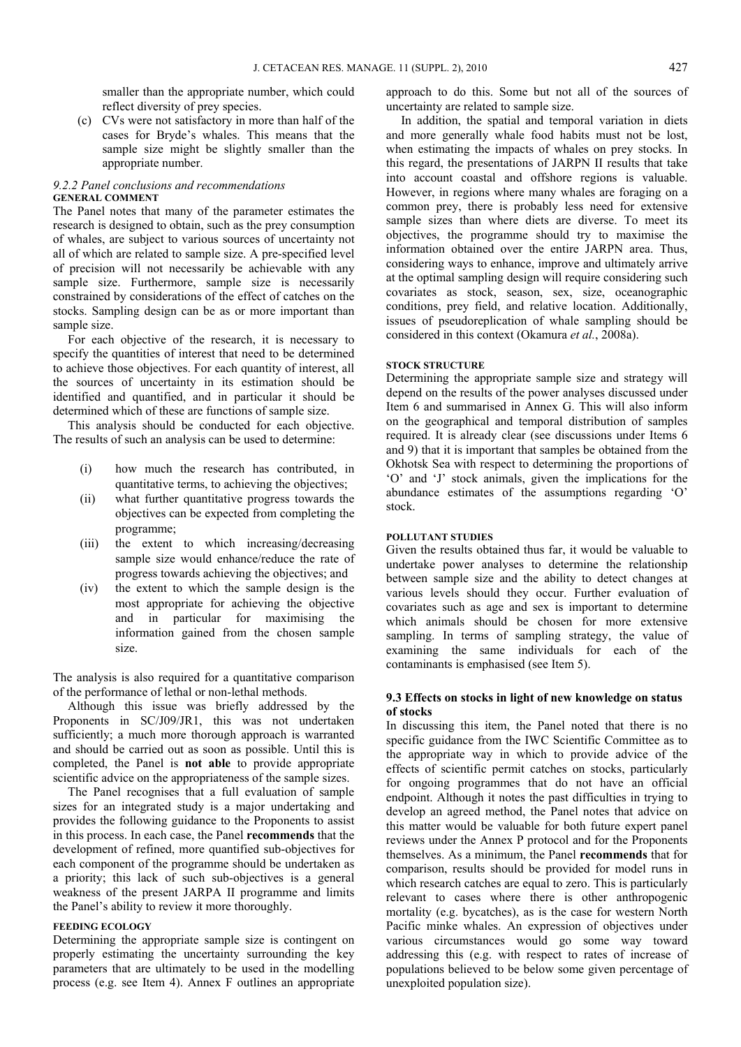smaller than the appropriate number, which could reflect diversity of prey species.

(c) CVs were not satisfactory in more than half of the cases for Bryde's whales. This means that the sample size might be slightly smaller than the appropriate number.

#### *9.2.2 Panel conclusions and recommendations*  **GENERAL COMMENT**

The Panel notes that many of the parameter estimates the research is designed to obtain, such as the prey consumption of whales, are subject to various sources of uncertainty not all of which are related to sample size. A pre-specified level of precision will not necessarily be achievable with any sample size. Furthermore, sample size is necessarily constrained by considerations of the effect of catches on the stocks. Sampling design can be as or more important than sample size.

For each objective of the research, it is necessary to specify the quantities of interest that need to be determined to achieve those objectives. For each quantity of interest, all the sources of uncertainty in its estimation should be identified and quantified, and in particular it should be determined which of these are functions of sample size.

This analysis should be conducted for each objective. The results of such an analysis can be used to determine:

- (i) how much the research has contributed, in quantitative terms, to achieving the objectives;
- (ii) what further quantitative progress towards the objectives can be expected from completing the programme;
- (iii) the extent to which increasing/decreasing sample size would enhance/reduce the rate of progress towards achieving the objectives; and
- (iv) the extent to which the sample design is the most appropriate for achieving the objective and in particular for maximising the information gained from the chosen sample size.

The analysis is also required for a quantitative comparison of the performance of lethal or non-lethal methods.

Although this issue was briefly addressed by the Proponents in SC/J09/JR1, this was not undertaken sufficiently; a much more thorough approach is warranted and should be carried out as soon as possible. Until this is completed, the Panel is **not able** to provide appropriate scientific advice on the appropriateness of the sample sizes.

The Panel recognises that a full evaluation of sample sizes for an integrated study is a major undertaking and provides the following guidance to the Proponents to assist in this process. In each case, the Panel **recommends** that the development of refined, more quantified sub-objectives for each component of the programme should be undertaken as a priority; this lack of such sub-objectives is a general weakness of the present JARPA II programme and limits the Panel's ability to review it more thoroughly.

#### **FEEDING ECOLOGY**

Determining the appropriate sample size is contingent on properly estimating the uncertainty surrounding the key parameters that are ultimately to be used in the modelling process (e.g. see Item 4). Annex F outlines an appropriate approach to do this. Some but not all of the sources of uncertainty are related to sample size.

In addition, the spatial and temporal variation in diets and more generally whale food habits must not be lost, when estimating the impacts of whales on prey stocks. In this regard, the presentations of JARPN II results that take into account coastal and offshore regions is valuable. However, in regions where many whales are foraging on a common prey, there is probably less need for extensive sample sizes than where diets are diverse. To meet its objectives, the programme should try to maximise the information obtained over the entire JARPN area. Thus, considering ways to enhance, improve and ultimately arrive at the optimal sampling design will require considering such covariates as stock, season, sex, size, oceanographic conditions, prey field, and relative location. Additionally, issues of pseudoreplication of whale sampling should be considered in this context (Okamura *et al.*, 2008a).

#### **STOCK STRUCTURE**

Determining the appropriate sample size and strategy will depend on the results of the power analyses discussed under Item 6 and summarised in Annex G. This will also inform on the geographical and temporal distribution of samples required. It is already clear (see discussions under Items 6 and 9) that it is important that samples be obtained from the Okhotsk Sea with respect to determining the proportions of 'O' and 'J' stock animals, given the implications for the abundance estimates of the assumptions regarding 'O' stock.

#### **POLLUTANT STUDIES**

Given the results obtained thus far, it would be valuable to undertake power analyses to determine the relationship between sample size and the ability to detect changes at various levels should they occur. Further evaluation of covariates such as age and sex is important to determine which animals should be chosen for more extensive sampling. In terms of sampling strategy, the value of examining the same individuals for each of the contaminants is emphasised (see Item 5).

#### **9.3 Effects on stocks in light of new knowledge on status of stocks**

In discussing this item, the Panel noted that there is no specific guidance from the IWC Scientific Committee as to the appropriate way in which to provide advice of the effects of scientific permit catches on stocks, particularly for ongoing programmes that do not have an official endpoint. Although it notes the past difficulties in trying to develop an agreed method, the Panel notes that advice on this matter would be valuable for both future expert panel reviews under the Annex P protocol and for the Proponents themselves. As a minimum, the Panel **recommends** that for comparison, results should be provided for model runs in which research catches are equal to zero. This is particularly relevant to cases where there is other anthropogenic mortality (e.g. bycatches), as is the case for western North Pacific minke whales. An expression of objectives under various circumstances would go some way toward addressing this (e.g. with respect to rates of increase of populations believed to be below some given percentage of unexploited population size).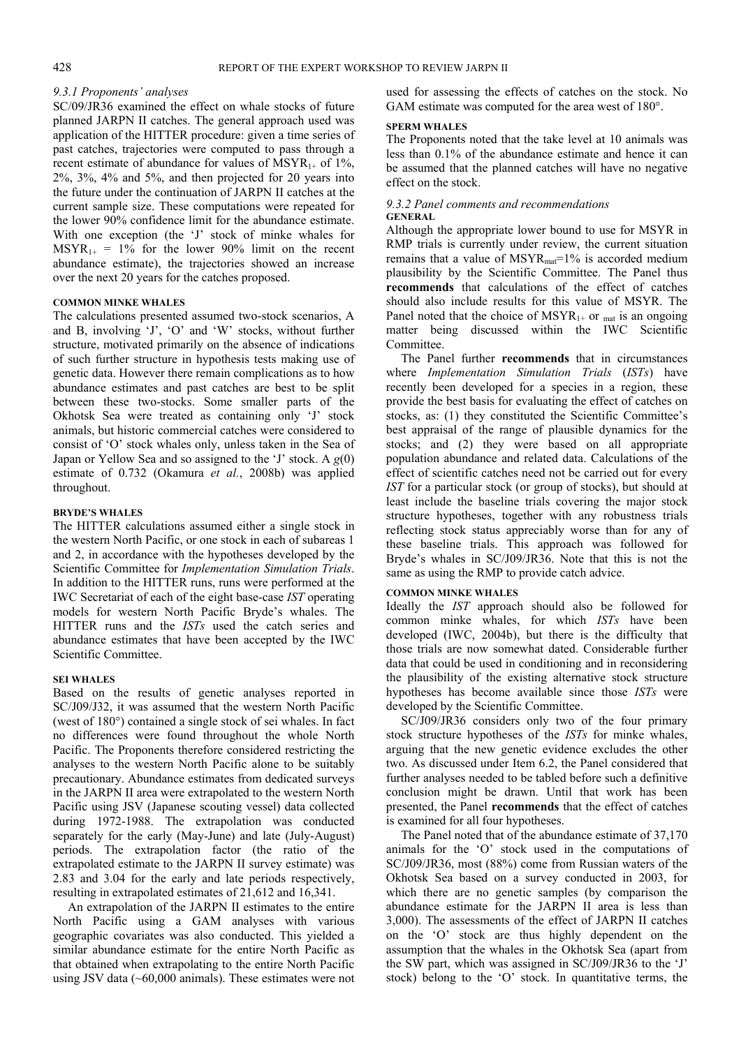#### *9.3.1 Proponents' analyses*

SC/09/JR36 examined the effect on whale stocks of future planned JARPN II catches. The general approach used was application of the HITTER procedure: given a time series of past catches, trajectories were computed to pass through a recent estimate of abundance for values of  $MSYR_{1+}$  of 1%, 2%, 3%, 4% and 5%, and then projected for 20 years into the future under the continuation of JARPN II catches at the current sample size. These computations were repeated for the lower 90% confidence limit for the abundance estimate. With one exception (the 'J' stock of minke whales for  $MSYR_{1+} = 1\%$  for the lower 90% limit on the recent abundance estimate), the trajectories showed an increase over the next 20 years for the catches proposed.

#### **COMMON MINKE WHALES**

The calculations presented assumed two-stock scenarios, A and B, involving 'J', 'O' and 'W' stocks, without further structure, motivated primarily on the absence of indications of such further structure in hypothesis tests making use of genetic data. However there remain complications as to how abundance estimates and past catches are best to be split between these two-stocks. Some smaller parts of the Okhotsk Sea were treated as containing only 'J' stock animals, but historic commercial catches were considered to consist of 'O' stock whales only, unless taken in the Sea of Japan or Yellow Sea and so assigned to the 'J' stock. A *g*(0) estimate of 0.732 (Okamura *et al.*, 2008b) was applied throughout.

#### **BRYDE'S WHALES**

The HITTER calculations assumed either a single stock in the western North Pacific, or one stock in each of subareas 1 and 2, in accordance with the hypotheses developed by the Scientific Committee for *Implementation Simulation Trials*. In addition to the HITTER runs, runs were performed at the IWC Secretariat of each of the eight base-case *IST* operating models for western North Pacific Bryde's whales. The HITTER runs and the *ISTs* used the catch series and abundance estimates that have been accepted by the IWC Scientific Committee.

#### **SEI WHALES**

Based on the results of genetic analyses reported in SC/J09/J32, it was assumed that the western North Pacific (west of 180°) contained a single stock of sei whales. In fact no differences were found throughout the whole North Pacific. The Proponents therefore considered restricting the analyses to the western North Pacific alone to be suitably precautionary. Abundance estimates from dedicated surveys in the JARPN II area were extrapolated to the western North Pacific using JSV (Japanese scouting vessel) data collected during 1972-1988. The extrapolation was conducted separately for the early (May-June) and late (July-August) periods. The extrapolation factor (the ratio of the extrapolated estimate to the JARPN II survey estimate) was 2.83 and 3.04 for the early and late periods respectively, resulting in extrapolated estimates of 21,612 and 16,341.

An extrapolation of the JARPN II estimates to the entire North Pacific using a GAM analyses with various geographic covariates was also conducted. This yielded a similar abundance estimate for the entire North Pacific as that obtained when extrapolating to the entire North Pacific using JSV data (~60,000 animals). These estimates were not used for assessing the effects of catches on the stock. No GAM estimate was computed for the area west of 180°.

#### **SPERM WHALES**

The Proponents noted that the take level at 10 animals was less than 0.1% of the abundance estimate and hence it can be assumed that the planned catches will have no negative effect on the stock.

#### *9.3.2 Panel comments and recommendations*  **GENERAL**

Although the appropriate lower bound to use for MSYR in RMP trials is currently under review, the current situation remains that a value of  $MSYR_{mat} = 1\%$  is accorded medium plausibility by the Scientific Committee. The Panel thus **recommends** that calculations of the effect of catches should also include results for this value of MSYR. The Panel noted that the choice of  $MSYR_{1+}$  or  $_{mat}$  is an ongoing matter being discussed within the IWC Scientific Committee.

The Panel further **recommends** that in circumstances where *Implementation Simulation Trials* (*ISTs*) have recently been developed for a species in a region, these provide the best basis for evaluating the effect of catches on stocks, as: (1) they constituted the Scientific Committee's best appraisal of the range of plausible dynamics for the stocks; and (2) they were based on all appropriate population abundance and related data. Calculations of the effect of scientific catches need not be carried out for every *IST* for a particular stock (or group of stocks), but should at least include the baseline trials covering the major stock structure hypotheses, together with any robustness trials reflecting stock status appreciably worse than for any of these baseline trials. This approach was followed for Bryde's whales in SC/J09/JR36. Note that this is not the same as using the RMP to provide catch advice.

#### **COMMON MINKE WHALES**

Ideally the *IST* approach should also be followed for common minke whales, for which *ISTs* have been developed (IWC, 2004b), but there is the difficulty that those trials are now somewhat dated. Considerable further data that could be used in conditioning and in reconsidering the plausibility of the existing alternative stock structure hypotheses has become available since those *ISTs* were developed by the Scientific Committee.

SC/J09/JR36 considers only two of the four primary stock structure hypotheses of the *ISTs* for minke whales, arguing that the new genetic evidence excludes the other two. As discussed under Item 6.2, the Panel considered that further analyses needed to be tabled before such a definitive conclusion might be drawn. Until that work has been presented, the Panel **recommends** that the effect of catches is examined for all four hypotheses.

The Panel noted that of the abundance estimate of 37,170 animals for the 'O' stock used in the computations of SC/J09/JR36, most (88%) come from Russian waters of the Okhotsk Sea based on a survey conducted in 2003, for which there are no genetic samples (by comparison the abundance estimate for the JARPN II area is less than 3,000). The assessments of the effect of JARPN II catches on the 'O' stock are thus highly dependent on the assumption that the whales in the Okhotsk Sea (apart from the SW part, which was assigned in SC/J09/JR36 to the 'J' stock) belong to the 'O' stock. In quantitative terms, the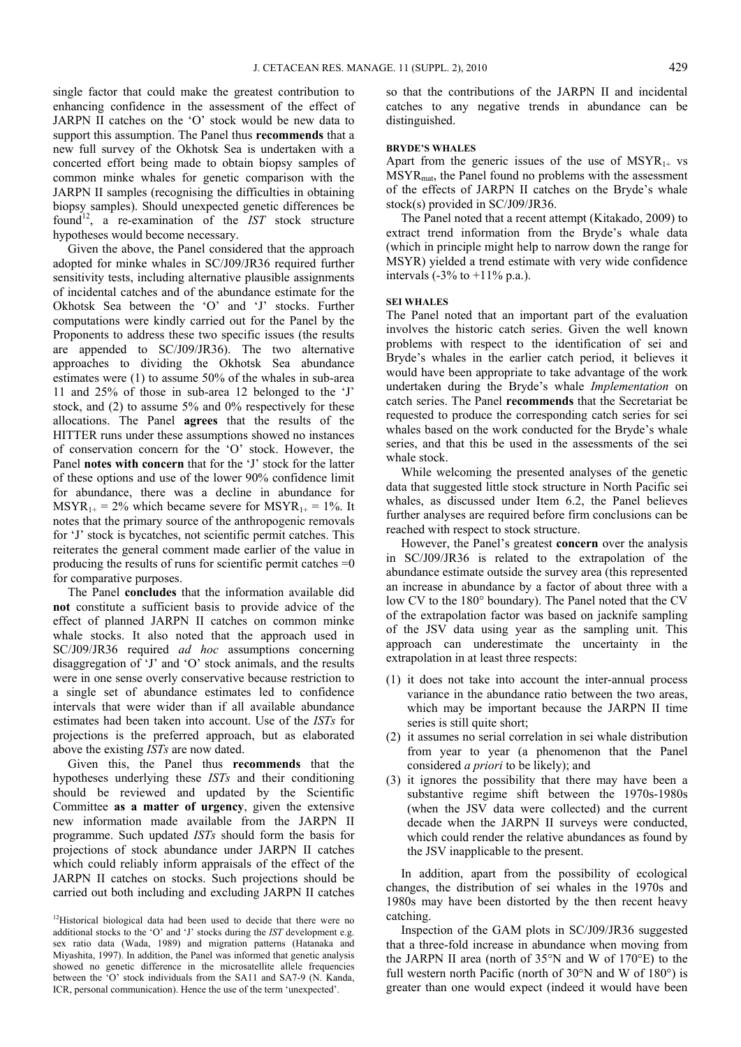single factor that could make the greatest contribution to enhancing confidence in the assessment of the effect of JARPN II catches on the 'O' stock would be new data to support this assumption. The Panel thus **recommends** that a new full survey of the Okhotsk Sea is undertaken with a concerted effort being made to obtain biopsy samples of common minke whales for genetic comparison with the JARPN II samples (recognising the difficulties in obtaining biopsy samples). Should unexpected genetic differences be found<sup>12</sup>, a re-examination of the *IST* stock structure hypotheses would become necessary.

Given the above, the Panel considered that the approach adopted for minke whales in SC/J09/JR36 required further sensitivity tests, including alternative plausible assignments of incidental catches and of the abundance estimate for the Okhotsk Sea between the 'O' and 'J' stocks. Further computations were kindly carried out for the Panel by the Proponents to address these two specific issues (the results are appended to SC/J09/JR36). The two alternative approaches to dividing the Okhotsk Sea abundance estimates were (1) to assume 50% of the whales in sub-area 11 and 25% of those in sub-area 12 belonged to the 'J' stock, and (2) to assume 5% and 0% respectively for these allocations. The Panel **agrees** that the results of the HITTER runs under these assumptions showed no instances of conservation concern for the 'O' stock. However, the Panel **notes with concern** that for the 'J' stock for the latter of these options and use of the lower 90% confidence limit for abundance, there was a decline in abundance for  $MSYR_{1+} = 2\%$  which became severe for  $MSYR_{1+} = 1\%$ . It notes that the primary source of the anthropogenic removals for 'J' stock is bycatches, not scientific permit catches. This reiterates the general comment made earlier of the value in producing the results of runs for scientific permit catches  $=0$ for comparative purposes.

The Panel **concludes** that the information available did **not** constitute a sufficient basis to provide advice of the effect of planned JARPN II catches on common minke whale stocks. It also noted that the approach used in SC/J09/JR36 required *ad hoc* assumptions concerning disaggregation of 'J' and 'O' stock animals, and the results were in one sense overly conservative because restriction to a single set of abundance estimates led to confidence intervals that were wider than if all available abundance estimates had been taken into account. Use of the *ISTs* for projections is the preferred approach, but as elaborated above the existing *ISTs* are now dated.

Given this, the Panel thus **recommends** that the hypotheses underlying these *ISTs* and their conditioning should be reviewed and updated by the Scientific Committee **as a matter of urgency**, given the extensive new information made available from the JARPN II programme. Such updated *ISTs* should form the basis for projections of stock abundance under JARPN II catches which could reliably inform appraisals of the effect of the JARPN II catches on stocks. Such projections should be carried out both including and excluding JARPN II catches

so that the contributions of the JARPN II and incidental catches to any negative trends in abundance can be distinguished.

#### **BRYDE'S WHALES**

Apart from the generic issues of the use of  $MSYR_{1+}$  vs MSYRmat, the Panel found no problems with the assessment of the effects of JARPN II catches on the Bryde's whale stock(s) provided in SC/J09/JR36.

The Panel noted that a recent attempt (Kitakado, 2009) to extract trend information from the Bryde's whale data (which in principle might help to narrow down the range for MSYR) yielded a trend estimate with very wide confidence intervals  $(-3\% \text{ to } +11\% \text{ p.a.})$ .

#### **SEI WHALES**

The Panel noted that an important part of the evaluation involves the historic catch series. Given the well known problems with respect to the identification of sei and Bryde's whales in the earlier catch period, it believes it would have been appropriate to take advantage of the work undertaken during the Bryde's whale *Implementation* on catch series. The Panel **recommends** that the Secretariat be requested to produce the corresponding catch series for sei whales based on the work conducted for the Bryde's whale series, and that this be used in the assessments of the sei whale stock.

While welcoming the presented analyses of the genetic data that suggested little stock structure in North Pacific sei whales, as discussed under Item 6.2, the Panel believes further analyses are required before firm conclusions can be reached with respect to stock structure.

However, the Panel's greatest **concern** over the analysis in SC/J09/JR36 is related to the extrapolation of the abundance estimate outside the survey area (this represented an increase in abundance by a factor of about three with a low CV to the 180° boundary). The Panel noted that the CV of the extrapolation factor was based on jacknife sampling of the JSV data using year as the sampling unit. This approach can underestimate the uncertainty in the extrapolation in at least three respects:

- (1) it does not take into account the inter-annual process variance in the abundance ratio between the two areas, which may be important because the JARPN II time series is still quite short;
- (2) it assumes no serial correlation in sei whale distribution from year to year (a phenomenon that the Panel considered *a priori* to be likely); and
- (3) it ignores the possibility that there may have been a substantive regime shift between the 1970s-1980s (when the JSV data were collected) and the current decade when the JARPN II surveys were conducted, which could render the relative abundances as found by the JSV inapplicable to the present.

In addition, apart from the possibility of ecological changes, the distribution of sei whales in the 1970s and 1980s may have been distorted by the then recent heavy catching.

Inspection of the GAM plots in SC/J09/JR36 suggested that a three-fold increase in abundance when moving from the JARPN II area (north of 35°N and W of 170°E) to the full western north Pacific (north of 30°N and W of 180°) is greater than one would expect (indeed it would have been

<sup>&</sup>lt;sup>12</sup>Historical biological data had been used to decide that there were no additional stocks to the 'O' and 'J' stocks during the *IST* development e.g. sex ratio data (Wada, 1989) and migration patterns (Hatanaka and Miyashita, 1997). In addition, the Panel was informed that genetic analysis showed no genetic difference in the microsatellite allele frequencies between the 'O' stock individuals from the SA11 and SA7-9 (N. Kanda, ICR, personal communication). Hence the use of the term 'unexpected'.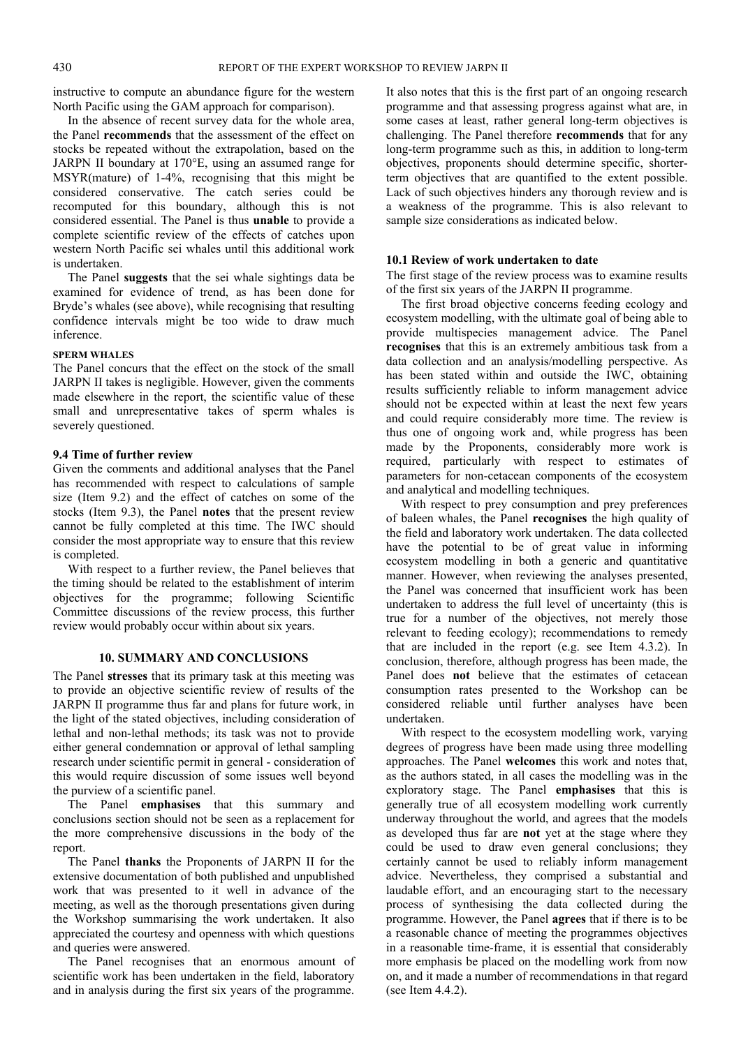instructive to compute an abundance figure for the western North Pacific using the GAM approach for comparison).

In the absence of recent survey data for the whole area, the Panel **recommends** that the assessment of the effect on stocks be repeated without the extrapolation, based on the JARPN II boundary at 170°E, using an assumed range for MSYR(mature) of 1-4%, recognising that this might be considered conservative. The catch series could be recomputed for this boundary, although this is not considered essential. The Panel is thus **unable** to provide a complete scientific review of the effects of catches upon western North Pacific sei whales until this additional work is undertaken.

The Panel **suggests** that the sei whale sightings data be examined for evidence of trend, as has been done for Bryde's whales (see above), while recognising that resulting confidence intervals might be too wide to draw much inference.

#### **SPERM WHALES**

The Panel concurs that the effect on the stock of the small JARPN II takes is negligible. However, given the comments made elsewhere in the report, the scientific value of these small and unrepresentative takes of sperm whales is severely questioned.

#### **9.4 Time of further review**

Given the comments and additional analyses that the Panel has recommended with respect to calculations of sample size (Item 9.2) and the effect of catches on some of the stocks (Item 9.3), the Panel **notes** that the present review cannot be fully completed at this time. The IWC should consider the most appropriate way to ensure that this review is completed.

With respect to a further review, the Panel believes that the timing should be related to the establishment of interim objectives for the programme; following Scientific Committee discussions of the review process, this further review would probably occur within about six years.

#### **10. SUMMARY AND CONCLUSIONS**

The Panel **stresses** that its primary task at this meeting was to provide an objective scientific review of results of the JARPN II programme thus far and plans for future work, in the light of the stated objectives, including consideration of lethal and non-lethal methods; its task was not to provide either general condemnation or approval of lethal sampling research under scientific permit in general - consideration of this would require discussion of some issues well beyond the purview of a scientific panel.

The Panel **emphasises** that this summary and conclusions section should not be seen as a replacement for the more comprehensive discussions in the body of the report.

The Panel **thanks** the Proponents of JARPN II for the extensive documentation of both published and unpublished work that was presented to it well in advance of the meeting, as well as the thorough presentations given during the Workshop summarising the work undertaken. It also appreciated the courtesy and openness with which questions and queries were answered.

The Panel recognises that an enormous amount of scientific work has been undertaken in the field, laboratory and in analysis during the first six years of the programme.

It also notes that this is the first part of an ongoing research programme and that assessing progress against what are, in some cases at least, rather general long-term objectives is challenging. The Panel therefore **recommends** that for any long-term programme such as this, in addition to long-term objectives, proponents should determine specific, shorterterm objectives that are quantified to the extent possible. Lack of such objectives hinders any thorough review and is a weakness of the programme. This is also relevant to sample size considerations as indicated below.

#### **10.1 Review of work undertaken to date**

The first stage of the review process was to examine results of the first six years of the JARPN II programme.

The first broad objective concerns feeding ecology and ecosystem modelling, with the ultimate goal of being able to provide multispecies management advice. The Panel **recognises** that this is an extremely ambitious task from a data collection and an analysis/modelling perspective. As has been stated within and outside the IWC, obtaining results sufficiently reliable to inform management advice should not be expected within at least the next few years and could require considerably more time. The review is thus one of ongoing work and, while progress has been made by the Proponents, considerably more work is required, particularly with respect to estimates of parameters for non-cetacean components of the ecosystem and analytical and modelling techniques.

With respect to prey consumption and prey preferences of baleen whales, the Panel **recognises** the high quality of the field and laboratory work undertaken. The data collected have the potential to be of great value in informing ecosystem modelling in both a generic and quantitative manner. However, when reviewing the analyses presented, the Panel was concerned that insufficient work has been undertaken to address the full level of uncertainty (this is true for a number of the objectives, not merely those relevant to feeding ecology); recommendations to remedy that are included in the report (e.g. see Item 4.3.2). In conclusion, therefore, although progress has been made, the Panel does **not** believe that the estimates of cetacean consumption rates presented to the Workshop can be considered reliable until further analyses have been undertaken.

With respect to the ecosystem modelling work, varying degrees of progress have been made using three modelling approaches. The Panel **welcomes** this work and notes that, as the authors stated, in all cases the modelling was in the exploratory stage. The Panel **emphasises** that this is generally true of all ecosystem modelling work currently underway throughout the world, and agrees that the models as developed thus far are **not** yet at the stage where they could be used to draw even general conclusions; they certainly cannot be used to reliably inform management advice. Nevertheless, they comprised a substantial and laudable effort, and an encouraging start to the necessary process of synthesising the data collected during the programme. However, the Panel **agrees** that if there is to be a reasonable chance of meeting the programmes objectives in a reasonable time-frame, it is essential that considerably more emphasis be placed on the modelling work from now on, and it made a number of recommendations in that regard (see Item 4.4.2).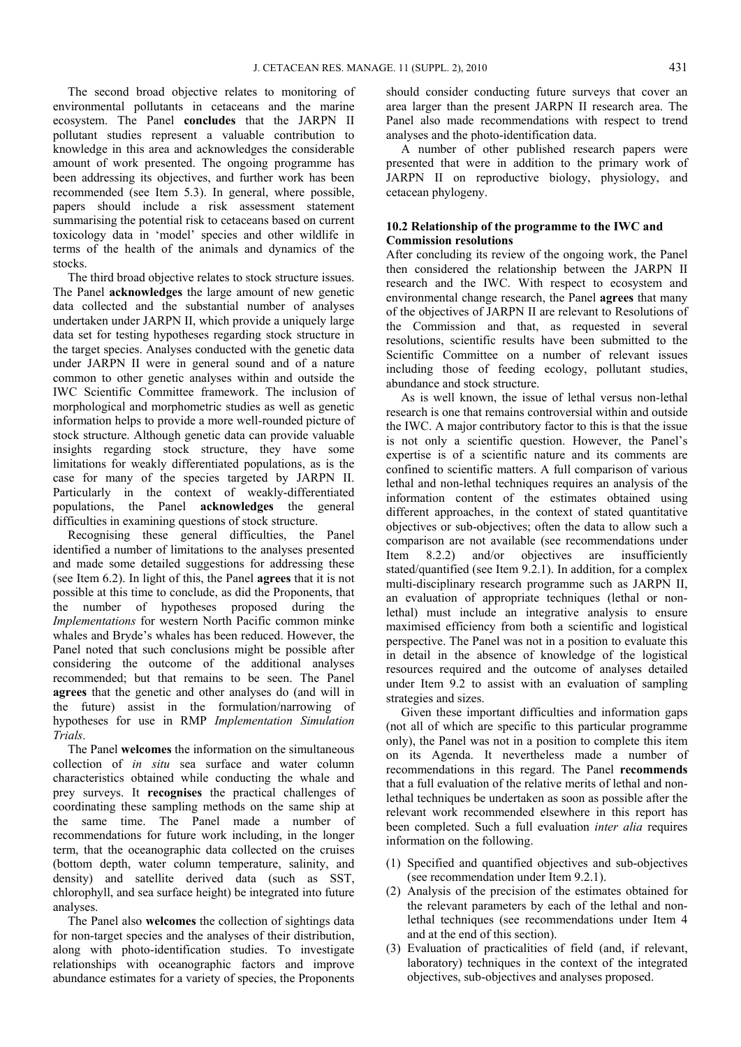The second broad objective relates to monitoring of environmental pollutants in cetaceans and the marine ecosystem. The Panel **concludes** that the JARPN II pollutant studies represent a valuable contribution to knowledge in this area and acknowledges the considerable amount of work presented. The ongoing programme has been addressing its objectives, and further work has been recommended (see Item 5.3). In general, where possible, papers should include a risk assessment statement summarising the potential risk to cetaceans based on current toxicology data in 'model' species and other wildlife in terms of the health of the animals and dynamics of the stocks.

The third broad objective relates to stock structure issues. The Panel **acknowledges** the large amount of new genetic data collected and the substantial number of analyses undertaken under JARPN II, which provide a uniquely large data set for testing hypotheses regarding stock structure in the target species. Analyses conducted with the genetic data under JARPN II were in general sound and of a nature common to other genetic analyses within and outside the IWC Scientific Committee framework. The inclusion of morphological and morphometric studies as well as genetic information helps to provide a more well-rounded picture of stock structure. Although genetic data can provide valuable insights regarding stock structure, they have some limitations for weakly differentiated populations, as is the case for many of the species targeted by JARPN II. Particularly in the context of weakly-differentiated populations, the Panel **acknowledges** the general difficulties in examining questions of stock structure.

Recognising these general difficulties, the Panel identified a number of limitations to the analyses presented and made some detailed suggestions for addressing these (see Item 6.2). In light of this, the Panel **agrees** that it is not possible at this time to conclude, as did the Proponents, that the number of hypotheses proposed during the *Implementations* for western North Pacific common minke whales and Bryde's whales has been reduced. However, the Panel noted that such conclusions might be possible after considering the outcome of the additional analyses recommended; but that remains to be seen. The Panel **agrees** that the genetic and other analyses do (and will in the future) assist in the formulation/narrowing of hypotheses for use in RMP *Implementation Simulation Trials*.

The Panel **welcomes** the information on the simultaneous collection of *in situ* sea surface and water column characteristics obtained while conducting the whale and prey surveys. It **recognises** the practical challenges of coordinating these sampling methods on the same ship at the same time. The Panel made a number of recommendations for future work including, in the longer term, that the oceanographic data collected on the cruises (bottom depth, water column temperature, salinity, and density) and satellite derived data (such as SST, chlorophyll, and sea surface height) be integrated into future analyses.

The Panel also **welcomes** the collection of sightings data for non-target species and the analyses of their distribution, along with photo-identification studies. To investigate relationships with oceanographic factors and improve abundance estimates for a variety of species, the Proponents

should consider conducting future surveys that cover an area larger than the present JARPN II research area. The Panel also made recommendations with respect to trend analyses and the photo-identification data.

A number of other published research papers were presented that were in addition to the primary work of JARPN II on reproductive biology, physiology, and cetacean phylogeny.

### **10.2 Relationship of the programme to the IWC and Commission resolutions**

After concluding its review of the ongoing work, the Panel then considered the relationship between the JARPN II research and the IWC. With respect to ecosystem and environmental change research, the Panel **agrees** that many of the objectives of JARPN II are relevant to Resolutions of the Commission and that, as requested in several resolutions, scientific results have been submitted to the Scientific Committee on a number of relevant issues including those of feeding ecology, pollutant studies, abundance and stock structure.

As is well known, the issue of lethal versus non-lethal research is one that remains controversial within and outside the IWC. A major contributory factor to this is that the issue is not only a scientific question. However, the Panel's expertise is of a scientific nature and its comments are confined to scientific matters. A full comparison of various lethal and non-lethal techniques requires an analysis of the information content of the estimates obtained using different approaches, in the context of stated quantitative objectives or sub-objectives; often the data to allow such a comparison are not available (see recommendations under Item 8.2.2) and/or objectives are insufficiently stated/quantified (see Item 9.2.1). In addition, for a complex multi-disciplinary research programme such as JARPN II, an evaluation of appropriate techniques (lethal or nonlethal) must include an integrative analysis to ensure maximised efficiency from both a scientific and logistical perspective. The Panel was not in a position to evaluate this in detail in the absence of knowledge of the logistical resources required and the outcome of analyses detailed under Item 9.2 to assist with an evaluation of sampling strategies and sizes.

Given these important difficulties and information gaps (not all of which are specific to this particular programme only), the Panel was not in a position to complete this item on its Agenda. It nevertheless made a number of recommendations in this regard. The Panel **recommends** that a full evaluation of the relative merits of lethal and nonlethal techniques be undertaken as soon as possible after the relevant work recommended elsewhere in this report has been completed. Such a full evaluation *inter alia* requires information on the following.

- (1) Specified and quantified objectives and sub-objectives (see recommendation under Item 9.2.1).
- (2) Analysis of the precision of the estimates obtained for the relevant parameters by each of the lethal and nonlethal techniques (see recommendations under Item 4 and at the end of this section).
- (3) Evaluation of practicalities of field (and, if relevant, laboratory) techniques in the context of the integrated objectives, sub-objectives and analyses proposed.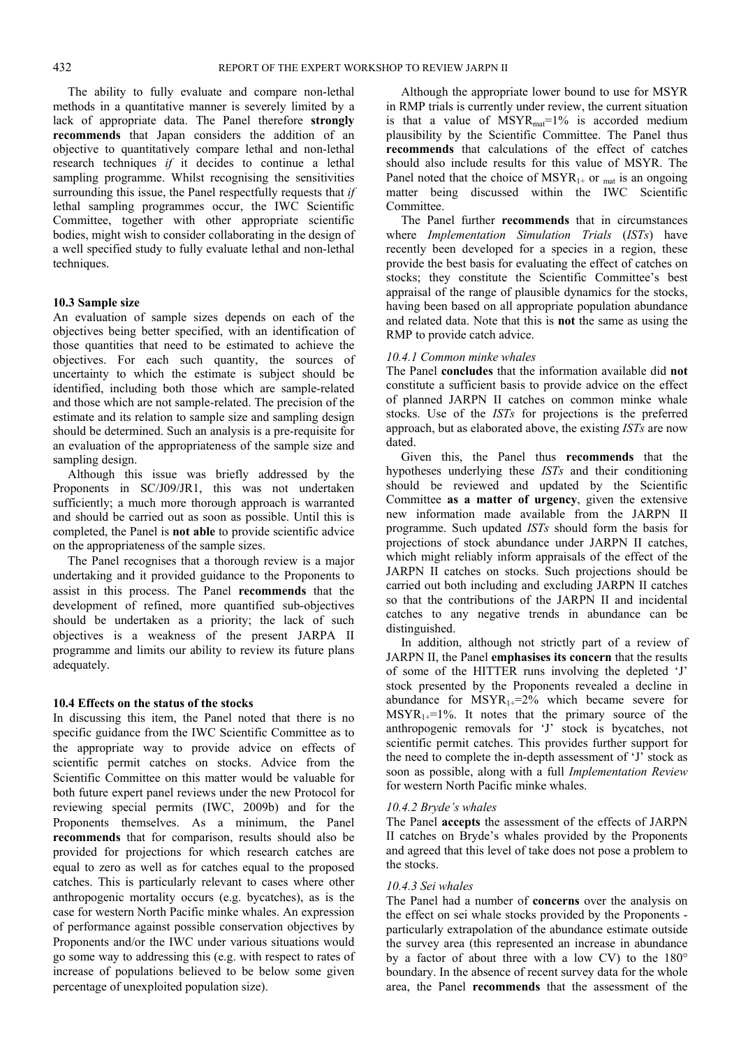The ability to fully evaluate and compare non-lethal methods in a quantitative manner is severely limited by a lack of appropriate data. The Panel therefore **strongly recommends** that Japan considers the addition of an objective to quantitatively compare lethal and non-lethal research techniques *if* it decides to continue a lethal sampling programme. Whilst recognising the sensitivities surrounding this issue, the Panel respectfully requests that *if* lethal sampling programmes occur, the IWC Scientific Committee, together with other appropriate scientific bodies, might wish to consider collaborating in the design of a well specified study to fully evaluate lethal and non-lethal techniques.

#### **10.3 Sample size**

An evaluation of sample sizes depends on each of the objectives being better specified, with an identification of those quantities that need to be estimated to achieve the objectives. For each such quantity, the sources of uncertainty to which the estimate is subject should be identified, including both those which are sample-related and those which are not sample-related. The precision of the estimate and its relation to sample size and sampling design should be determined. Such an analysis is a pre-requisite for an evaluation of the appropriateness of the sample size and sampling design.

Although this issue was briefly addressed by the Proponents in SC/J09/JR1, this was not undertaken sufficiently; a much more thorough approach is warranted and should be carried out as soon as possible. Until this is completed, the Panel is **not able** to provide scientific advice on the appropriateness of the sample sizes.

The Panel recognises that a thorough review is a major undertaking and it provided guidance to the Proponents to assist in this process. The Panel **recommends** that the development of refined, more quantified sub-objectives should be undertaken as a priority; the lack of such objectives is a weakness of the present JARPA II programme and limits our ability to review its future plans adequately.

#### **10.4 Effects on the status of the stocks**

In discussing this item, the Panel noted that there is no specific guidance from the IWC Scientific Committee as to the appropriate way to provide advice on effects of scientific permit catches on stocks. Advice from the Scientific Committee on this matter would be valuable for both future expert panel reviews under the new Protocol for reviewing special permits (IWC, 2009b) and for the Proponents themselves. As a minimum, the Panel **recommends** that for comparison, results should also be provided for projections for which research catches are equal to zero as well as for catches equal to the proposed catches. This is particularly relevant to cases where other anthropogenic mortality occurs (e.g. bycatches), as is the case for western North Pacific minke whales. An expression of performance against possible conservation objectives by Proponents and/or the IWC under various situations would go some way to addressing this (e.g. with respect to rates of increase of populations believed to be below some given percentage of unexploited population size).

Although the appropriate lower bound to use for MSYR in RMP trials is currently under review, the current situation is that a value of  $MSYR_{mat}=1\%$  is accorded medium plausibility by the Scientific Committee. The Panel thus **recommends** that calculations of the effect of catches should also include results for this value of MSYR. The Panel noted that the choice of  $MSYR_{1+}$  or <sub>mat</sub> is an ongoing matter being discussed within the IWC Scientific Committee.

The Panel further **recommends** that in circumstances where *Implementation Simulation Trials* (*ISTs*) have recently been developed for a species in a region, these provide the best basis for evaluating the effect of catches on stocks; they constitute the Scientific Committee's best appraisal of the range of plausible dynamics for the stocks, having been based on all appropriate population abundance and related data. Note that this is **not** the same as using the RMP to provide catch advice.

#### *10.4.1 Common minke whales*

The Panel **concludes** that the information available did **not** constitute a sufficient basis to provide advice on the effect of planned JARPN II catches on common minke whale stocks. Use of the *ISTs* for projections is the preferred approach, but as elaborated above, the existing *ISTs* are now dated.

Given this, the Panel thus **recommends** that the hypotheses underlying these *ISTs* and their conditioning should be reviewed and updated by the Scientific Committee **as a matter of urgency**, given the extensive new information made available from the JARPN II programme. Such updated *ISTs* should form the basis for projections of stock abundance under JARPN II catches, which might reliably inform appraisals of the effect of the JARPN II catches on stocks. Such projections should be carried out both including and excluding JARPN II catches so that the contributions of the JARPN II and incidental catches to any negative trends in abundance can be distinguished.

In addition, although not strictly part of a review of JARPN II, the Panel **emphasises its concern** that the results of some of the HITTER runs involving the depleted 'J' stock presented by the Proponents revealed a decline in abundance for  $MSYR_{1+}=2\%$  which became severe for  $MSYR_{1+}=1\%$ . It notes that the primary source of the anthropogenic removals for 'J' stock is bycatches, not scientific permit catches. This provides further support for the need to complete the in-depth assessment of 'J' stock as soon as possible, along with a full *Implementation Review* for western North Pacific minke whales.

#### *10.4.2 Bryde's whales*

The Panel **accepts** the assessment of the effects of JARPN II catches on Bryde's whales provided by the Proponents and agreed that this level of take does not pose a problem to the stocks.

#### *10.4.3 Sei whales*

The Panel had a number of **concerns** over the analysis on the effect on sei whale stocks provided by the Proponents particularly extrapolation of the abundance estimate outside the survey area (this represented an increase in abundance by a factor of about three with a low CV) to the 180° boundary. In the absence of recent survey data for the whole area, the Panel **recommends** that the assessment of the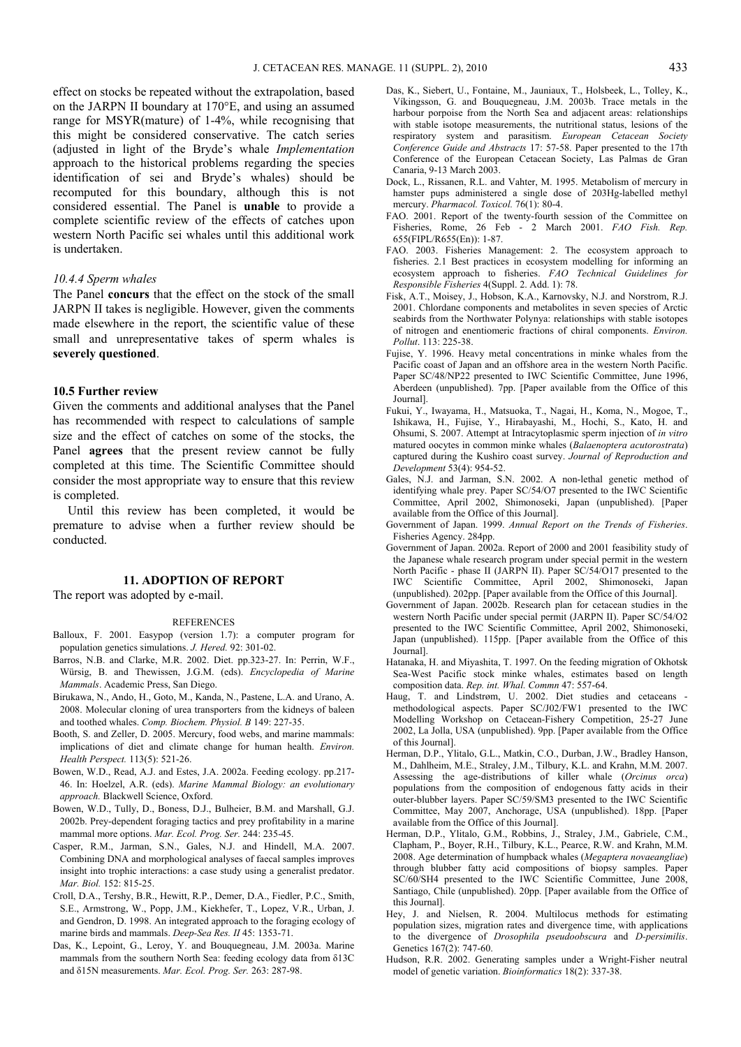effect on stocks be repeated without the extrapolation, based on the JARPN II boundary at 170°E, and using an assumed range for MSYR(mature) of 1-4%, while recognising that this might be considered conservative. The catch series (adjusted in light of the Bryde's whale *Implementation* approach to the historical problems regarding the species identification of sei and Bryde's whales) should be recomputed for this boundary, although this is not considered essential. The Panel is **unable** to provide a complete scientific review of the effects of catches upon western North Pacific sei whales until this additional work is undertaken.

#### *10.4.4 Sperm whales*

The Panel **concurs** that the effect on the stock of the small JARPN II takes is negligible. However, given the comments made elsewhere in the report, the scientific value of these small and unrepresentative takes of sperm whales is **severely questioned**.

#### **10.5 Further review**

Given the comments and additional analyses that the Panel has recommended with respect to calculations of sample size and the effect of catches on some of the stocks, the Panel **agrees** that the present review cannot be fully completed at this time. The Scientific Committee should consider the most appropriate way to ensure that this review is completed.

Until this review has been completed, it would be premature to advise when a further review should be conducted.

#### **11. ADOPTION OF REPORT**

The report was adopted by e-mail.

#### **REFERENCES**

- Balloux, F. 2001. Easypop (version 1.7): a computer program for population genetics simulations. *J. Hered.* 92: 301-02.
- Barros, N.B. and Clarke, M.R. 2002. Diet. pp.323-27. In: Perrin, W.F., Würsig, B. and Thewissen, J.G.M. (eds). *Encyclopedia of Marine Mammals*. Academic Press, San Diego.
- Birukawa, N., Ando, H., Goto, M., Kanda, N., Pastene, L.A. and Urano, A. 2008. Molecular cloning of urea transporters from the kidneys of baleen and toothed whales. *Comp. Biochem. Physiol. B* 149: 227-35.
- Booth, S. and Zeller, D. 2005. Mercury, food webs, and marine mammals: implications of diet and climate change for human health. *Environ. Health Perspect.* 113(5): 521-26.
- Bowen, W.D., Read, A.J. and Estes, J.A. 2002a. Feeding ecology. pp.217- 46. In: Hoelzel, A.R. (eds). *Marine Mammal Biology: an evolutionary approach.* Blackwell Science, Oxford.
- Bowen, W.D., Tully, D., Boness, D.J., Bulheier, B.M. and Marshall, G.J. 2002b. Prey-dependent foraging tactics and prey profitability in a marine mammal more options. *Mar. Ecol. Prog. Ser.* 244: 235-45.
- Casper, R.M., Jarman, S.N., Gales, N.J. and Hindell, M.A. 2007. Combining DNA and morphological analyses of faecal samples improves insight into trophic interactions: a case study using a generalist predator. *Mar. Biol.* 152: 815-25.
- Croll, D.A., Tershy, B.R., Hewitt, R.P., Demer, D.A., Fiedler, P.C., Smith, S.E., Armstrong, W., Popp, J.M., Kiekhefer, T., Lopez, V.R., Urban, J. and Gendron, D. 1998. An integrated approach to the foraging ecology of marine birds and mammals. *Deep-Sea Res. II* 45: 1353-71.
- Das, K., Lepoint, G., Leroy, Y. and Bouquegneau, J.M. 2003a. Marine mammals from the southern North Sea: feeding ecology data from δ13C and δ15N measurements. *Mar. Ecol. Prog. Ser.* 263: 287-98.
- Das, K., Siebert, U., Fontaine, M., Jauniaux, T., Holsbeek, L., Tolley, K., Víkingsson, G. and Bouquegneau, J.M. 2003b. Trace metals in the harbour porpoise from the North Sea and adjacent areas: relationships with stable isotope measurements, the nutritional status, lesions of the respiratory system and parasitism. *European Cetacean Society Conference Guide and Abstracts* 17: 57-58. Paper presented to the 17th Conference of the European Cetacean Society, Las Palmas de Gran Canaria, 9-13 March 2003.
- Dock, L., Rissanen, R.L. and Vahter, M. 1995. Metabolism of mercury in hamster pups administered a single dose of 203Hg-labelled methyl mercury. *Pharmacol. Toxicol.* 76(1): 80-4.
- FAO. 2001. Report of the twenty-fourth session of the Committee on Fisheries, Rome, 26 Feb - 2 March 2001. *FAO Fish. Rep.* 655(FIPL/R655(En)): 1-87.
- FAO. 2003. Fisheries Management: 2. The ecosystem approach to fisheries. 2.1 Best practices in ecosystem modelling for informing an ecosystem approach to fisheries. *FAO Technical Guidelines for Responsible Fisheries* 4(Suppl. 2. Add. 1): 78.
- Fisk, A.T., Moisey, J., Hobson, K.A., Karnovsky, N.J. and Norstrom, R.J. 2001. Chlordane components and metabolites in seven species of Arctic seabirds from the Northwater Polynya: relationships with stable isotopes of nitrogen and enentiomeric fractions of chiral components. *Environ. Pollut*. 113: 225-38.
- Fujise, Y. 1996. Heavy metal concentrations in minke whales from the Pacific coast of Japan and an offshore area in the western North Pacific. Paper SC/48/NP22 presented to IWC Scientific Committee, June 1996, Aberdeen (unpublished). 7pp. [Paper available from the Office of this Journal].
- Fukui, Y., Iwayama, H., Matsuoka, T., Nagai, H., Koma, N., Mogoe, T., Ishikawa, H., Fujise, Y., Hirabayashi, M., Hochi, S., Kato, H. and Ohsumi, S. 2007. Attempt at Intracytoplasmic sperm injection of *in vitro*  matured oocytes in common minke whales (*Balaenoptera acutorostrata*) captured during the Kushiro coast survey. *Journal of Reproduction and Development* 53(4): 954-52.
- Gales, N.J. and Jarman, S.N. 2002. A non-lethal genetic method of identifying whale prey. Paper SC/54/O7 presented to the IWC Scientific Committee, April 2002, Shimonoseki, Japan (unpublished). [Paper available from the Office of this Journal].
- Government of Japan. 1999. *Annual Report on the Trends of Fisheries*. Fisheries Agency. 284pp.
- Government of Japan. 2002a. Report of 2000 and 2001 feasibility study of the Japanese whale research program under special permit in the western North Pacific - phase II (JARPN II). Paper SC/54/O17 presented to the IWC Scientific Committee, April 2002, Shimonoseki, Japan (unpublished). 202pp. [Paper available from the Office of this Journal].
- Government of Japan. 2002b. Research plan for cetacean studies in the western North Pacific under special permit (JARPN II). Paper SC/54/O2 presented to the IWC Scientific Committee, April 2002, Shimonoseki, Japan (unpublished). 115pp. [Paper available from the Office of this Journal].
- Hatanaka, H. and Miyashita, T. 1997. On the feeding migration of Okhotsk Sea-West Pacific stock minke whales, estimates based on length composition data. *Rep. int. Whal. Commn* 47: 557-64.
- Haug, T. and Lindstrøm, U. 2002. Diet studies and cetaceans methodological aspects. Paper SC/J02/FW1 presented to the IWC Modelling Workshop on Cetacean-Fishery Competition, 25-27 June 2002, La Jolla, USA (unpublished). 9pp. [Paper available from the Office of this Journal].
- Herman, D.P., Ylitalo, G.L., Matkin, C.O., Durban, J.W., Bradley Hanson, M., Dahlheim, M.E., Straley, J.M., Tilbury, K.L. and Krahn, M.M. 2007. Assessing the age-distributions of killer whale (*Orcinus orca*) populations from the composition of endogenous fatty acids in their outer-blubber layers. Paper SC/59/SM3 presented to the IWC Scientific Committee, May 2007, Anchorage, USA (unpublished). 18pp. [Paper available from the Office of this Journal].
- Herman, D.P., Ylitalo, G.M., Robbins, J., Straley, J.M., Gabriele, C.M., Clapham, P., Boyer, R.H., Tilbury, K.L., Pearce, R.W. and Krahn, M.M. 2008. Age determination of humpback whales (*Megaptera novaeangliae*) through blubber fatty acid compositions of biopsy samples. Paper SC/60/SH4 presented to the IWC Scientific Committee, June 2008, Santiago, Chile (unpublished). 20pp. [Paper available from the Office of this Journal].
- Hey, J. and Nielsen, R. 2004. Multilocus methods for estimating population sizes, migration rates and divergence time, with applications to the divergence of *Drosophila pseudoobscura* and *D-persimilis*. Genetics 167(2): 747-60.
- Hudson, R.R. 2002. Generating samples under a Wright-Fisher neutral model of genetic variation. *Bioinformatics* 18(2): 337-38.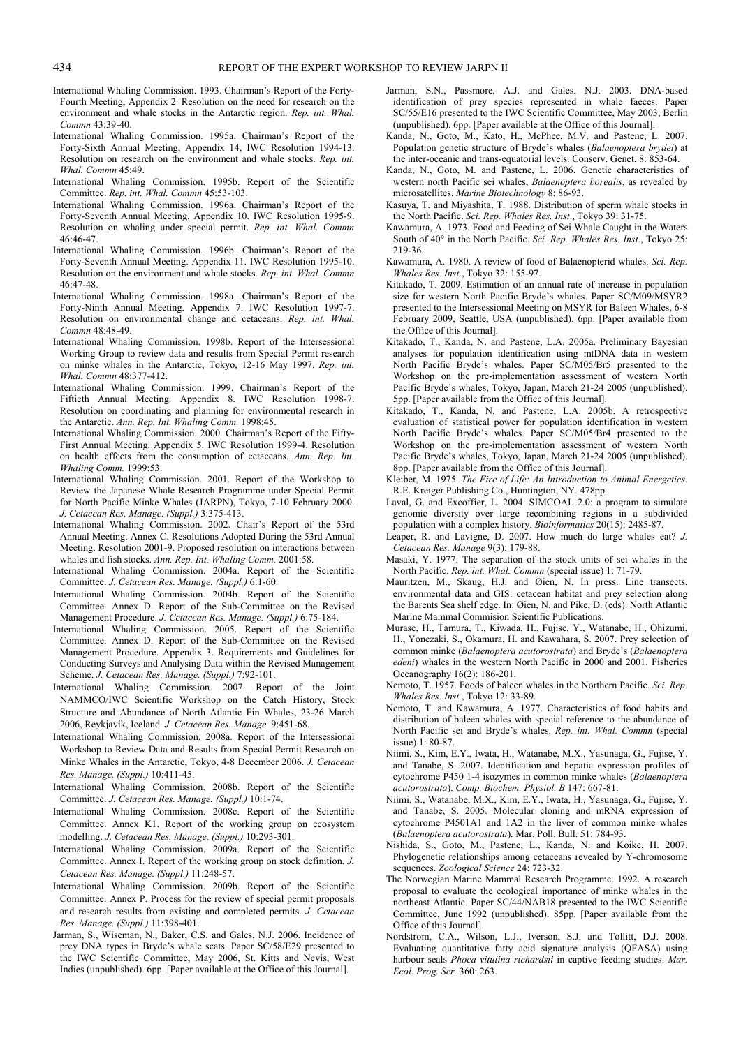- International Whaling Commission. 1993. Chairman's Report of the Forty-Fourth Meeting, Appendix 2. Resolution on the need for research on the environment and whale stocks in the Antarctic region. *Rep. int. Whal. Commn* 43:39-40.
- International Whaling Commission. 1995a. Chairman's Report of the Forty-Sixth Annual Meeting, Appendix 14, IWC Resolution 1994-13. Resolution on research on the environment and whale stocks. *Rep. int. Whal. Commn* 45:49.
- International Whaling Commission. 1995b. Report of the Scientific Committee. *Rep. int. Whal. Commn* 45:53-103.
- International Whaling Commission. 1996a. Chairman's Report of the Forty-Seventh Annual Meeting. Appendix 10. IWC Resolution 1995-9. Resolution on whaling under special permit. *Rep. int. Whal. Commn*  46:46-47.
- International Whaling Commission. 1996b. Chairman's Report of the Forty-Seventh Annual Meeting. Appendix 11. IWC Resolution 1995-10. Resolution on the environment and whale stocks. *Rep. int. Whal. Commn*  46:47-48.
- International Whaling Commission. 1998a. Chairman's Report of the Forty-Ninth Annual Meeting. Appendix 7. IWC Resolution 1997-7. Resolution on environmental change and cetaceans. *Rep. int. Whal. Commn* 48:48-49.
- International Whaling Commission. 1998b. Report of the Intersessional Working Group to review data and results from Special Permit research on minke whales in the Antarctic, Tokyo, 12-16 May 1997. *Rep. int. Whal. Commn* 48:377-412.
- International Whaling Commission. 1999. Chairman's Report of the Fiftieth Annual Meeting. Appendix 8. IWC Resolution 1998-7. Resolution on coordinating and planning for environmental research in the Antarctic. *Ann. Rep. Int. Whaling Comm.* 1998:45.
- International Whaling Commission. 2000. Chairman's Report of the Fifty-First Annual Meeting. Appendix 5. IWC Resolution 1999-4. Resolution on health effects from the consumption of cetaceans. *Ann. Rep. Int. Whaling Comm.* 1999:53.
- International Whaling Commission. 2001. Report of the Workshop to Review the Japanese Whale Research Programme under Special Permit for North Pacific Minke Whales (JARPN), Tokyo, 7-10 February 2000. *J. Cetacean Res. Manage. (Suppl.)* 3:375-413.
- International Whaling Commission. 2002. Chair's Report of the 53rd Annual Meeting. Annex C. Resolutions Adopted During the 53rd Annual Meeting. Resolution 2001-9. Proposed resolution on interactions between whales and fish stocks. *Ann. Rep. Int. Whaling Comm.* 2001:58.
- International Whaling Commission. 2004a. Report of the Scientific Committee. *J. Cetacean Res. Manage. (Suppl.)* 6:1-60.
- International Whaling Commission. 2004b. Report of the Scientific Committee. Annex D. Report of the Sub-Committee on the Revised Management Procedure. *J. Cetacean Res. Manage. (Suppl.)* 6:75-184.
- International Whaling Commission. 2005. Report of the Scientific Committee. Annex D. Report of the Sub-Committee on the Revised Management Procedure. Appendix 3. Requirements and Guidelines for Conducting Surveys and Analysing Data within the Revised Management Scheme. *J. Cetacean Res. Manage. (Suppl.)* 7:92-101.
- International Whaling Commission. 2007. Report of the Joint NAMMCO/IWC Scientific Workshop on the Catch History, Stock Structure and Abundance of North Atlantic Fin Whales, 23-26 March 2006, Reykjavík, Iceland. *J. Cetacean Res. Manage.* 9:451-68.
- International Whaling Commission. 2008a. Report of the Intersessional Workshop to Review Data and Results from Special Permit Research on Minke Whales in the Antarctic, Tokyo, 4-8 December 2006. *J. Cetacean Res. Manage. (Suppl.)* 10:411-45.
- International Whaling Commission. 2008b. Report of the Scientific Committee. *J. Cetacean Res. Manage. (Suppl.)* 10:1-74.
- International Whaling Commission. 2008c. Report of the Scientific Committee. Annex K1. Report of the working group on ecosystem modelling. *J. Cetacean Res. Manage. (Suppl.)* 10:293-301.
- International Whaling Commission. 2009a. Report of the Scientific Committee. Annex I. Report of the working group on stock definition. *J. Cetacean Res. Manage. (Suppl.)* 11:248-57.
- International Whaling Commission. 2009b. Report of the Scientific Committee. Annex P. Process for the review of special permit proposals and research results from existing and completed permits. *J. Cetacean Res. Manage. (Suppl.)* 11:398-401.
- Jarman, S., Wiseman, N., Baker, C.S. and Gales, N.J. 2006. Incidence of prey DNA types in Bryde's whale scats. Paper SC/58/E29 presented to the IWC Scientific Committee, May 2006, St. Kitts and Nevis, West Indies (unpublished). 6pp. [Paper available at the Office of this Journal].
- Jarman, S.N., Passmore, A.J. and Gales, N.J. 2003. DNA-based identification of prey species represented in whale faeces. Paper SC/55/E16 presented to the IWC Scientific Committee, May 2003, Berlin (unpublished). 6pp. [Paper available at the Office of this Journal].
- Kanda, N., Goto, M., Kato, H., McPhee, M.V. and Pastene, L. 2007. Population genetic structure of Bryde's whales (*Balaenoptera brydei*) at the inter-oceanic and trans-equatorial levels. Conserv. Genet. 8: 853-64.
- Kanda, N., Goto, M. and Pastene, L. 2006. Genetic characteristics of western north Pacific sei whales, *Balaenoptera borealis*, as revealed by microsatellites. *Marine Biotechnology* 8: 86-93.
- Kasuya, T. and Miyashita, T. 1988. Distribution of sperm whale stocks in the North Pacific. *Sci. Rep. Whales Res. Inst*., Tokyo 39: 31-75.
- Kawamura, A. 1973. Food and Feeding of Sei Whale Caught in the Waters South of 40° in the North Pacific. *Sci. Rep. Whales Res. Inst*., Tokyo 25: 219-36.
- Kawamura, A. 1980. A review of food of Balaenopterid whales. *Sci. Rep. Whales Res. Inst*., Tokyo 32: 155-97.
- Kitakado, T. 2009. Estimation of an annual rate of increase in population size for western North Pacific Bryde's whales. Paper SC/M09/MSYR2 presented to the Intersessional Meeting on MSYR for Baleen Whales, 6-8 February 2009, Seattle, USA (unpublished). 6pp. [Paper available from the Office of this Journal].
- Kitakado, T., Kanda, N. and Pastene, L.A. 2005a. Preliminary Bayesian analyses for population identification using mtDNA data in western North Pacific Bryde's whales. Paper SC/M05/Br5 presented to the Workshop on the pre-implementation assessment of western North Pacific Bryde's whales, Tokyo, Japan, March 21-24 2005 (unpublished). 5pp. [Paper available from the Office of this Journal].
- Kitakado, T., Kanda, N. and Pastene, L.A. 2005b. A retrospective evaluation of statistical power for population identification in western North Pacific Bryde's whales. Paper SC/M05/Br4 presented to the Workshop on the pre-implementation assessment of western North Pacific Bryde's whales, Tokyo, Japan, March 21-24 2005 (unpublished). 8pp. [Paper available from the Office of this Journal].
- Kleiber, M. 1975. *The Fire of Life: An Introduction to Animal Energetics*. R.E. Kreiger Publishing Co., Huntington, NY. 478pp.
- Laval, G. and Excoffier, L. 2004. SIMCOAL 2.0: a program to simulate genomic diversity over large recombining regions in a subdivided population with a complex history. *Bioinformatics* 20(15): 2485-87.
- Leaper, R. and Lavigne, D. 2007. How much do large whales eat? *J. Cetacean Res. Manage* 9(3): 179-88.
- Masaki, Y. 1977. The separation of the stock units of sei whales in the North Pacific. *Rep. int. Whal. Commn* (special issue) 1: 71-79.
- Mauritzen, M., Skaug, H.J. and Øien, N. In press. Line transects, environmental data and GIS: cetacean habitat and prey selection along the Barents Sea shelf edge. In: Øien, N. and Pike, D. (eds). North Atlantic Marine Mammal Commision Scientific Publications.
- Murase, H., Tamura, T., Kiwada, H., Fujise, Y., Watanabe, H., Ohizumi, H., Yonezaki, S., Okamura, H. and Kawahara, S. 2007. Prey selection of common minke (*Balaenoptera acutorostrata*) and Bryde's (*Balaenoptera edeni*) whales in the western North Pacific in 2000 and 2001. Fisheries Oceanography 16(2): 186-201.
- Nemoto, T. 1957. Foods of baleen whales in the Northern Pacific. *Sci. Rep. Whales Res. Inst.*, Tokyo 12: 33-89.
- Nemoto, T. and Kawamura, A. 1977. Characteristics of food habits and distribution of baleen whales with special reference to the abundance of North Pacific sei and Bryde's whales. *Rep. int. Whal. Commn* (special issue) 1: 80-87.
- Niimi, S., Kim, E.Y., Iwata, H., Watanabe, M.X., Yasunaga, G., Fujise, Y. and Tanabe, S. 2007. Identification and hepatic expression profiles of cytochrome P450 1-4 isozymes in common minke whales (*Balaenoptera acutorostrata*). *Comp. Biochem. Physiol. B* 147: 667-81.
- Niimi, S., Watanabe, M.X., Kim, E.Y., Iwata, H., Yasunaga, G., Fujise, Y. and Tanabe, S. 2005. Molecular cloning and mRNA expression of cytochrome P4501A1 and 1A2 in the liver of common minke whales (*Balaenoptera acutorostrata*). Mar. Poll. Bull. 51: 784-93.
- Nishida, S., Goto, M., Pastene, L., Kanda, N. and Koike, H. 2007. Phylogenetic relationships among cetaceans revealed by Y-chromosome sequences. *Zoological Science* 24: 723-32.
- The Norwegian Marine Mammal Research Programme. 1992. A research proposal to evaluate the ecological importance of minke whales in the northeast Atlantic. Paper SC/44/NAB18 presented to the IWC Scientific Committee, June 1992 (unpublished). 85pp. [Paper available from the Office of this Journal].
- Nordstrom, C.A., Wilson, L.J., Iverson, S.J. and Tollitt, D.J. 2008. Evaluating quantitative fatty acid signature analysis (QFASA) using harbour seals *Phoca vitulina richardsii* in captive feeding studies. *Mar. Ecol. Prog. Ser.* 360: 263.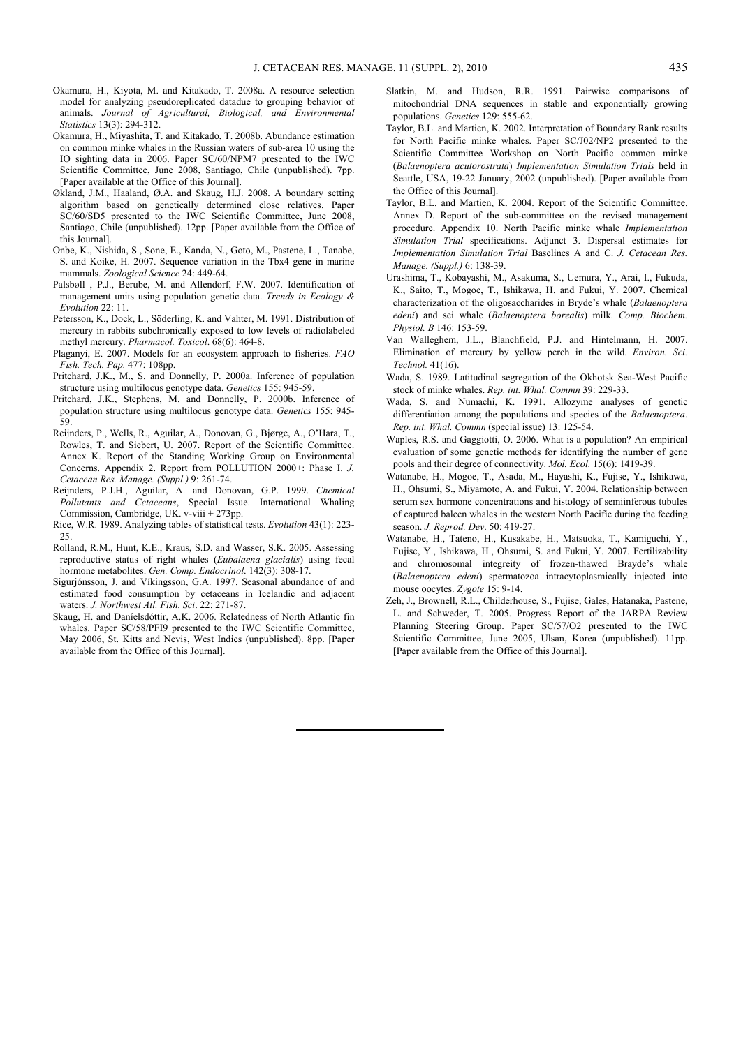- Okamura, H., Kiyota, M. and Kitakado, T. 2008a. A resource selection model for analyzing pseudoreplicated datadue to grouping behavior of animals. *Journal of Agricultural, Biological, and Environmental Statistics* 13(3): 294-312.
- Okamura, H., Miyashita, T. and Kitakado, T. 2008b. Abundance estimation on common minke whales in the Russian waters of sub-area 10 using the IO sighting data in 2006. Paper SC/60/NPM7 presented to the IWC Scientific Committee, June 2008, Santiago, Chile (unpublished). 7pp. [Paper available at the Office of this Journal].
- Økland, J.M., Haaland, Ø.A. and Skaug, H.J. 2008. A boundary setting algorithm based on genetically determined close relatives. Paper SC/60/SD5 presented to the IWC Scientific Committee, June 2008, Santiago, Chile (unpublished). 12pp. [Paper available from the Office of this Journal].
- Onbe, K., Nishida, S., Sone, E., Kanda, N., Goto, M., Pastene, L., Tanabe, S. and Koike, H. 2007. Sequence variation in the Tbx4 gene in marine mammals. *Zoological Science* 24: 449-64.
- Palsbøll , P.J., Berube, M. and Allendorf, F.W. 2007. Identification of management units using population genetic data. *Trends in Ecology & Evolution* 22: 11.
- Petersson, K., Dock, L., Söderling, K. and Vahter, M. 1991. Distribution of mercury in rabbits subchronically exposed to low levels of radiolabeled methyl mercury. *Pharmacol. Toxicol*. 68(6): 464-8.
- Plaganyi, E. 2007. Models for an ecosystem approach to fisheries. *FAO Fish. Tech. Pap.* 477: 108pp.
- Pritchard, J.K., M., S. and Donnelly, P. 2000a. Inference of population structure using multilocus genotype data. *Genetics* 155: 945-59.
- Pritchard, J.K., Stephens, M. and Donnelly, P. 2000b. Inference of population structure using multilocus genotype data. *Genetics* 155: 945- 59.
- Reijnders, P., Wells, R., Aguilar, A., Donovan, G., Bjørge, A., O'Hara, T., Rowles, T. and Siebert, U. 2007. Report of the Scientific Committee. Annex K. Report of the Standing Working Group on Environmental Concerns. Appendix 2. Report from POLLUTION 2000+: Phase I. *J. Cetacean Res. Manage. (Suppl.)* 9: 261-74.
- Reijnders, P.J.H., Aguilar, A. and Donovan, G.P. 1999. *Chemical Pollutants and Cetaceans*, Special Issue. International Whaling Commission, Cambridge, UK. v-viii + 273pp.
- Rice, W.R. 1989. Analyzing tables of statistical tests. *Evolution* 43(1): 223- 25.
- Rolland, R.M., Hunt, K.E., Kraus, S.D. and Wasser, S.K. 2005. Assessing reproductive status of right whales (*Eubalaena glacialis*) using fecal hormone metabolites. *Gen. Comp. Endocrinol*. 142(3): 308-17.
- Sigurjónsson, J. and Víkingsson, G.A. 1997. Seasonal abundance of and estimated food consumption by cetaceans in Icelandic and adjacent waters. *J. Northwest Atl. Fish. Sci*. 22: 271-87.
- Skaug, H. and Daníelsdóttir, A.K. 2006. Relatedness of North Atlantic fin whales. Paper SC/58/PFI9 presented to the IWC Scientific Committee, May 2006, St. Kitts and Nevis, West Indies (unpublished). 8pp. [Paper available from the Office of this Journal].
- Slatkin, M. and Hudson, R.R. 1991. Pairwise comparisons of mitochondrial DNA sequences in stable and exponentially growing populations. *Genetics* 129: 555-62.
- Taylor, B.L. and Martien, K. 2002. Interpretation of Boundary Rank results for North Pacific minke whales. Paper SC/J02/NP2 presented to the Scientific Committee Workshop on North Pacific common minke (*Balaenoptera acutorostrata*) *Implementation Simulation Trials* held in Seattle, USA, 19-22 January, 2002 (unpublished). [Paper available from the Office of this Journal].
- Taylor, B.L. and Martien, K. 2004. Report of the Scientific Committee. Annex D. Report of the sub-committee on the revised management procedure. Appendix 10. North Pacific minke whale *Implementation Simulation Trial* specifications. Adjunct 3. Dispersal estimates for *Implementation Simulation Trial* Baselines A and C. *J. Cetacean Res. Manage. (Suppl.)* 6: 138-39.
- Urashima, T., Kobayashi, M., Asakuma, S., Uemura, Y., Arai, I., Fukuda, K., Saito, T., Mogoe, T., Ishikawa, H. and Fukui, Y. 2007. Chemical characterization of the oligosaccharides in Bryde's whale (*Balaenoptera edeni*) and sei whale (*Balaenoptera borealis*) milk. *Comp. Biochem. Physiol. B* 146: 153-59.
- Van Walleghem, J.L., Blanchfield, P.J. and Hintelmann, H. 2007. Elimination of mercury by yellow perch in the wild. *Environ. Sci. Technol.* 41(16).
- Wada, S. 1989. Latitudinal segregation of the Okhotsk Sea-West Pacific stock of minke whales. *Rep. int. Whal. Commn* 39: 229-33.
- Wada, S. and Numachi, K. 1991. Allozyme analyses of genetic differentiation among the populations and species of the *Balaenoptera*. *Rep. int. Whal. Commn* (special issue) 13: 125-54.
- Waples, R.S. and Gaggiotti, O. 2006. What is a population? An empirical evaluation of some genetic methods for identifying the number of gene pools and their degree of connectivity. *Mol. Ecol.* 15(6): 1419-39.
- Watanabe, H., Mogoe, T., Asada, M., Hayashi, K., Fujise, Y., Ishikawa, H., Ohsumi, S., Miyamoto, A. and Fukui, Y. 2004. Relationship between serum sex hormone concentrations and histology of semiinferous tubules of captured baleen whales in the western North Pacific during the feeding season. *J. Reprod. Dev*. 50: 419-27.
- Watanabe, H., Tateno, H., Kusakabe, H., Matsuoka, T., Kamiguchi, Y., Fujise, Y., Ishikawa, H., Ohsumi, S. and Fukui, Y. 2007. Fertilizability and chromosomal integreity of frozen-thawed Brayde's whale (*Balaenoptera edeni*) spermatozoa intracytoplasmically injected into mouse oocytes. *Zygote* 15: 9-14.
- Zeh, J., Brownell, R.L., Childerhouse, S., Fujise, Gales, Hatanaka, Pastene, L. and Schweder, T. 2005. Progress Report of the JARPA Review Planning Steering Group. Paper SC/57/O2 presented to the IWC Scientific Committee, June 2005, Ulsan, Korea (unpublished). 11pp. [Paper available from the Office of this Journal].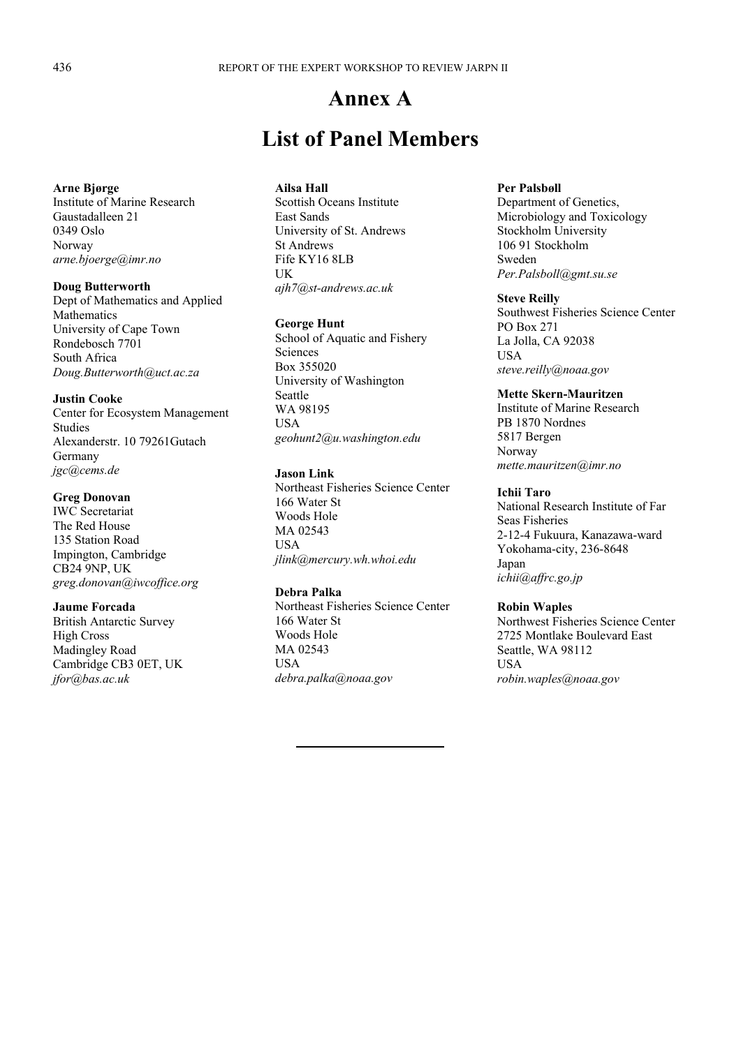# **Annex A**

# **List of Panel Members**

#### **Arne Bjørge**

Institute of Marine Research Gaustadalleen 21 0349 Oslo Norway *arne.bjoerge@imr.no* 

### **Doug Butterworth**

Dept of Mathematics and Applied Mathematics University of Cape Town Rondebosch 7701 South Africa *Doug.Butterworth@uct.ac.za* 

#### **Justin Cooke**

Center for Ecosystem Management Studies Alexanderstr. 10 79261Gutach Germany *jgc@cems.de* 

### **Greg Donovan**

IWC Secretariat The Red House 135 Station Road Impington, Cambridge CB24 9NP, UK *greg.donovan@iwcoffice.org* 

#### **Jaume Forcada**

British Antarctic Survey High Cross Madingley Road Cambridge CB3 0ET, UK *jfor@bas.ac.uk* 

### **Ailsa Hall**

Scottish Oceans Institute East Sands University of St. Andrews St Andrews Fife KY16 8LB UK *ajh7@st-andrews.ac.uk* 

#### **George Hunt**

School of Aquatic and Fishery Sciences Box 355020 University of Washington Seattle WA 98195 USA *geohunt2@u.washington.edu* 

#### **Jason Link**

Northeast Fisheries Science Center 166 Water St Woods Hole MA 02543 USA *jlink@mercury.wh.whoi.edu* 

### **Debra Palka**

Northeast Fisheries Science Center 166 Water St Woods Hole MA 02543 **USA** *debra.palka@noaa.gov* 

#### **Per Palsbøll**

Department of Genetics, Microbiology and Toxicology Stockholm University 106 91 Stockholm Sweden *Per.Palsboll@gmt.su.se* 

#### **Steve Reilly**

Southwest Fisheries Science Center PO Box 271 La Jolla, CA 92038 USA *steve.reilly@noaa.gov* 

#### **Mette Skern-Mauritzen**

Institute of Marine Research PB 1870 Nordnes 5817 Bergen Norway *mette.mauritzen@imr.no* 

#### **Ichii Taro**

National Research Institute of Far Seas Fisheries 2-12-4 Fukuura, Kanazawa-ward Yokohama-city, 236-8648 Japan *ichii@affrc.go.jp* 

#### **Robin Waples**

Northwest Fisheries Science Center 2725 Montlake Boulevard East Seattle, WA 98112 USA *robin.waples@noaa.gov*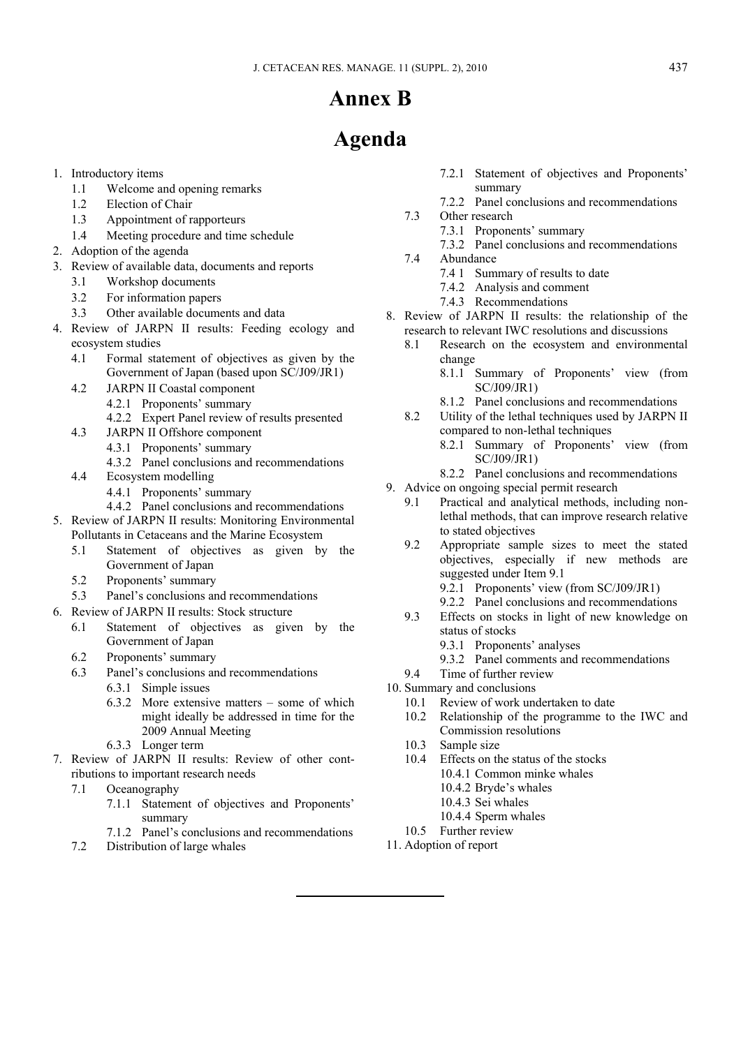# **Annex B**

# **Agenda**

- 1. Introductory items
	- 1.1 Welcome and opening remarks
	- 1.2 Election of Chair
	- 1.3 Appointment of rapporteurs
	- 1.4 Meeting procedure and time schedule
- 2. Adoption of the agenda
- 3. Review of available data, documents and reports
	- 3.1 Workshop documents
	- 3.2 For information papers
	- 3.3 Other available documents and data
- 4. Review of JARPN II results: Feeding ecology and ecosystem studies
	- 4.1 Formal statement of objectives as given by the Government of Japan (based upon SC/J09/JR1)
	- 4.2 JARPN II Coastal component
		- 4.2.1 Proponents' summary
		- 4.2.2 Expert Panel review of results presented
	- 4.3 JARPN II Offshore component
		- 4.3.1 Proponents' summary
		- 4.3.2 Panel conclusions and recommendations
	- 4.4 Ecosystem modelling
		- 4.4.1 Proponents' summary
		- 4.4.2 Panel conclusions and recommendations
- 5. Review of JARPN II results: Monitoring Environmental Pollutants in Cetaceans and the Marine Ecosystem
	- 5.1 Statement of objectives as given by the Government of Japan
	- 5.2 Proponents' summary
	- 5.3 Panel's conclusions and recommendations
- 6. Review of JARPN II results: Stock structure
	- 6.1 Statement of objectives as given by the Government of Japan
	- 6.2 Proponents' summary
	- 6.3 Panel's conclusions and recommendations
		- 6.3.1 Simple issues
		- 6.3.2 More extensive matters some of which might ideally be addressed in time for the 2009 Annual Meeting
		- 6.3.3 Longer term
- 7. Review of JARPN II results: Review of other contributions to important research needs
	- 7.1 Oceanography
		- 7.1.1 Statement of objectives and Proponents' summary
		- 7.1.2 Panel's conclusions and recommendations
	- 7.2 Distribution of large whales
- 7.2.1 Statement of objectives and Proponents' summary
- 7.2.2 Panel conclusions and recommendations
- 7.3 Other research
	- 7.3.1 Proponents' summary
	- 7.3.2 Panel conclusions and recommendations
- 7.4 Abundance
	- 7.4 1 Summary of results to date
	- 7.4.2 Analysis and comment
	- 7.4.3 Recommendations
- 8. Review of JARPN II results: the relationship of the research to relevant IWC resolutions and discussions
	- 8.1 Research on the ecosystem and environmental change
		- 8.1.1 Summary of Proponents' view (from SC/J09/JR1)
	- 8.1.2 Panel conclusions and recommendations<br>8.2 Utility of the lethal techniques used by JARPN
	- Utility of the lethal techniques used by JARPN II compared to non-lethal techniques
		- 8.2.1 Summary of Proponents' view (from SC/J09/JR1)
		- 8.2.2 Panel conclusions and recommendations
- 9. Advice on ongoing special permit research
	- 9.1 Practical and analytical methods, including nonlethal methods, that can improve research relative to stated objectives
	- 9.2 Appropriate sample sizes to meet the stated objectives, especially if new methods are suggested under Item 9.1
		- 9.2.1 Proponents' view (from SC/J09/JR1)
		- 9.2.2 Panel conclusions and recommendations
	- 9.3 Effects on stocks in light of new knowledge on status of stocks
		- 9.3.1 Proponents' analyses
	- 9.3.2 Panel comments and recommendations<br>9.4 Time of further review
	- Time of further review
- 10. Summary and conclusions
	- 10.1 Review of work undertaken to date
	- 10.2 Relationship of the programme to the IWC and Commission resolutions
	- 10.3 Sample size
	- 10.4 Effects on the status of the stocks 10.4.1 Common minke whales
		- 10.4.2 Bryde's whales
		- 10.4.3 Sei whales
		- 10.4.4 Sperm whales
	- 10.5 Further review
- 11. Adoption of report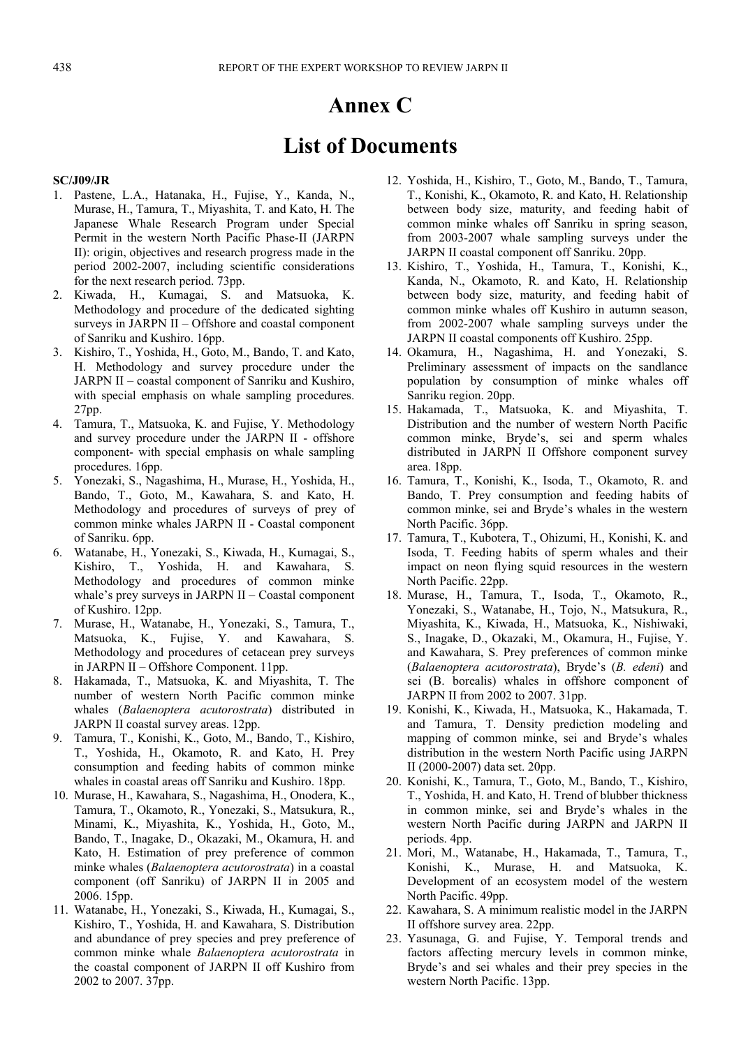# **Annex C**

# **List of Documents**

#### **SC/J09/JR**

- 1. Pastene, L.A., Hatanaka, H., Fujise, Y., Kanda, N., Murase, H., Tamura, T., Miyashita, T. and Kato, H. The Japanese Whale Research Program under Special Permit in the western North Pacific Phase-II (JARPN II): origin, objectives and research progress made in the period 2002-2007, including scientific considerations for the next research period. 73pp.
- 2. Kiwada, H., Kumagai, S. and Matsuoka, K. Methodology and procedure of the dedicated sighting surveys in JARPN II – Offshore and coastal component of Sanriku and Kushiro. 16pp.
- 3. Kishiro, T., Yoshida, H., Goto, M., Bando, T. and Kato, H. Methodology and survey procedure under the JARPN II – coastal component of Sanriku and Kushiro, with special emphasis on whale sampling procedures. 27pp.
- 4. Tamura, T., Matsuoka, K. and Fujise, Y. Methodology and survey procedure under the JARPN II - offshore component- with special emphasis on whale sampling procedures. 16pp.
- 5. Yonezaki, S., Nagashima, H., Murase, H., Yoshida, H., Bando, T., Goto, M., Kawahara, S. and Kato, H. Methodology and procedures of surveys of prey of common minke whales JARPN II - Coastal component of Sanriku. 6pp.
- 6. Watanabe, H., Yonezaki, S., Kiwada, H., Kumagai, S., Kishiro, T., Yoshida, H. and Kawahara, S. Methodology and procedures of common minke whale's prey surveys in JARPN II – Coastal component of Kushiro. 12pp.
- 7. Murase, H., Watanabe, H., Yonezaki, S., Tamura, T., Matsuoka, K., Fujise, Y. and Kawahara, S. Methodology and procedures of cetacean prey surveys in JARPN II – Offshore Component. 11pp.
- 8. Hakamada, T., Matsuoka, K. and Miyashita, T. The number of western North Pacific common minke whales (*Balaenoptera acutorostrata*) distributed in JARPN II coastal survey areas. 12pp.
- 9. Tamura, T., Konishi, K., Goto, M., Bando, T., Kishiro, T., Yoshida, H., Okamoto, R. and Kato, H. Prey consumption and feeding habits of common minke whales in coastal areas off Sanriku and Kushiro. 18pp.
- 10. Murase, H., Kawahara, S., Nagashima, H., Onodera, K., Tamura, T., Okamoto, R., Yonezaki, S., Matsukura, R., Minami, K., Miyashita, K., Yoshida, H., Goto, M., Bando, T., Inagake, D., Okazaki, M., Okamura, H. and Kato, H. Estimation of prey preference of common minke whales (*Balaenoptera acutorostrata*) in a coastal component (off Sanriku) of JARPN II in 2005 and 2006. 15pp.
- 11. Watanabe, H., Yonezaki, S., Kiwada, H., Kumagai, S., Kishiro, T., Yoshida, H. and Kawahara, S. Distribution and abundance of prey species and prey preference of common minke whale *Balaenoptera acutorostrata* in the coastal component of JARPN II off Kushiro from 2002 to 2007. 37pp.
- 12. Yoshida, H., Kishiro, T., Goto, M., Bando, T., Tamura, T., Konishi, K., Okamoto, R. and Kato, H. Relationship between body size, maturity, and feeding habit of common minke whales off Sanriku in spring season, from 2003-2007 whale sampling surveys under the JARPN II coastal component off Sanriku. 20pp.
- 13. Kishiro, T., Yoshida, H., Tamura, T., Konishi, K., Kanda, N., Okamoto, R. and Kato, H. Relationship between body size, maturity, and feeding habit of common minke whales off Kushiro in autumn season, from 2002-2007 whale sampling surveys under the JARPN II coastal components off Kushiro. 25pp.
- 14. Okamura, H., Nagashima, H. and Yonezaki, S. Preliminary assessment of impacts on the sandlance population by consumption of minke whales off Sanriku region. 20pp.
- 15. Hakamada, T., Matsuoka, K. and Miyashita, T. Distribution and the number of western North Pacific common minke, Bryde's, sei and sperm whales distributed in JARPN II Offshore component survey area. 18pp.
- 16. Tamura, T., Konishi, K., Isoda, T., Okamoto, R. and Bando, T. Prey consumption and feeding habits of common minke, sei and Bryde's whales in the western North Pacific. 36pp.
- 17. Tamura, T., Kubotera, T., Ohizumi, H., Konishi, K. and Isoda, T. Feeding habits of sperm whales and their impact on neon flying squid resources in the western North Pacific. 22pp.
- 18. Murase, H., Tamura, T., Isoda, T., Okamoto, R., Yonezaki, S., Watanabe, H., Tojo, N., Matsukura, R., Miyashita, K., Kiwada, H., Matsuoka, K., Nishiwaki, S., Inagake, D., Okazaki, M., Okamura, H., Fujise, Y. and Kawahara, S. Prey preferences of common minke (*Balaenoptera acutorostrata*), Bryde's (*B. edeni*) and sei (B. borealis) whales in offshore component of JARPN II from 2002 to 2007. 31pp.
- 19. Konishi, K., Kiwada, H., Matsuoka, K., Hakamada, T. and Tamura, T. Density prediction modeling and mapping of common minke, sei and Bryde's whales distribution in the western North Pacific using JARPN II (2000-2007) data set. 20pp.
- 20. Konishi, K., Tamura, T., Goto, M., Bando, T., Kishiro, T., Yoshida, H. and Kato, H. Trend of blubber thickness in common minke, sei and Bryde's whales in the western North Pacific during JARPN and JARPN II periods. 4pp.
- 21. Mori, M., Watanabe, H., Hakamada, T., Tamura, T., Konishi, K., Murase, H. and Matsuoka, K. Development of an ecosystem model of the western North Pacific. 49pp.
- 22. Kawahara, S. A minimum realistic model in the JARPN II offshore survey area. 22pp.
- 23. Yasunaga, G. and Fujise, Y. Temporal trends and factors affecting mercury levels in common minke, Bryde's and sei whales and their prey species in the western North Pacific. 13pp.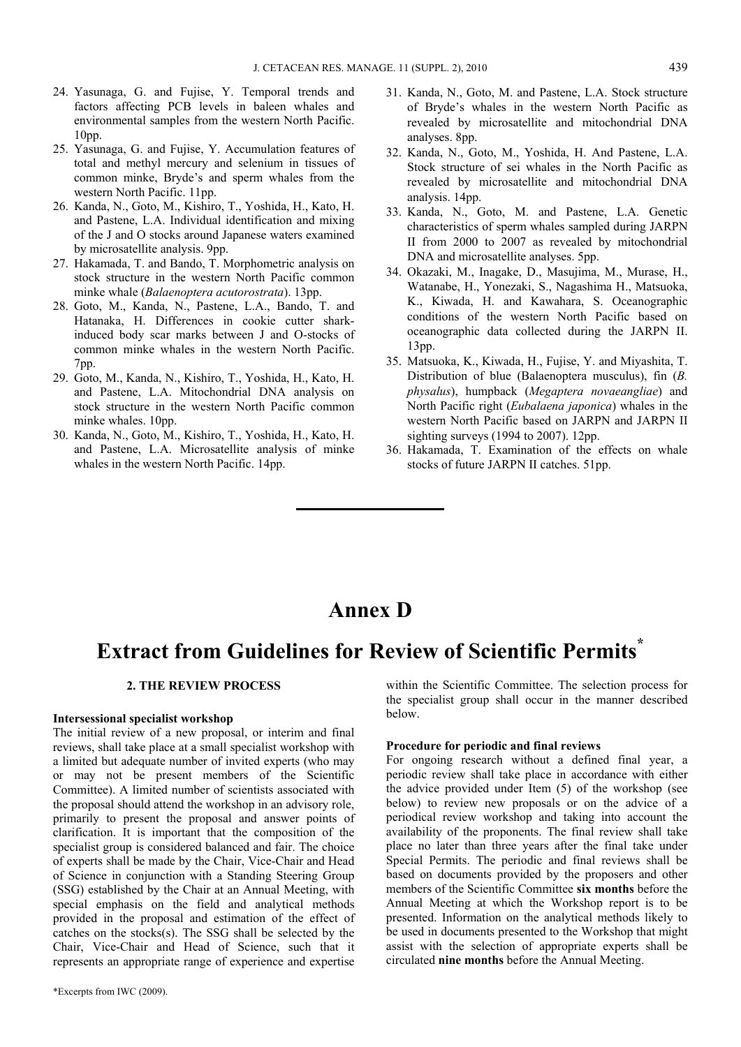- 24. Yasunaga, G. and Fujise, Y. Temporal trends and factors affecting PCB levels in baleen whales and environmental samples from the western North Pacific. 10pp.
- 25. Yasunaga, G. and Fujise, Y. Accumulation features of total and methyl mercury and selenium in tissues of common minke, Bryde's and sperm whales from the western North Pacific. 11pp.
- 26. Kanda, N., Goto, M., Kishiro, T., Yoshida, H., Kato, H. and Pastene, L.A. Individual identification and mixing of the J and O stocks around Japanese waters examined by microsatellite analysis. 9pp.
- 27. Hakamada, T. and Bando, T. Morphometric analysis on stock structure in the western North Pacific common minke whale (*Balaenoptera acutorostrata*). 13pp.
- 28. Goto, M., Kanda, N., Pastene, L.A., Bando, T. and Hatanaka, H. Differences in cookie cutter sharkinduced body scar marks between J and O-stocks of common minke whales in the western North Pacific. 7pp.
- 29. Goto, M., Kanda, N., Kishiro, T., Yoshida, H., Kato, H. and Pastene, L.A. Mitochondrial DNA analysis on stock structure in the western North Pacific common minke whales. 10pp.
- 30. Kanda, N., Goto, M., Kishiro, T., Yoshida, H., Kato, H. and Pastene, L.A. Microsatellite analysis of minke whales in the western North Pacific. 14pp.
- 31. Kanda, N., Goto, M. and Pastene, L.A. Stock structure of Bryde's whales in the western North Pacific as revealed by microsatellite and mitochondrial DNA analyses. 8pp.
- 32. Kanda, N., Goto, M., Yoshida, H. And Pastene, L.A. Stock structure of sei whales in the North Pacific as revealed by microsatellite and mitochondrial DNA analysis. 14pp.
- 33. Kanda, N., Goto, M. and Pastene, L.A. Genetic characteristics of sperm whales sampled during JARPN II from 2000 to 2007 as revealed by mitochondrial DNA and microsatellite analyses. 5pp.
- 34. Okazaki, M., Inagake, D., Masujima, M., Murase, H., Watanabe, H., Yonezaki, S., Nagashima H., Matsuoka, K., Kiwada, H. and Kawahara, S. Oceanographic conditions of the western North Pacific based on oceanographic data collected during the JARPN II. 13pp.
- 35. Matsuoka, K., Kiwada, H., Fujise, Y. and Miyashita, T. Distribution of blue (Balaenoptera musculus), fin (*B. physalus*), humpback (*Megaptera novaeangliae*) and North Pacific right (*Eubalaena japonica*) whales in the western North Pacific based on JARPN and JARPN II sighting surveys (1994 to 2007). 12pp.
- 36. Hakamada, T. Examination of the effects on whale stocks of future JARPN II catches. 51pp.

# **Annex D**

# **Extract from Guidelines for Review of Scientific Permits\***

### **2. THE REVIEW PROCESS**

#### **Intersessional specialist workshop**

The initial review of a new proposal, or interim and final reviews, shall take place at a small specialist workshop with a limited but adequate number of invited experts (who may or may not be present members of the Scientific Committee). A limited number of scientists associated with the proposal should attend the workshop in an advisory role, primarily to present the proposal and answer points of clarification. It is important that the composition of the specialist group is considered balanced and fair. The choice of experts shall be made by the Chair, Vice-Chair and Head of Science in conjunction with a Standing Steering Group (SSG) established by the Chair at an Annual Meeting, with special emphasis on the field and analytical methods provided in the proposal and estimation of the effect of catches on the stocks(s). The SSG shall be selected by the Chair, Vice-Chair and Head of Science, such that it represents an appropriate range of experience and expertise

within the Scientific Committee. The selection process for the specialist group shall occur in the manner described below.

#### **Procedure for periodic and final reviews**

For ongoing research without a defined final year, a periodic review shall take place in accordance with either the advice provided under Item (5) of the workshop (see below) to review new proposals or on the advice of a periodical review workshop and taking into account the availability of the proponents. The final review shall take place no later than three years after the final take under Special Permits. The periodic and final reviews shall be based on documents provided by the proposers and other members of the Scientific Committee **six months** before the Annual Meeting at which the Workshop report is to be presented. Information on the analytical methods likely to be used in documents presented to the Workshop that might assist with the selection of appropriate experts shall be circulated **nine months** before the Annual Meeting.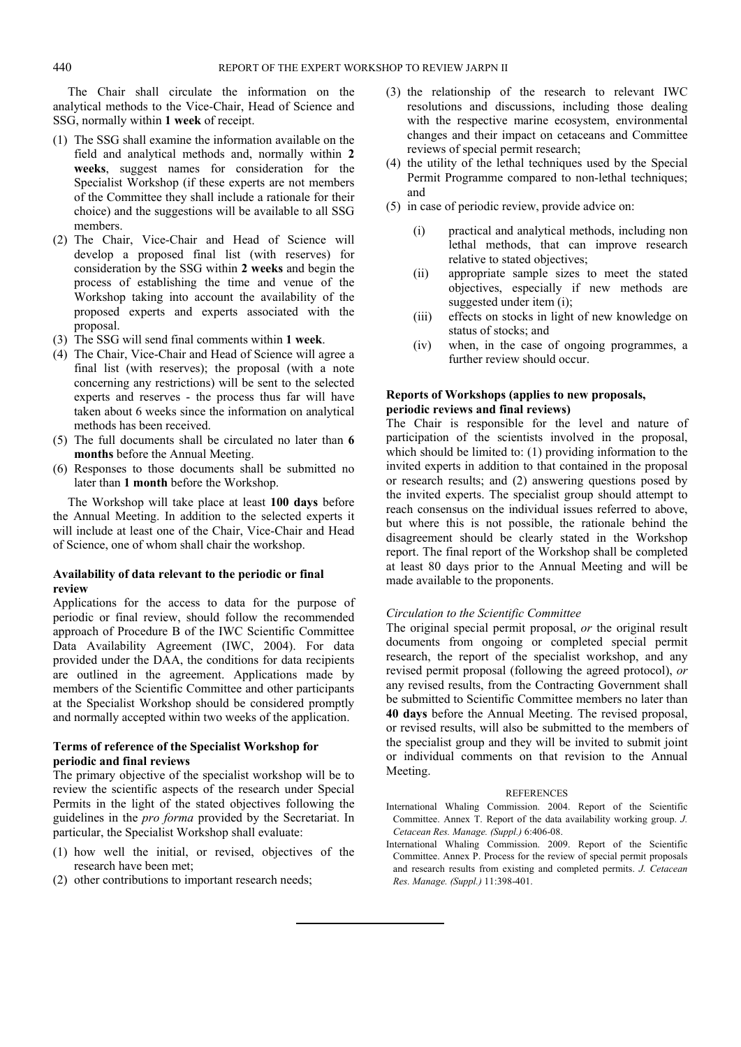The Chair shall circulate the information on the analytical methods to the Vice-Chair, Head of Science and SSG, normally within **1 week** of receipt.

- (1) The SSG shall examine the information available on the field and analytical methods and, normally within **2 weeks**, suggest names for consideration for the Specialist Workshop (if these experts are not members of the Committee they shall include a rationale for their choice) and the suggestions will be available to all SSG members.
- (2) The Chair, Vice-Chair and Head of Science will develop a proposed final list (with reserves) for consideration by the SSG within **2 weeks** and begin the process of establishing the time and venue of the Workshop taking into account the availability of the proposed experts and experts associated with the proposal.
- (3) The SSG will send final comments within **1 week**.
- (4) The Chair, Vice-Chair and Head of Science will agree a final list (with reserves); the proposal (with a note concerning any restrictions) will be sent to the selected experts and reserves - the process thus far will have taken about 6 weeks since the information on analytical methods has been received.
- (5) The full documents shall be circulated no later than **6 months** before the Annual Meeting.
- (6) Responses to those documents shall be submitted no later than **1 month** before the Workshop.

The Workshop will take place at least **100 days** before the Annual Meeting. In addition to the selected experts it will include at least one of the Chair, Vice-Chair and Head of Science, one of whom shall chair the workshop.

#### **Availability of data relevant to the periodic or final review**

Applications for the access to data for the purpose of periodic or final review, should follow the recommended approach of Procedure B of the IWC Scientific Committee Data Availability Agreement (IWC, 2004). For data provided under the DAA, the conditions for data recipients are outlined in the agreement. Applications made by members of the Scientific Committee and other participants at the Specialist Workshop should be considered promptly and normally accepted within two weeks of the application.

### **Terms of reference of the Specialist Workshop for periodic and final reviews**

The primary objective of the specialist workshop will be to review the scientific aspects of the research under Special Permits in the light of the stated objectives following the guidelines in the *pro forma* provided by the Secretariat. In particular, the Specialist Workshop shall evaluate:

- (1) how well the initial, or revised, objectives of the research have been met;
- (2) other contributions to important research needs;
- (3) the relationship of the research to relevant IWC resolutions and discussions, including those dealing with the respective marine ecosystem, environmental changes and their impact on cetaceans and Committee reviews of special permit research;
- (4) the utility of the lethal techniques used by the Special Permit Programme compared to non-lethal techniques; and
- (5) in case of periodic review, provide advice on:
	- (i) practical and analytical methods, including non lethal methods, that can improve research relative to stated objectives;
	- (ii) appropriate sample sizes to meet the stated objectives, especially if new methods are suggested under item (i);
	- (iii) effects on stocks in light of new knowledge on status of stocks; and
	- (iv) when, in the case of ongoing programmes, a further review should occur.

#### **Reports of Workshops (applies to new proposals, periodic reviews and final reviews)**

The Chair is responsible for the level and nature of participation of the scientists involved in the proposal, which should be limited to: (1) providing information to the invited experts in addition to that contained in the proposal or research results; and (2) answering questions posed by the invited experts. The specialist group should attempt to reach consensus on the individual issues referred to above, but where this is not possible, the rationale behind the disagreement should be clearly stated in the Workshop report. The final report of the Workshop shall be completed at least 80 days prior to the Annual Meeting and will be made available to the proponents.

#### *Circulation to the Scientific Committee*

The original special permit proposal, *or* the original result documents from ongoing or completed special permit research, the report of the specialist workshop, and any revised permit proposal (following the agreed protocol), *or* any revised results, from the Contracting Government shall be submitted to Scientific Committee members no later than **40 days** before the Annual Meeting. The revised proposal, or revised results, will also be submitted to the members of the specialist group and they will be invited to submit joint or individual comments on that revision to the Annual Meeting.

#### **REFERENCES**

- International Whaling Commission. 2004. Report of the Scientific Committee. Annex T. Report of the data availability working group. *J. Cetacean Res. Manage. (Suppl.)* 6:406-08.
- International Whaling Commission. 2009. Report of the Scientific Committee. Annex P. Process for the review of special permit proposals and research results from existing and completed permits. *J. Cetacean Res. Manage. (Suppl.)* 11:398-401.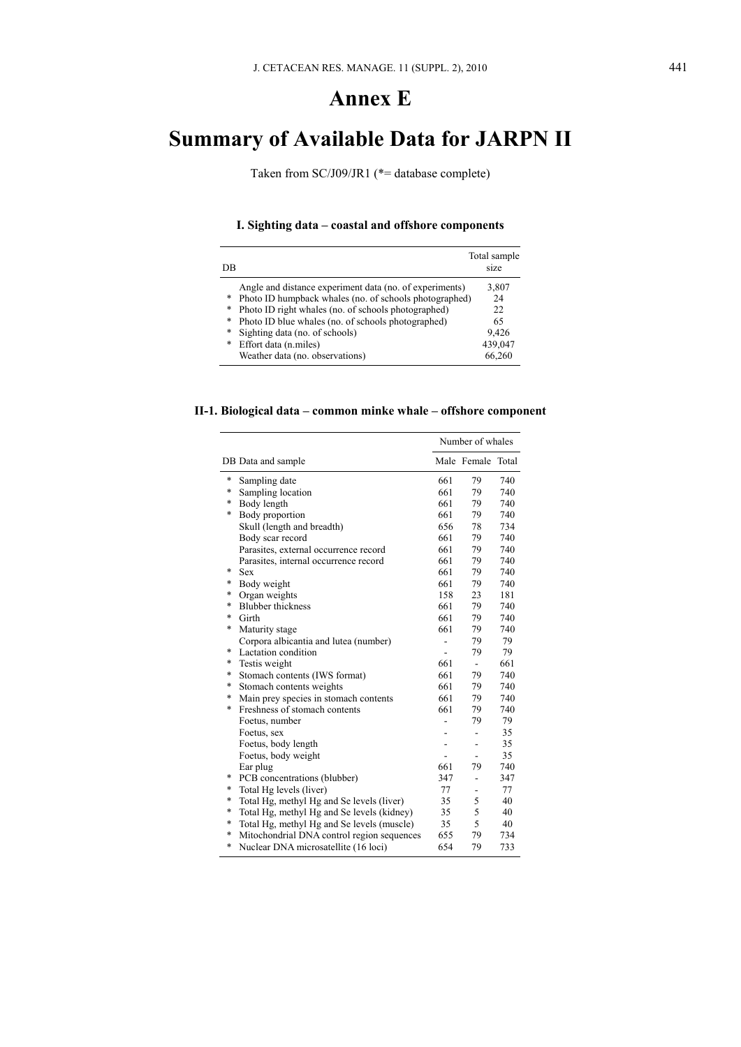# **Annex E**

# **Summary of Available Data for JARPN II**

Taken from SC/J09/JR1 (\*= database complete)

# **I. Sighting data – coastal and offshore components**

| DB |                                                         | Total sample<br>size |
|----|---------------------------------------------------------|----------------------|
|    | Angle and distance experiment data (no. of experiments) | 3,807                |
| *  | Photo ID humpback whales (no. of schools photographed)  | 24                   |
| *  | Photo ID right whales (no. of schools photographed)     | 22.                  |
| *  | Photo ID blue whales (no. of schools photographed)      | 65                   |
| *  | Sighting data (no. of schools)                          | 9,426                |
| *  | Effort data (n.miles)                                   | 439,047              |
|    | Weather data (no. observations)                         | 66,260               |

### **II-1. Biological data – common minke whale – offshore component**

|        | Number of whales                           |     |                          |     |
|--------|--------------------------------------------|-----|--------------------------|-----|
|        | DB Data and sample                         |     | Male Female Total        |     |
| $\ast$ | Sampling date                              | 661 | 79                       | 740 |
| $\ast$ | Sampling location                          | 661 | 79                       | 740 |
| $\ast$ | Body length                                | 661 | 79                       | 740 |
| *      | Body proportion                            | 661 | 79                       | 740 |
|        | Skull (length and breadth)                 | 656 | 78                       | 734 |
|        | Body scar record                           | 661 | 79                       | 740 |
|        | Parasites, external occurrence record      | 661 | 79                       | 740 |
|        | Parasites, internal occurrence record      | 661 | 79                       | 740 |
| *      | <b>Sex</b>                                 | 661 | 79                       | 740 |
| *      | Body weight                                | 661 | 79                       | 740 |
| *      | Organ weights                              | 158 | 23                       | 181 |
| *      | <b>Blubber</b> thickness                   | 661 | 79                       | 740 |
| *      | Girth                                      | 661 | 79                       | 740 |
| *      | Maturity stage                             | 661 | 79                       | 740 |
|        | Corpora albicantia and lutea (number)      |     | 79                       | 79  |
| *      | Lactation condition                        |     | 79                       | 79  |
| *      | Testis weight                              | 661 | $\sim$                   | 661 |
| *      | Stomach contents (IWS format)              | 661 | 79                       | 740 |
| *      | Stomach contents weights                   | 661 | 79                       | 740 |
| *      | Main prey species in stomach contents      | 661 | 79                       | 740 |
| *      | Freshness of stomach contents              | 661 | 79                       | 740 |
|        | Foetus, number                             |     | 79                       | 79  |
|        | Foetus, sex                                |     | ٠                        | 35  |
|        | Foetus, body length                        |     | $\overline{\phantom{0}}$ | 35  |
|        | Foetus, body weight                        |     |                          | 35  |
|        | Ear plug                                   | 661 | 79                       | 740 |
| $\ast$ | PCB concentrations (blubber)               | 347 | ٠                        | 347 |
| $\ast$ | Total Hg levels (liver)                    | 77  | ۰                        | 77  |
| $\ast$ | Total Hg, methyl Hg and Se levels (liver)  | 35  | 5                        | 40  |
| $\ast$ | Total Hg, methyl Hg and Se levels (kidney) | 35  | 5                        | 40  |
| $\ast$ | Total Hg, methyl Hg and Se levels (muscle) | 35  | 5                        | 40  |
| $\ast$ | Mitochondrial DNA control region sequences | 655 | 79                       | 734 |
| $\ast$ | Nuclear DNA microsatellite (16 loci)       | 654 | 79                       | 733 |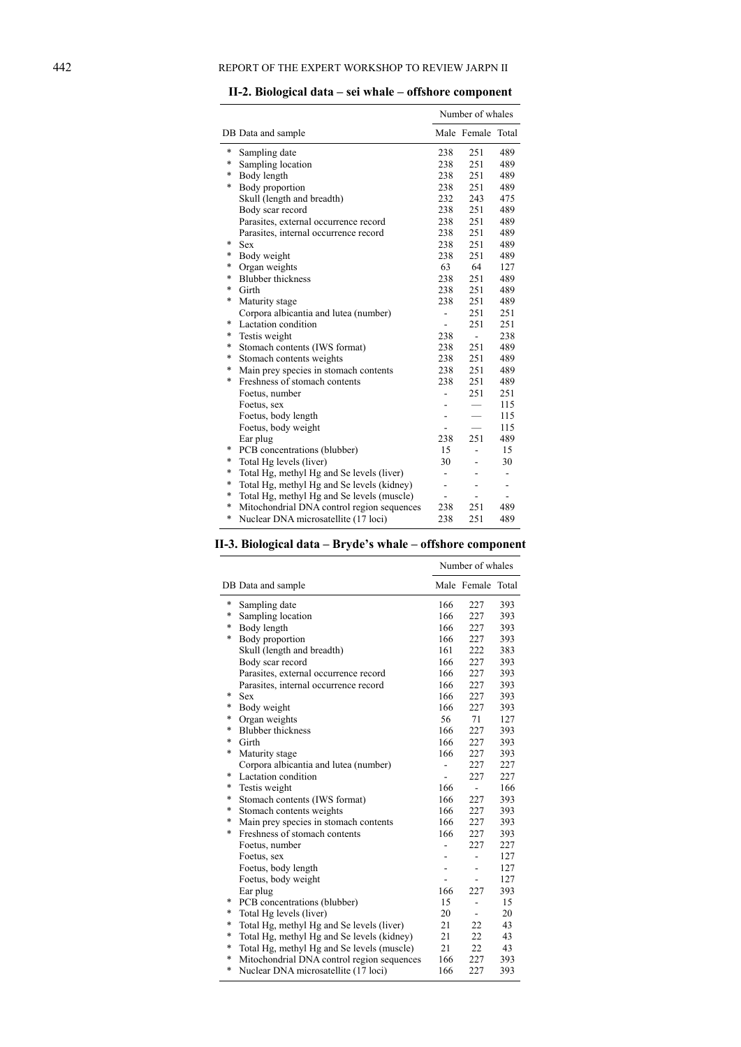|        |                                            | Number of whales         |                          |                          |
|--------|--------------------------------------------|--------------------------|--------------------------|--------------------------|
|        | DB Data and sample                         |                          | Male Female Total        |                          |
| *      | Sampling date                              | 238                      | 251                      | 489                      |
| *      | Sampling location                          | 238                      | 251                      | 489                      |
| $\ast$ | Body length                                | 238                      | 251                      | 489                      |
| $\ast$ | Body proportion                            | 238                      | 251                      | 489                      |
|        | Skull (length and breadth)                 | 232                      | 243                      | 475                      |
|        | Body scar record                           | 238                      | 251                      | 489                      |
|        | Parasites, external occurrence record      | 238                      | 251                      | 489                      |
|        | Parasites, internal occurrence record      | 238                      | 251                      | 489                      |
| *      | <b>Sex</b>                                 | 238                      | 251                      | 489                      |
| *      | Body weight                                | 238                      | 251                      | 489                      |
| *      | Organ weights                              | 63                       | 64                       | 127                      |
| $\ast$ | <b>Blubber</b> thickness                   | 238                      | 251                      | 489                      |
| $\ast$ | Girth                                      | 238                      | 251                      | 489                      |
| *      | Maturity stage                             | 238                      | 251                      | 489                      |
|        | Corpora albicantia and lutea (number)      | $\overline{\phantom{0}}$ | 251                      | 251                      |
| *      | Lactation condition                        |                          | 251                      | 251                      |
| $\ast$ | Testis weight                              | 238                      | $\overline{a}$           | 238                      |
| $\ast$ | Stomach contents (IWS format)              | 238                      | 251                      | 489                      |
| $\ast$ | Stomach contents weights                   | 238                      | 251                      | 489                      |
| *      | Main prey species in stomach contents      | 238                      | 251                      | 489                      |
| *      | Freshness of stomach contents              | 238                      | 251                      | 489                      |
|        | Foetus, number                             | $\blacksquare$           | 251                      | 251                      |
|        | Foetus, sex                                |                          |                          | 115                      |
|        | Foetus, body length                        | ۰                        |                          | 115                      |
|        | Foetus, body weight                        |                          |                          | 115                      |
|        | Ear plug                                   | 238                      | 251                      | 489                      |
| $\ast$ | PCB concentrations (blubber)               | 15                       | $\overline{a}$           | 15                       |
| $\ast$ | Total Hg levels (liver)                    | 30                       | $\overline{\phantom{0}}$ | 30                       |
| $\ast$ | Total Hg, methyl Hg and Se levels (liver)  | $\overline{a}$           | $\overline{a}$           | $\overline{\phantom{a}}$ |
| $\ast$ | Total Hg, methyl Hg and Se levels (kidney) | $\overline{\phantom{0}}$ | $\overline{\phantom{a}}$ | $\overline{\phantom{a}}$ |
| $\ast$ | Total Hg, methyl Hg and Se levels (muscle) | ÷                        | ÷.                       | ÷.                       |
| $\ast$ | Mitochondrial DNA control region sequences | 238                      | 251                      | 489                      |
| *      | Nuclear DNA microsatellite (17 loci)       | 238                      | 251                      | 489                      |

| II-2. Biological data – sei whale – offshore component |  |
|--------------------------------------------------------|--|
|                                                        |  |

|  |  |  |  |  |  |  |  | II-3. Biological data – Bryde's whale – offshore component |
|--|--|--|--|--|--|--|--|------------------------------------------------------------|
|--|--|--|--|--|--|--|--|------------------------------------------------------------|

|        |                                            |                | Number of whales         |     |
|--------|--------------------------------------------|----------------|--------------------------|-----|
|        | DB Data and sample                         |                | Male Female Total        |     |
| *      | Sampling date                              | 166            | 227                      | 393 |
| *      | Sampling location                          | 166            | 227                      | 393 |
| *      | Body length                                | 166            | 227                      | 393 |
| *      | Body proportion                            | 166            | 227                      | 393 |
|        | Skull (length and breadth)                 | 161            | 222                      | 383 |
|        | Body scar record                           | 166            | 227                      | 393 |
|        | Parasites, external occurrence record      | 166            | 227                      | 393 |
|        | Parasites, internal occurrence record      | 166            | 227                      | 393 |
| *      | <b>Sex</b>                                 | 166            | 227                      | 393 |
| *      | Body weight                                | 166            | 227                      | 393 |
| *      | Organ weights                              | 56             | 71                       | 127 |
| *      | <b>Blubber</b> thickness                   | 166            | 227                      | 393 |
| *      | Girth                                      | 166            | 227                      | 393 |
| $\ast$ | Maturity stage                             | 166            | 227                      | 393 |
|        | Corpora albicantia and lutea (number)      | $\overline{a}$ | 227                      | 227 |
| *      | Lactation condition                        | ÷,             | 227                      | 227 |
| *      | Testis weight                              | 166            | $\blacksquare$           | 166 |
| *      | Stomach contents (IWS format)              | 166            | 227                      | 393 |
| *      | Stomach contents weights                   | 166            | 227                      | 393 |
| *      | Main prey species in stomach contents      | 166            | 227                      | 393 |
| *      | Freshness of stomach contents              | 166            | 227                      | 393 |
|        | Foetus, number                             | ÷.             | 227                      | 227 |
|        | Foetus, sex                                |                |                          | 127 |
|        | Foetus, body length                        |                |                          | 127 |
|        | Foetus, body weight                        |                |                          | 127 |
|        | Ear plug                                   | 166            | 227                      | 393 |
| *      | PCB concentrations (blubber)               | 15             | $\overline{\phantom{0}}$ | 15  |
| *      | Total Hg levels (liver)                    | 20             |                          | 20  |
| *      | Total Hg, methyl Hg and Se levels (liver)  | 21             | 22                       | 43  |
| *      | Total Hg, methyl Hg and Se levels (kidney) | 21             | 22                       | 43  |
| *      | Total Hg, methyl Hg and Se levels (muscle) | 21             | 22                       | 43  |
| *      | Mitochondrial DNA control region sequences | 166            | 227                      | 393 |
| *      | Nuclear DNA microsatellite (17 loci)       | 166            | 227                      | 393 |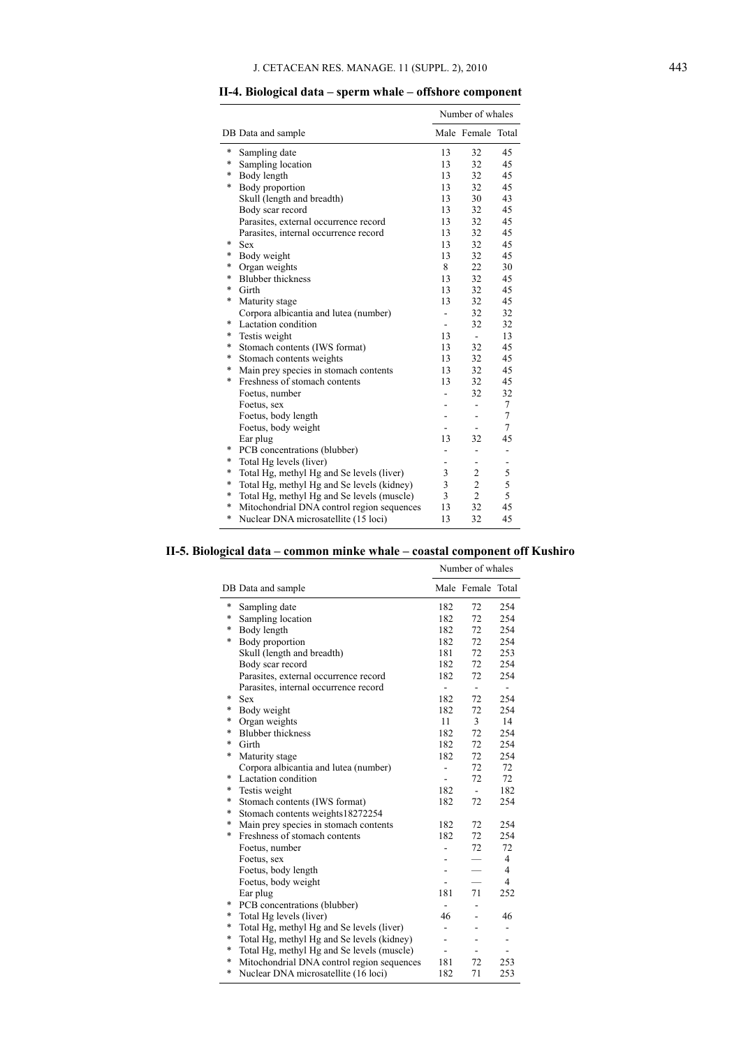|                                                      |              | Number of whales         |                |
|------------------------------------------------------|--------------|--------------------------|----------------|
| DB Data and sample                                   |              | Male Female Total        |                |
| *<br>Sampling date                                   | 13           | 32                       | 45             |
| *<br>Sampling location                               | 13           | 32                       | 45             |
| $\ast$<br>Body length                                | 13           | 32                       | 45             |
| Body proportion<br>*                                 | 13           | 32                       | 45             |
| Skull (length and breadth)                           | 13           | 30                       | 43             |
| Body scar record                                     | 13           | 32                       | 45             |
| Parasites, external occurrence record                | 13           | 32                       | 45             |
| Parasites, internal occurrence record                | 13           | 32                       | 45             |
| *<br><b>Sex</b>                                      | 13           | 32                       | 45             |
| *<br>Body weight                                     | 13           | 32                       | 45             |
| *<br>Organ weights                                   | 8            | 22                       | 30             |
| <b>Blubber</b> thickness<br>*                        | 13           | 32                       | 45             |
| *<br>Girth                                           | 13           | 32                       | 45             |
| *<br>Maturity stage                                  | 13           | 32                       | 45             |
| Corpora albicantia and lutea (number)                |              | 32                       | 32             |
| *<br>Lactation condition                             | $\mathbf{r}$ | 32                       | 32             |
| *<br>Testis weight                                   | 13           | $\overline{\phantom{a}}$ | 13             |
| *<br>Stomach contents (IWS format)                   | 13           | 32                       | 45             |
| Stomach contents weights<br>*                        | 13           | 32                       | 45             |
| Main prey species in stomach contents<br>*           | 13           | 32                       | 45             |
| *<br>Freshness of stomach contents                   | 13           | 32                       | 45             |
| Foetus, number                                       |              | 32                       | 32             |
| Foetus, sex                                          |              | ÷,                       | $\tau$         |
| Foetus, body length                                  |              | ÷.                       | $\overline{7}$ |
| Foetus, body weight                                  |              | ۰                        | $\tau$         |
| Ear plug                                             | 13           | 32                       | 45             |
| *<br>PCB concentrations (blubber)                    |              | $\overline{\phantom{0}}$ | -              |
| *<br>Total Hg levels (liver)                         |              |                          |                |
| *<br>Total Hg, methyl Hg and Se levels (liver)       | 3            | $\overline{c}$           | 5              |
| $\ast$<br>Total Hg, methyl Hg and Se levels (kidney) | 3            | $\overline{c}$           | 5              |
| Total Hg, methyl Hg and Se levels (muscle)<br>$\ast$ | 3            | $\overline{2}$           | 5              |
| $\ast$<br>Mitochondrial DNA control region sequences | 13           | 32                       | 45             |
| $\ast$<br>Nuclear DNA microsatellite (15 loci)       | 13           | 32                       | 45             |

### **II-4. Biological data – sperm whale – offshore component**

#### **II-5. Biological data – common minke whale – coastal component off Kushiro**

|        |                                            |                          | Number of whales  |                |
|--------|--------------------------------------------|--------------------------|-------------------|----------------|
|        | DB Data and sample                         |                          | Male Female Total |                |
| $\ast$ | Sampling date                              | 182                      | 72                | 254            |
| *      | Sampling location                          | 182                      | 72                | 254            |
| $\ast$ | Body length                                | 182                      | 72                | 254            |
| $\ast$ | Body proportion                            | 182                      | 72                | 254            |
|        | Skull (length and breadth)                 | 181                      | 72                | 253            |
|        | Body scar record                           | 182                      | 72                | 254            |
|        | Parasites, external occurrence record      | 182                      | 72                | 254            |
|        | Parasites, internal occurrence record      | ä,                       | $\sim$            | $\sim$         |
| *      | <b>Sex</b>                                 | 182                      | 72                | 254            |
| *      | Body weight                                | 182                      | 72                | 254            |
| $\ast$ | Organ weights                              | 11                       | 3                 | 14             |
| $\ast$ | <b>Blubber</b> thickness                   | 182                      | 72                | 254            |
| *      | Girth                                      | 182                      | 72                | 254            |
| *      | Maturity stage                             | 182                      | 72                | 254            |
|        | Corpora albicantia and lutea (number)      | $\overline{\phantom{0}}$ | 72                | 72             |
| *      | Lactation condition                        | $\overline{\phantom{a}}$ | 72                | 72             |
| $\ast$ | Testis weight                              | 182                      | $\blacksquare$    | 182            |
| $\ast$ | Stomach contents (IWS format)              | 182                      | 72                | 254            |
| *      | Stomach contents weights18272254           |                          |                   |                |
| *      | Main prey species in stomach contents      | 182                      | 72                | 254            |
| *      | Freshness of stomach contents              | 182                      | 72                | 254            |
|        | Foetus, number                             | $\overline{a}$           | 72                | 72             |
|        | Foetus, sex                                |                          |                   | $\overline{4}$ |
|        | Foetus, body length                        |                          |                   | 4              |
|        | Foetus, body weight                        |                          |                   | $\overline{4}$ |
|        | Ear plug                                   | 181                      | 71                | 252            |
| *      | PCB concentrations (blubber)               |                          |                   |                |
| *      | Total Hg levels (liver)                    | 46                       | ÷.                | 46             |
| $\ast$ | Total Hg, methyl Hg and Se levels (liver)  | $\overline{\phantom{0}}$ | ٠                 | -              |
| $\ast$ | Total Hg, methyl Hg and Se levels (kidney) | L.                       | $\blacksquare$    | ÷.             |
| $\ast$ | Total Hg, methyl Hg and Se levels (muscle) | L.                       |                   | ÷              |
| $\ast$ | Mitochondrial DNA control region sequences | 181                      | 72                | 253            |
| $\ast$ | Nuclear DNA microsatellite (16 loci)       | 182                      | 71                | 253            |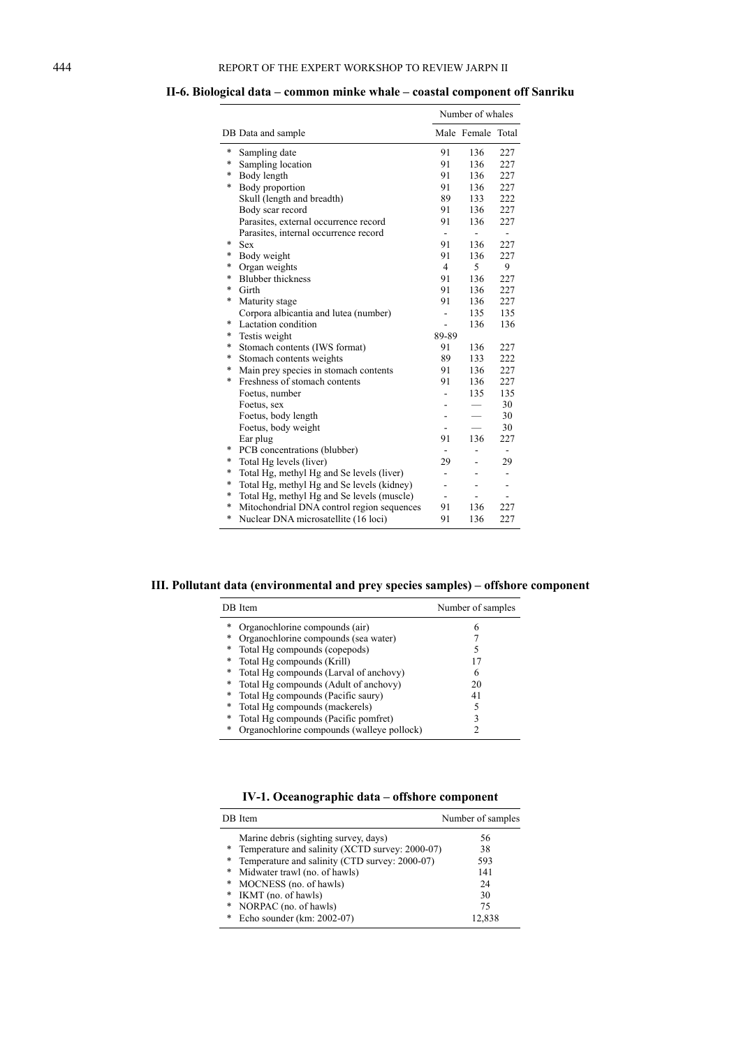|        |                                            |                          | Number of whales         |                |  |
|--------|--------------------------------------------|--------------------------|--------------------------|----------------|--|
|        | DB Data and sample                         |                          | Male Female Total        |                |  |
| *      | Sampling date                              | 91                       | 136                      | 227            |  |
| $\ast$ | Sampling location                          | 91                       | 136                      | 227            |  |
| $\ast$ | Body length                                | 91                       | 136                      | 227            |  |
| *      | Body proportion                            | 91                       | 136                      | 227            |  |
|        | Skull (length and breadth)                 | 89                       | 133                      | 222            |  |
|        | Body scar record                           | 91                       | 136                      | 227            |  |
|        | Parasites, external occurrence record      | 91                       | 136                      | 227            |  |
|        | Parasites, internal occurrence record      | ٠                        |                          | ÷.             |  |
| $\ast$ | <b>Sex</b>                                 | 91                       | 136                      | 227            |  |
| *      | Body weight                                | 91                       | 136                      | 227            |  |
| *      | Organ weights                              | $\overline{4}$           | 5                        | 9              |  |
| *      | <b>Blubber</b> thickness                   | 91                       | 136                      | 227            |  |
| *      | Girth                                      | 91                       | 136                      | 227            |  |
| *      | Maturity stage                             | 91                       | 136                      | 227            |  |
|        | Corpora albicantia and lutea (number)      | $\overline{\phantom{0}}$ | 135                      | 135            |  |
| *      | Lactation condition                        | ÷.                       | 136                      | 136            |  |
| *      | Testis weight                              | 89-89                    |                          |                |  |
| *      | Stomach contents (IWS format)              | 91                       | 136                      | 227            |  |
| *      | Stomach contents weights                   | 89                       | 133                      | 222            |  |
| *      | Main prey species in stomach contents      | 91                       | 136                      | 227            |  |
| $\ast$ | Freshness of stomach contents              | 91                       | 136                      | 227            |  |
|        | Foetus, number                             |                          | 135                      | 135            |  |
|        | Foetus, sex                                |                          |                          | 30             |  |
|        | Foetus, body length                        |                          |                          | 30             |  |
|        | Foetus, body weight                        |                          | $\overline{\phantom{0}}$ | 30             |  |
|        | Ear plug                                   | 91                       | 136                      | 227            |  |
| *      | PCB concentrations (blubber)               |                          | ä,                       | $\blacksquare$ |  |
| *      | Total Hg levels (liver)                    | 29                       | $\overline{a}$           | 29             |  |
| *      | Total Hg, methyl Hg and Se levels (liver)  |                          | L.                       | $\overline{a}$ |  |
| *      | Total Hg, methyl Hg and Se levels (kidney) | ÷,                       | $\overline{a}$           | L.             |  |
| *      | Total Hg, methyl Hg and Se levels (muscle) | ÷                        | $\blacksquare$           | L.             |  |
| *      | Mitochondrial DNA control region sequences | 91                       | 136                      | 227            |  |
| *      | Nuclear DNA microsatellite (16 loci)       | 91                       | 136                      | 227            |  |

### **II-6. Biological data – common minke whale – coastal component off Sanriku**

**III. Pollutant data (environmental and prey species samples) – offshore component** 

|   | DB Item                                    | Number of samples |
|---|--------------------------------------------|-------------------|
| * | Organochlorine compounds (air)             | 6                 |
| * | Organochlorine compounds (sea water)       |                   |
| * | Total Hg compounds (copepods)              | 5                 |
| * | Total Hg compounds (Krill)                 | 17                |
| * | Total Hg compounds (Larval of anchovy)     | 6                 |
| * | Total Hg compounds (Adult of anchovy)      | 20                |
| * | Total Hg compounds (Pacific saury)         | 41                |
| * | Total Hg compounds (mackerels)             | 5                 |
| * | Total Hg compounds (Pacific pomfret)       |                   |
| * | Organochlorine compounds (walleye pollock) |                   |
|   |                                            |                   |

# **IV-1. Oceanographic data – offshore component**

|        | DB Item                                         | Number of samples |
|--------|-------------------------------------------------|-------------------|
|        | Marine debris (sighting survey, days)           | 56                |
| $\ast$ | Temperature and salinity (XCTD survey: 2000-07) | 38                |
| $\ast$ | Temperature and salinity (CTD survey: 2000-07)  | 593               |
| *      | Midwater trawl (no. of hawls)                   | 141               |
| *      | MOCNESS (no. of hawls)                          | 24                |
| *      | IKMT (no. of hawls)                             | 30                |
| *      | NORPAC (no. of hawls)                           | 75                |
| *      | Echo sounder (km: 2002-07)                      | 12.838            |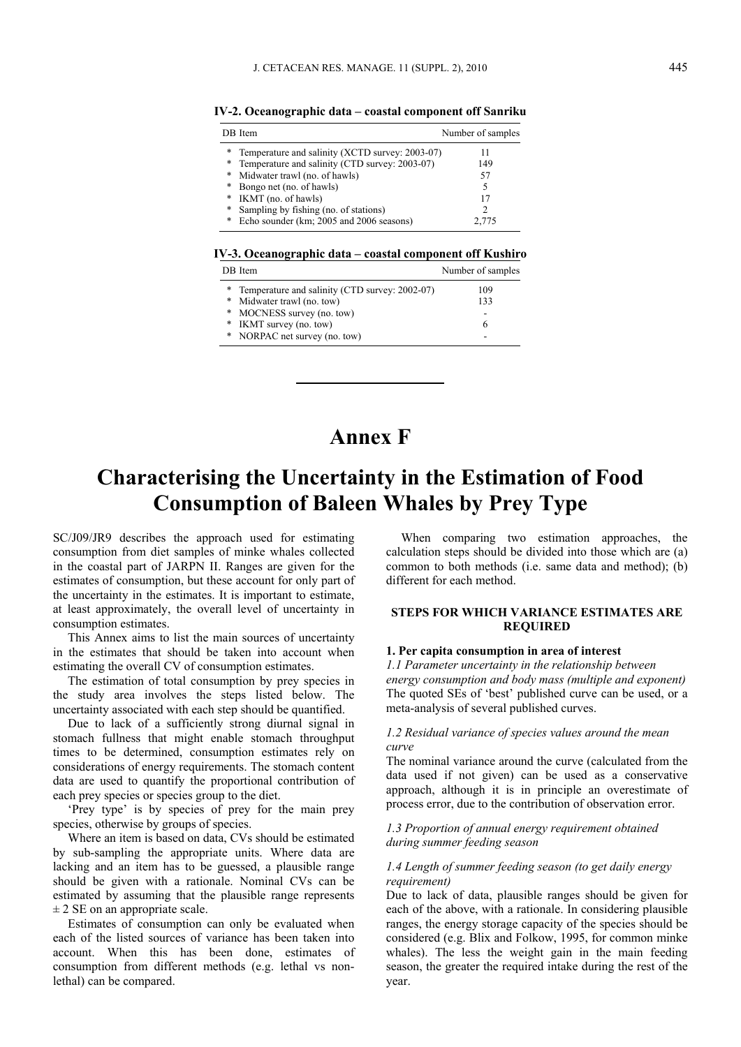**IV-2. Oceanographic data – coastal component off Sanriku** 

|   | DB Item                                         | Number of samples |
|---|-------------------------------------------------|-------------------|
| * | Temperature and salinity (XCTD survey: 2003-07) | 11                |
| * | Temperature and salinity (CTD survey: 2003-07)  | 149               |
| * | Midwater trawl (no. of hawls)                   | 57                |
| * | Bongo net (no. of hawls)                        |                   |
| * | IKMT (no. of hawls)                             |                   |
| * | Sampling by fishing (no. of stations)           |                   |
| * | Echo sounder (km; 2005 and 2006 seasons)        | 2.775             |

**IV-3. Oceanographic data – coastal component off Kushiro** 

|   | DB Item                                        | Number of samples |
|---|------------------------------------------------|-------------------|
|   | Temperature and salinity (CTD survey: 2002-07) | 109               |
|   | * Midwater trawl (no. tow)                     | 133               |
|   | * MOCNESS survey (no. tow)                     |                   |
| * | IKMT survey (no. tow)                          | h                 |
|   | * NORPAC net survey (no. tow)                  | -                 |

# **Annex F**

# **Characterising the Uncertainty in the Estimation of Food Consumption of Baleen Whales by Prey Type**

SC/J09/JR9 describes the approach used for estimating consumption from diet samples of minke whales collected in the coastal part of JARPN II. Ranges are given for the estimates of consumption, but these account for only part of the uncertainty in the estimates. It is important to estimate, at least approximately, the overall level of uncertainty in consumption estimates.

This Annex aims to list the main sources of uncertainty in the estimates that should be taken into account when estimating the overall CV of consumption estimates.

The estimation of total consumption by prey species in the study area involves the steps listed below. The uncertainty associated with each step should be quantified.

Due to lack of a sufficiently strong diurnal signal in stomach fullness that might enable stomach throughput times to be determined, consumption estimates rely on considerations of energy requirements. The stomach content data are used to quantify the proportional contribution of each prey species or species group to the diet.

'Prey type' is by species of prey for the main prey species, otherwise by groups of species.

Where an item is based on data, CVs should be estimated by sub-sampling the appropriate units. Where data are lacking and an item has to be guessed, a plausible range should be given with a rationale. Nominal CVs can be estimated by assuming that the plausible range represents  $\pm$  2 SE on an appropriate scale.

Estimates of consumption can only be evaluated when each of the listed sources of variance has been taken into account. When this has been done, estimates of consumption from different methods (e.g. lethal vs nonlethal) can be compared.

When comparing two estimation approaches, the calculation steps should be divided into those which are (a) common to both methods (i.e. same data and method); (b) different for each method.

### **STEPS FOR WHICH VARIANCE ESTIMATES ARE REQUIRED**

# **1. Per capita consumption in area of interest**

*1.1 Parameter uncertainty in the relationship between energy consumption and body mass (multiple and exponent)*  The quoted SEs of 'best' published curve can be used, or a meta-analysis of several published curves.

#### *1.2 Residual variance of species values around the mean curve*

The nominal variance around the curve (calculated from the data used if not given) can be used as a conservative approach, although it is in principle an overestimate of process error, due to the contribution of observation error.

#### *1.3 Proportion of annual energy requirement obtained during summer feeding season*

#### *1.4 Length of summer feeding season (to get daily energy requirement)*

Due to lack of data, plausible ranges should be given for each of the above, with a rationale. In considering plausible ranges, the energy storage capacity of the species should be considered (e.g. Blix and Folkow, 1995, for common minke whales). The less the weight gain in the main feeding season, the greater the required intake during the rest of the year.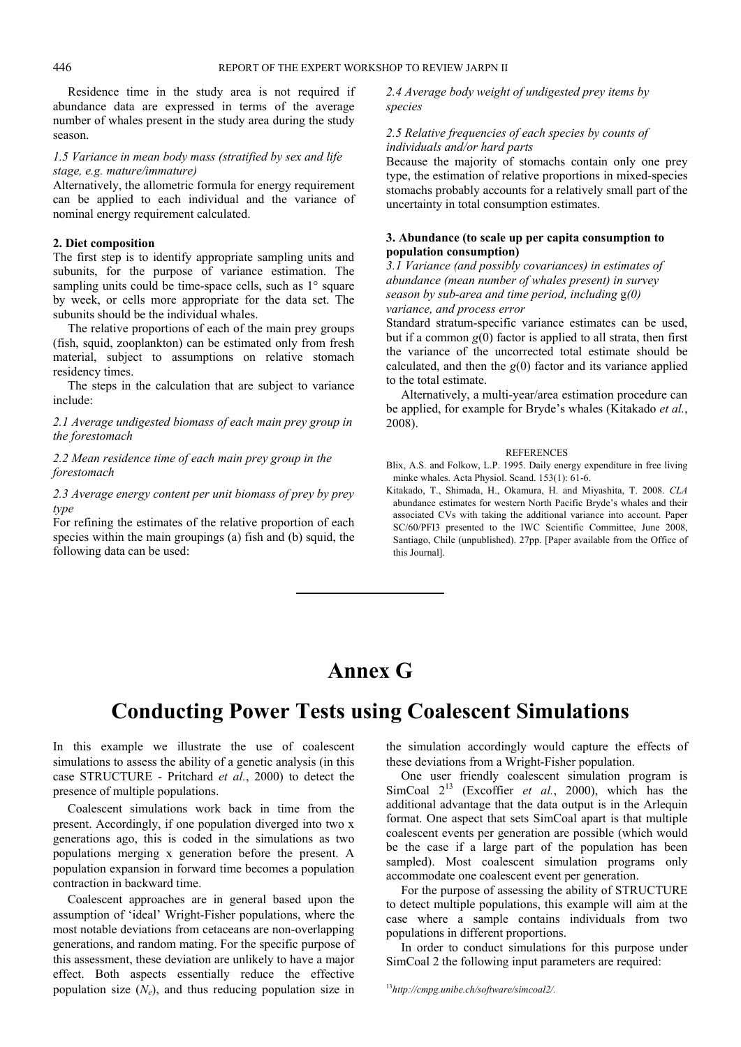Residence time in the study area is not required if abundance data are expressed in terms of the average number of whales present in the study area during the study season.

#### *1.5 Variance in mean body mass (stratified by sex and life stage, e.g. mature/immature)*

Alternatively, the allometric formula for energy requirement can be applied to each individual and the variance of nominal energy requirement calculated.

#### **2. Diet composition**

The first step is to identify appropriate sampling units and subunits, for the purpose of variance estimation. The sampling units could be time-space cells, such as 1° square by week, or cells more appropriate for the data set. The subunits should be the individual whales.

The relative proportions of each of the main prey groups (fish, squid, zooplankton) can be estimated only from fresh material, subject to assumptions on relative stomach residency times.

The steps in the calculation that are subject to variance include:

*2.1 Average undigested biomass of each main prey group in the forestomach* 

*2.2 Mean residence time of each main prey group in the forestomach* 

*2.3 Average energy content per unit biomass of prey by prey type* 

For refining the estimates of the relative proportion of each species within the main groupings (a) fish and (b) squid, the following data can be used:

*2.4 Average body weight of undigested prey items by species* 

### *2.5 Relative frequencies of each species by counts of individuals and/or hard parts*

Because the majority of stomachs contain only one prey type, the estimation of relative proportions in mixed-species stomachs probably accounts for a relatively small part of the uncertainty in total consumption estimates.

### **3. Abundance (to scale up per capita consumption to population consumption)**

*3.1 Variance (and possibly covariances) in estimates of abundance (mean number of whales present) in survey season by sub-area and time period, including* g*(0) variance, and process error* 

Standard stratum-specific variance estimates can be used, but if a common  $g(0)$  factor is applied to all strata, then first the variance of the uncorrected total estimate should be calculated, and then the *g*(0) factor and its variance applied to the total estimate.

Alternatively, a multi-year/area estimation procedure can be applied, for example for Bryde's whales (Kitakado *et al.*, 2008).

#### REFERENCES

Blix, A.S. and Folkow, L.P. 1995. Daily energy expenditure in free living minke whales. Acta Physiol. Scand. 153(1): 61-6.

Kitakado, T., Shimada, H., Okamura, H. and Miyashita, T. 2008. *CLA* abundance estimates for western North Pacific Bryde's whales and their associated CVs with taking the additional variance into account. Paper SC/60/PFI3 presented to the IWC Scientific Committee, June 2008, Santiago, Chile (unpublished). 27pp. [Paper available from the Office of this Journal].

# **Annex G**

# **Conducting Power Tests using Coalescent Simulations**

In this example we illustrate the use of coalescent simulations to assess the ability of a genetic analysis (in this case STRUCTURE - Pritchard *et al.*, 2000) to detect the presence of multiple populations.

Coalescent simulations work back in time from the present. Accordingly, if one population diverged into two x generations ago, this is coded in the simulations as two populations merging x generation before the present. A population expansion in forward time becomes a population contraction in backward time.

Coalescent approaches are in general based upon the assumption of 'ideal' Wright-Fisher populations, where the most notable deviations from cetaceans are non-overlapping generations, and random mating. For the specific purpose of this assessment, these deviation are unlikely to have a major effect. Both aspects essentially reduce the effective population size  $(N_e)$ , and thus reducing population size in

the simulation accordingly would capture the effects of these deviations from a Wright-Fisher population.

One user friendly coalescent simulation program is SimCoal  $2^{13}$  (Excoffier *et al.*, 2000), which has the additional advantage that the data output is in the Arlequin format. One aspect that sets SimCoal apart is that multiple coalescent events per generation are possible (which would be the case if a large part of the population has been sampled). Most coalescent simulation programs only accommodate one coalescent event per generation.

For the purpose of assessing the ability of STRUCTURE to detect multiple populations, this example will aim at the case where a sample contains individuals from two populations in different proportions.

In order to conduct simulations for this purpose under SimCoal 2 the following input parameters are required:

<sup>13</sup>*http://cmpg.unibe.ch/software/simcoal2/.*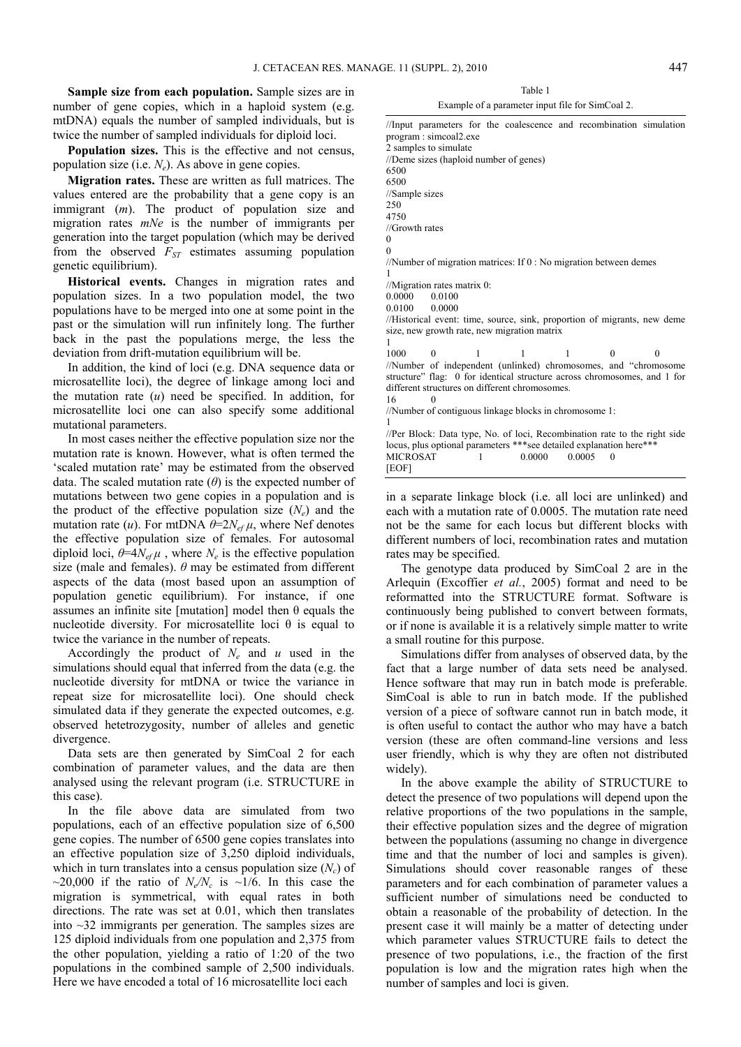**Sample size from each population.** Sample sizes are in number of gene copies, which in a haploid system (e.g. mtDNA) equals the number of sampled individuals, but is twice the number of sampled individuals for diploid loci.

**Population sizes.** This is the effective and not census, population size (i.e. *Ne*). As above in gene copies.

**Migration rates.** These are written as full matrices. The values entered are the probability that a gene copy is an immigrant (*m*). The product of population size and migration rates *mNe* is the number of immigrants per generation into the target population (which may be derived from the observed  $F_{ST}$  estimates assuming population genetic equilibrium).

**Historical events.** Changes in migration rates and population sizes. In a two population model, the two populations have to be merged into one at some point in the past or the simulation will run infinitely long. The further back in the past the populations merge, the less the deviation from drift-mutation equilibrium will be.

In addition, the kind of loci (e.g. DNA sequence data or microsatellite loci), the degree of linkage among loci and the mutation rate (*u*) need be specified. In addition, for microsatellite loci one can also specify some additional mutational parameters.

In most cases neither the effective population size nor the mutation rate is known. However, what is often termed the 'scaled mutation rate' may be estimated from the observed data. The scaled mutation rate  $(\theta)$  is the expected number of mutations between two gene copies in a population and is the product of the effective population size  $(N_e)$  and the mutation rate (*u*). For mtDNA  $\theta = 2N_{ef}\mu$ , where Nef denotes the effective population size of females. For autosomal diploid loci,  $\theta = 4N_{\text{ef}}\mu$ , where  $N_e$  is the effective population size (male and females).  $\theta$  may be estimated from different aspects of the data (most based upon an assumption of population genetic equilibrium). For instance, if one assumes an infinite site [mutation] model then  $\theta$  equals the nucleotide diversity. For microsatellite loci θ is equal to twice the variance in the number of repeats.

Accordingly the product of  $N_e$  and  $u$  used in the simulations should equal that inferred from the data (e.g. the nucleotide diversity for mtDNA or twice the variance in repeat size for microsatellite loci). One should check simulated data if they generate the expected outcomes, e.g. observed hetetrozygosity, number of alleles and genetic divergence.

Data sets are then generated by SimCoal 2 for each combination of parameter values, and the data are then analysed using the relevant program (i.e. STRUCTURE in this case).

In the file above data are simulated from two populations, each of an effective population size of 6,500 gene copies. The number of 6500 gene copies translates into an effective population size of 3,250 diploid individuals, which in turn translates into a census population size  $(N_c)$  of  $\sim$ 20,000 if the ratio of *N<sub>e</sub>*/*N<sub>c</sub>* is  $\sim$ 1/6. In this case the migration is symmetrical, with equal rates in both directions. The rate was set at 0.01, which then translates into ~32 immigrants per generation. The samples sizes are 125 diploid individuals from one population and 2,375 from the other population, yielding a ratio of 1:20 of the two populations in the combined sample of 2,500 individuals. Here we have encoded a total of 16 microsatellite loci each

Table 1

#### Example of a parameter input file for SimCoal 2.

//Input parameters for the coalescence and recombination simulation program : simcoal2.exe 2 samples to simulate //Deme sizes (haploid number of genes) 6500 6500 //Sample sizes 250 4750 //Growth rates  $\theta$ 0 //Number of migration matrices: If 0 : No migration between demes 1 //Migration rates matrix 0: 0.0000 0.0100 0.0100 0.0000 //Historical event: time, source, sink, proportion of migrants, new deme size, new growth rate, new migration matrix 1 1000 0 1 1 1 0 0 //Number of independent (unlinked) chromosomes, and "chromosome structure" flag: 0 for identical structure across chromosomes, and 1 for different structures on different chromosomes. 16 0 //Number of contiguous linkage blocks in chromosome 1: 1 //Per Block: Data type, No. of loci, Recombination rate to the right side locus, plus optional parameters \*\*\*see detailed explanation here\*\*<br>MICROSAT 1 0.0000 0.0005 0 MICROSAT 1 0.0000 0.0005 0 [EOF]

in a separate linkage block (i.e. all loci are unlinked) and each with a mutation rate of 0.0005. The mutation rate need not be the same for each locus but different blocks with different numbers of loci, recombination rates and mutation rates may be specified.

The genotype data produced by SimCoal 2 are in the Arlequin (Excoffier *et al.*, 2005) format and need to be reformatted into the STRUCTURE format. Software is continuously being published to convert between formats, or if none is available it is a relatively simple matter to write a small routine for this purpose.

Simulations differ from analyses of observed data, by the fact that a large number of data sets need be analysed. Hence software that may run in batch mode is preferable. SimCoal is able to run in batch mode. If the published version of a piece of software cannot run in batch mode, it is often useful to contact the author who may have a batch version (these are often command-line versions and less user friendly, which is why they are often not distributed widely).

In the above example the ability of STRUCTURE to detect the presence of two populations will depend upon the relative proportions of the two populations in the sample, their effective population sizes and the degree of migration between the populations (assuming no change in divergence time and that the number of loci and samples is given). Simulations should cover reasonable ranges of these parameters and for each combination of parameter values a sufficient number of simulations need be conducted to obtain a reasonable of the probability of detection. In the present case it will mainly be a matter of detecting under which parameter values STRUCTURE fails to detect the presence of two populations, i.e., the fraction of the first population is low and the migration rates high when the number of samples and loci is given.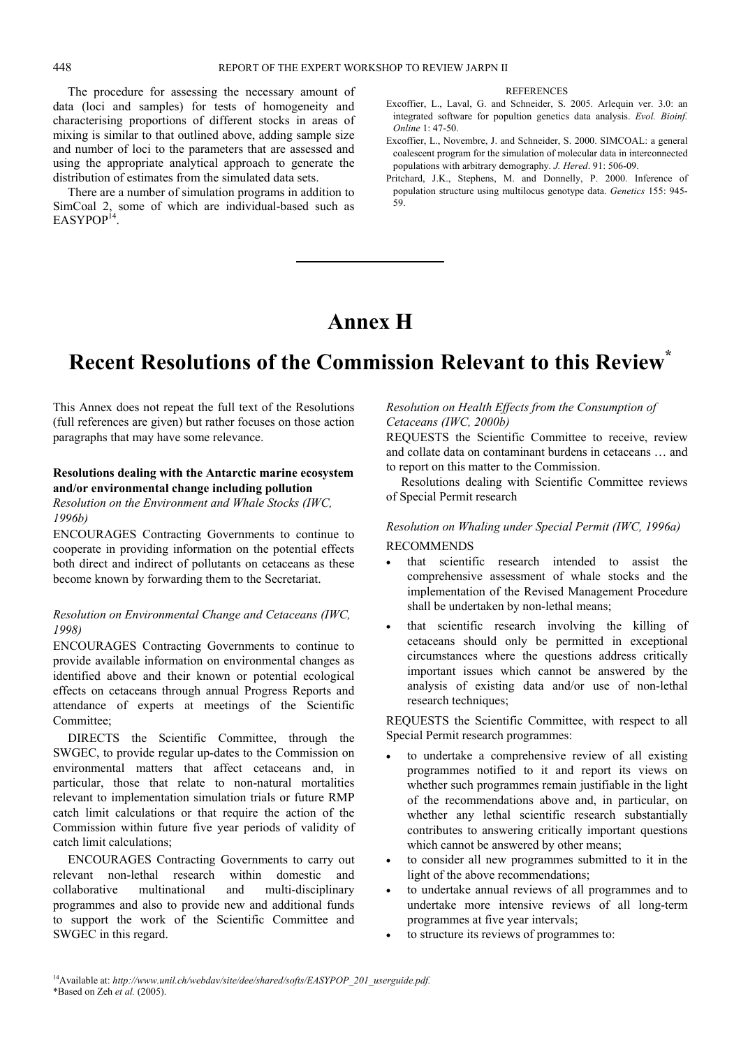The procedure for assessing the necessary amount of data (loci and samples) for tests of homogeneity and characterising proportions of different stocks in areas of mixing is similar to that outlined above, adding sample size and number of loci to the parameters that are assessed and using the appropriate analytical approach to generate the distribution of estimates from the simulated data sets.

There are a number of simulation programs in addition to SimCoal 2, some of which are individual-based such as EASYPOP<sup>14</sup>

#### **REFERENCES**

- Excoffier, L., Laval, G. and Schneider, S. 2005. Arlequin ver. 3.0: an integrated software for popultion genetics data analysis. *Evol. Bioinf. Online* 1: 47-50.
- Excoffier, L., Novembre, J. and Schneider, S. 2000. SIMCOAL: a general coalescent program for the simulation of molecular data in interconnected populations with arbitrary demography. *J. Hered*. 91: 506-09.
- Pritchard, J.K., Stephens, M. and Donnelly, P. 2000. Inference of population structure using multilocus genotype data. *Genetics* 155: 945- 59.

# **Annex H**

# **Recent Resolutions of the Commission Relevant to this Review\***

This Annex does not repeat the full text of the Resolutions (full references are given) but rather focuses on those action paragraphs that may have some relevance.

#### **Resolutions dealing with the Antarctic marine ecosystem and/or environmental change including pollution**

*Resolution on the Environment and Whale Stocks (IWC, 1996b)* 

ENCOURAGES Contracting Governments to continue to cooperate in providing information on the potential effects both direct and indirect of pollutants on cetaceans as these become known by forwarding them to the Secretariat.

### *Resolution on Environmental Change and Cetaceans (IWC, 1998)*

ENCOURAGES Contracting Governments to continue to provide available information on environmental changes as identified above and their known or potential ecological effects on cetaceans through annual Progress Reports and attendance of experts at meetings of the Scientific Committee<sup>.</sup>

DIRECTS the Scientific Committee, through the SWGEC, to provide regular up-dates to the Commission on environmental matters that affect cetaceans and, in particular, those that relate to non-natural mortalities relevant to implementation simulation trials or future RMP catch limit calculations or that require the action of the Commission within future five year periods of validity of catch limit calculations;

ENCOURAGES Contracting Governments to carry out relevant non-lethal research within domestic and collaborative multinational and multi-disciplinary programmes and also to provide new and additional funds to support the work of the Scientific Committee and SWGEC in this regard.

#### *Resolution on Health Effects from the Consumption of Cetaceans (IWC, 2000b)*

REQUESTS the Scientific Committee to receive, review and collate data on contaminant burdens in cetaceans … and to report on this matter to the Commission.

Resolutions dealing with Scientific Committee reviews of Special Permit research

# *Resolution on Whaling under Special Permit (IWC, 1996a)*  RECOMMENDS

- that scientific research intended to assist the comprehensive assessment of whale stocks and the implementation of the Revised Management Procedure shall be undertaken by non-lethal means;
- that scientific research involving the killing of cetaceans should only be permitted in exceptional circumstances where the questions address critically important issues which cannot be answered by the analysis of existing data and/or use of non-lethal research techniques;

REQUESTS the Scientific Committee, with respect to all Special Permit research programmes:

- to undertake a comprehensive review of all existing programmes notified to it and report its views on whether such programmes remain justifiable in the light of the recommendations above and, in particular, on whether any lethal scientific research substantially contributes to answering critically important questions which cannot be answered by other means;
- to consider all new programmes submitted to it in the light of the above recommendations;
- to undertake annual reviews of all programmes and to undertake more intensive reviews of all long-term programmes at five year intervals;
- to structure its reviews of programmes to: